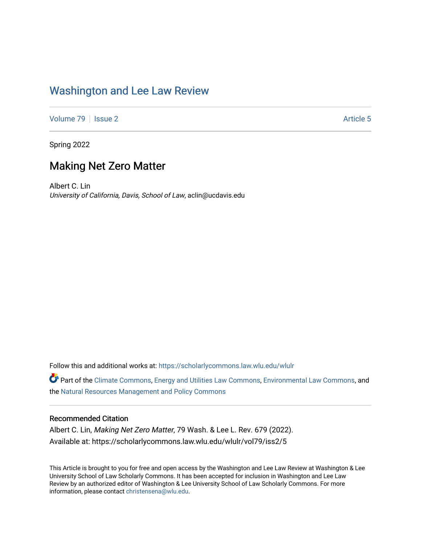# [Washington and Lee Law Review](https://scholarlycommons.law.wlu.edu/wlulr)

[Volume 79](https://scholarlycommons.law.wlu.edu/wlulr/vol79) | [Issue 2](https://scholarlycommons.law.wlu.edu/wlulr/vol79/iss2) Article 5

Spring 2022

# Making Net Zero Matter

Albert C. Lin University of California, Davis, School of Law, aclin@ucdavis.edu

Follow this and additional works at: [https://scholarlycommons.law.wlu.edu/wlulr](https://scholarlycommons.law.wlu.edu/wlulr?utm_source=scholarlycommons.law.wlu.edu%2Fwlulr%2Fvol79%2Fiss2%2F5&utm_medium=PDF&utm_campaign=PDFCoverPages) 

Part of the [Climate Commons,](http://network.bepress.com/hgg/discipline/188?utm_source=scholarlycommons.law.wlu.edu%2Fwlulr%2Fvol79%2Fiss2%2F5&utm_medium=PDF&utm_campaign=PDFCoverPages) [Energy and Utilities Law Commons,](http://network.bepress.com/hgg/discipline/891?utm_source=scholarlycommons.law.wlu.edu%2Fwlulr%2Fvol79%2Fiss2%2F5&utm_medium=PDF&utm_campaign=PDFCoverPages) [Environmental Law Commons](http://network.bepress.com/hgg/discipline/599?utm_source=scholarlycommons.law.wlu.edu%2Fwlulr%2Fvol79%2Fiss2%2F5&utm_medium=PDF&utm_campaign=PDFCoverPages), and the [Natural Resources Management and Policy Commons](http://network.bepress.com/hgg/discipline/170?utm_source=scholarlycommons.law.wlu.edu%2Fwlulr%2Fvol79%2Fiss2%2F5&utm_medium=PDF&utm_campaign=PDFCoverPages)

# Recommended Citation

Albert C. Lin, Making Net Zero Matter, 79 Wash. & Lee L. Rev. 679 (2022). Available at: https://scholarlycommons.law.wlu.edu/wlulr/vol79/iss2/5

This Article is brought to you for free and open access by the Washington and Lee Law Review at Washington & Lee University School of Law Scholarly Commons. It has been accepted for inclusion in Washington and Lee Law Review by an authorized editor of Washington & Lee University School of Law Scholarly Commons. For more information, please contact [christensena@wlu.edu](mailto:christensena@wlu.edu).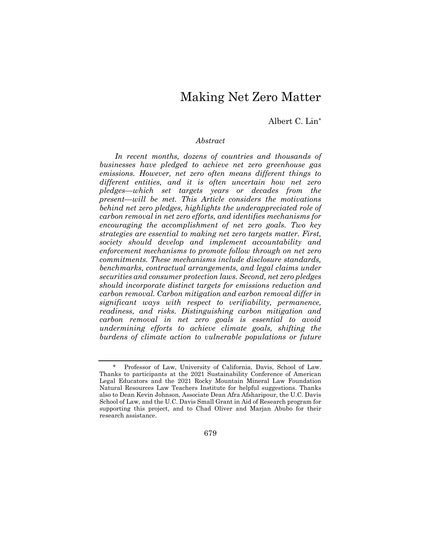# Making Net Zero Matter

Albert C. Lin\*

### *Abstract*

*In recent months, dozens of countries and thousands of businesses have pledged to achieve net zero greenhouse gas emissions. However, net zero often means different things to different entities, and it is often uncertain how net zero pledges—which set targets years or decades from the present—will be met. This Article considers the motivations behind net zero pledges, highlights the underappreciated role of carbon removal in net zero efforts, and identifies mechanisms for encouraging the accomplishment of net zero goals. Two key strategies are essential to making net zero targets matter. First, society should develop and implement accountability and enforcement mechanisms to promote follow through on net zero commitments. These mechanisms include disclosure standards, benchmarks, contractual arrangements, and legal claims under securities and consumer protection laws. Second, net zero pledges should incorporate distinct targets for emissions reduction and carbon removal. Carbon mitigation and carbon removal differ in significant ways with respect to verifiability, permanence, readiness, and risks. Distinguishing carbon mitigation and carbon removal in net zero goals is essential to avoid undermining efforts to achieve climate goals, shifting the burdens of climate action to vulnerable populations or future* 

679

<sup>\*</sup> Professor of Law, University of California, Davis, School of Law. Thanks to participants at the 2021 Sustainability Conference of American Legal Educators and the 2021 Rocky Mountain Mineral Law Foundation Natural Resources Law Teachers Institute for helpful suggestions. Thanks also to Dean Kevin Johnson, Associate Dean Afra Afsharipour, the U.C. Davis School of Law, and the U.C. Davis Small Grant in Aid of Research program for supporting this project, and to Chad Oliver and Marjan Abubo for their research assistance.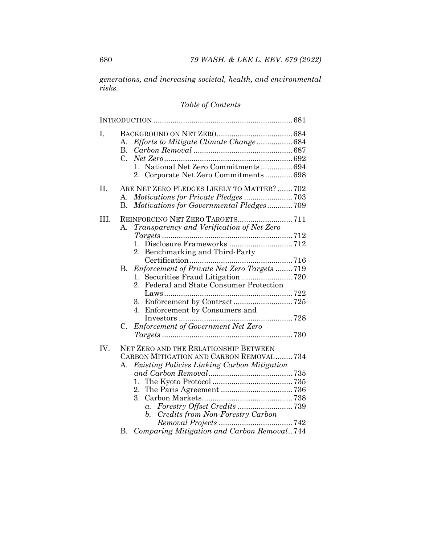*generations, and increasing societal, health, and environmental risks.*

# *Table of Contents*

| I.   | Efforts to Mitigate Climate Change684<br>A.<br>$\mathbf{B}$<br>$C_{\cdot}$<br>1. National Net Zero Commitments 694<br>2. Corporate Net Zero Commitments 698                                                                                                                                                                                            |  |
|------|--------------------------------------------------------------------------------------------------------------------------------------------------------------------------------------------------------------------------------------------------------------------------------------------------------------------------------------------------------|--|
| II.  | ARE NET ZERO PLEDGES LIKELY TO MATTER?  702<br>А.<br>Motivations for Governmental Pledges709<br>$\mathbf{B}$                                                                                                                                                                                                                                           |  |
| III. | REINFORCING NET ZERO TARGETS711<br>Transparency and Verification of Net Zero<br>A.<br>2. Benchmarking and Third-Party<br>Enforcement of Private Net Zero Targets 719<br>В.<br>2. Federal and State Consumer Protection<br>3. Enforcement by Contract725<br>4. Enforcement by Consumers and<br><b>Enforcement of Government Net Zero</b><br>$C_{\cdot}$ |  |
| IV.  | <b>NET ZERO AND THE RELATIONSHIP BETWEEN</b><br>CARBON MITIGATION AND CARBON REMOVAL734<br>Existing Policies Linking Carbon Mitigation<br>A.<br>1.<br>3.<br>b. Credits from Non-Forestry Carbon<br>Comparing Mitigation and Carbon Removal744<br><b>B.</b>                                                                                             |  |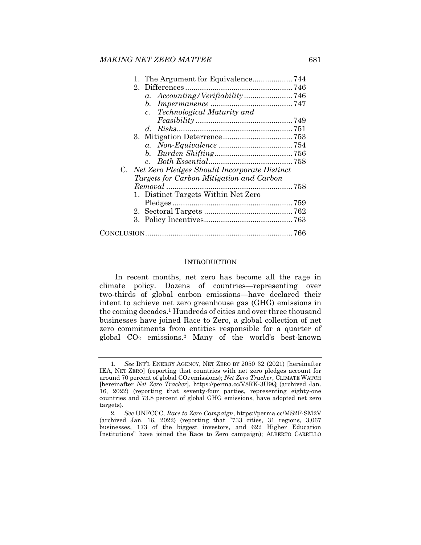| a. Accounting/Verifiability746                  |  |
|-------------------------------------------------|--|
|                                                 |  |
| Technological Maturity and<br>$c_{\cdot}$       |  |
|                                                 |  |
|                                                 |  |
|                                                 |  |
|                                                 |  |
|                                                 |  |
|                                                 |  |
| C. Net Zero Pledges Should Incorporate Distinct |  |
| Targets for Carbon Mitigation and Carbon        |  |
|                                                 |  |
| 1. Distinct Targets Within Net Zero             |  |
|                                                 |  |
|                                                 |  |
|                                                 |  |
|                                                 |  |
|                                                 |  |

#### **INTRODUCTION**

In recent months, net zero has become all the rage in climate policy. Dozens of countries—representing over two-thirds of global carbon emissions—have declared their intent to achieve net zero greenhouse gas (GHG) emissions in the coming decades.1 Hundreds of cities and over three thousand businesses have joined Race to Zero, a global collection of net zero commitments from entities responsible for a quarter of global CO2 emissions.2 Many of the world's best-known

<sup>1</sup>*. See* INT'L ENERGY AGENCY, NET ZERO BY 2050 32 (2021) [hereinafter IEA, NET ZERO] (reporting that countries with net zero pledges account for around 70 percent of global CO2 emissions); *Net Zero Tracker*, CLIMATE WATCH [hereinafter *Net Zero Tracker*], https://perma.cc/V8RK-3U9Q (archived Jan. 16, 2022) (reporting that seventy-four parties, representing eighty-one countries and 73.8 percent of global GHG emissions, have adopted net zero targets).

<sup>2</sup>*. See* UNFCCC, *Race to Zero Campaign*, https://perma.cc/MS2F-SM2V (archived Jan. 16, 2022) (reporting that "733 cities, 31 regions, 3,067 businesses, 173 of the biggest investors, and 622 Higher Education Institutions" have joined the Race to Zero campaign); ALBERTO CARRILLO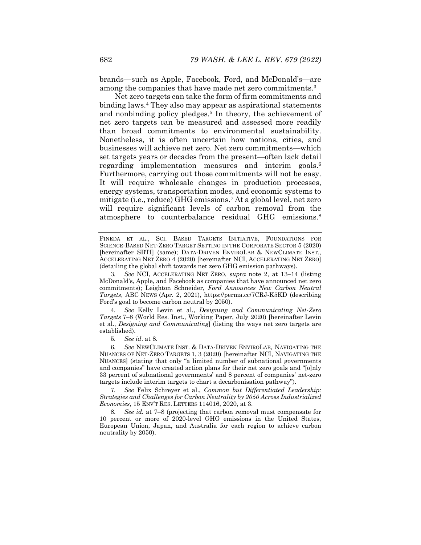brands—such as Apple, Facebook, Ford, and McDonald's—are among the companies that have made net zero commitments.3

Net zero targets can take the form of firm commitments and binding laws.4 They also may appear as aspirational statements and nonbinding policy pledges.<sup>5</sup> In theory, the achievement of net zero targets can be measured and assessed more readily than broad commitments to environmental sustainability. Nonetheless, it is often uncertain how nations, cities, and businesses will achieve net zero. Net zero commitments—which set targets years or decades from the present—often lack detail regarding implementation measures and interim goals.6 Furthermore, carrying out those commitments will not be easy. It will require wholesale changes in production processes, energy systems, transportation modes, and economic systems to mitigate (i.e., reduce) GHG emissions.7 At a global level, net zero will require significant levels of carbon removal from the atmosphere to counterbalance residual GHG emissions.8

PINEDA ET AL., SCI. BASED TARGETS INITIATIVE, FOUNDATIONS FOR SCIENCE-BASED NET-ZERO TARGET SETTING IN THE CORPORATE SECTOR 5 (2020) [hereinafter SBTI] (same); DATA-DRIVEN ENVIROLAB & NEWCLIMATE INST., ACCELERATING NET ZERO 4 (2020) [hereinafter NCI, ACCELERATING NET ZERO] (detailing the global shift towards net zero GHG emission pathways).

3*. See* NCI, ACCELERATING NET ZERO, *supra* note 2, at 13–14 (listing McDonald's, Apple, and Facebook as companies that have announced net zero commitments); Leighton Schneider, *Ford Announces New Carbon Neutral Targets*, ABC NEWS (Apr. 2, 2021), https://perma.cc/7CRJ-K5KD (describing Ford's goal to become carbon neutral by 2050).

4*. See* Kelly Levin et al., *Designing and Communicating Net-Zero Targets* 7–8 (World Res. Inst., Working Paper, July 2020) [hereinafter Levin et al., *Designing and Communicating*] (listing the ways net zero targets are established).

5*. See id*. at 8.

6*. See* NEWCLIMATE INST. & DATA-DRIVEN ENVIROLAB, NAVIGATING THE NUANCES OF NET-ZERO TARGETS 1, 3 (2020) [hereinafter NCI, NAVIGATING THE NUANCES] (stating that only "a limited number of subnational governments and companies" have created action plans for their net zero goals and "[o]nly 33 percent of subnational governments' and 8 percent of companies' net-zero targets include interim targets to chart a decarbonisation pathway").

7*. See* Felix Schreyer et al., *Common but Differentiated Leadership: Strategies and Challenges for Carbon Neutrality by 2050 Across Industrialized Economies*, 15 ENV'T RES. LETTERS 114016, 2020, at 3.

8*. See id.* at 7–8 (projecting that carbon removal must compensate for 10 percent or more of 2020-level GHG emissions in the United States, European Union, Japan, and Australia for each region to achieve carbon neutrality by 2050).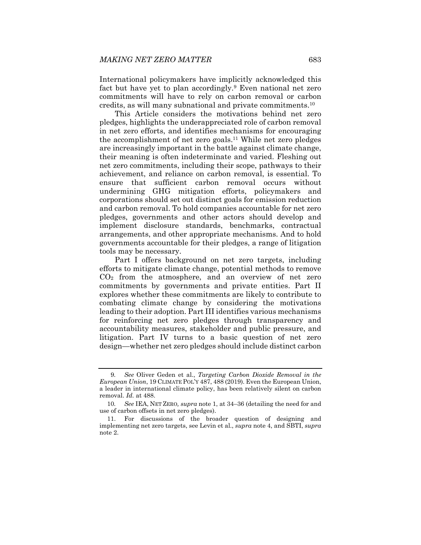International policymakers have implicitly acknowledged this fact but have yet to plan accordingly.<sup>9</sup> Even national net zero commitments will have to rely on carbon removal or carbon credits, as will many subnational and private commitments.10

This Article considers the motivations behind net zero pledges, highlights the underappreciated role of carbon removal in net zero efforts, and identifies mechanisms for encouraging the accomplishment of net zero goals.11 While net zero pledges are increasingly important in the battle against climate change, their meaning is often indeterminate and varied. Fleshing out net zero commitments, including their scope, pathways to their achievement, and reliance on carbon removal, is essential. To ensure that sufficient carbon removal occurs without undermining GHG mitigation efforts, policymakers and corporations should set out distinct goals for emission reduction and carbon removal. To hold companies accountable for net zero pledges, governments and other actors should develop and implement disclosure standards, benchmarks, contractual arrangements, and other appropriate mechanisms. And to hold governments accountable for their pledges, a range of litigation tools may be necessary.

Part I offers background on net zero targets, including efforts to mitigate climate change, potential methods to remove CO2 from the atmosphere, and an overview of net zero commitments by governments and private entities. Part II explores whether these commitments are likely to contribute to combating climate change by considering the motivations leading to their adoption. Part III identifies various mechanisms for reinforcing net zero pledges through transparency and accountability measures, stakeholder and public pressure, and litigation. Part IV turns to a basic question of net zero design—whether net zero pledges should include distinct carbon

<sup>9</sup>*. See* Oliver Geden et al., *Targeting Carbon Dioxide Removal in the European Union*, 19 CLIMATE POL'Y 487, 488 (2019). Even the European Union, a leader in international climate policy, has been relatively silent on carbon removal. *Id.* at 488.

<sup>10</sup>*. See* IEA, NET ZERO*, supra* note 1, at 34–36 (detailing the need for and use of carbon offsets in net zero pledges).

 <sup>11.</sup> For discussions of the broader question of designing and implementing net zero targets, see Levin et al., *supra* note 4, and SBTI, *supra* note 2.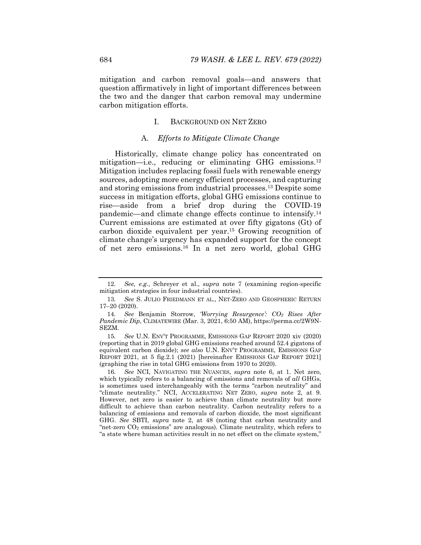mitigation and carbon removal goals—and answers that question affirmatively in light of important differences between the two and the danger that carbon removal may undermine carbon mitigation efforts.

#### I. BACKGROUND ON NET ZERO

#### A. *Efforts to Mitigate Climate Change*

Historically, climate change policy has concentrated on mitigation—i.e., reducing or eliminating GHG emissions.12 Mitigation includes replacing fossil fuels with renewable energy sources, adopting more energy efficient processes, and capturing and storing emissions from industrial processes.13 Despite some success in mitigation efforts, global GHG emissions continue to rise—aside from a brief drop during the COVID-19 pandemic—and climate change effects continue to intensify.14 Current emissions are estimated at over fifty gigatons (Gt) of carbon dioxide equivalent per year.15 Growing recognition of climate change's urgency has expanded support for the concept of net zero emissions.16 In a net zero world, global GHG

<sup>12</sup>*. See, e.g.*, Schreyer et al., *supra* note 7 (examining region-specific mitigation strategies in four industrial countries).

<sup>13</sup>*. See* S. JULIO FRIEDMANN ET AL., NET-ZERO AND GEOSPHERIC RETURN 17–20 (2020).

<sup>14</sup>*. See* Benjamin Storrow, *'Worrying Resurgence': CO2 Rises After Pandemic Dip*, CLIMATEWIRE (Mar. 3, 2021, 6:50 AM), https://perma.cc/2W9N-SEZM.

<sup>15</sup>*. See* U.N. ENV'T PROGRAMME, EMISSIONS GAP REPORT 2020 xiv (2020) (reporting that in 2019 global GHG emissions reached around 52.4 gigatons of equivalent carbon dioxide); *see also* U.N. ENV'T PROGRAMME, EMISSIONS GAP REPORT 2021, at 5 fig.2.1 (2021) [hereinafter EMISSIONS GAP REPORT 2021] (graphing the rise in total GHG emissions from 1970 to 2020).

<sup>16</sup>*. See* NCI, NAVIGATING THE NUANCES, *supra* note 6, at 1. Net zero, which typically refers to a balancing of emissions and removals of *all* GHGs, is sometimes used interchangeably with the terms "carbon neutrality" and "climate neutrality." NCI, ACCELERATING NET ZERO, *supra* note 2, at 9. However, net zero is easier to achieve than climate neutrality but more difficult to achieve than carbon neutrality. Carbon neutrality refers to a balancing of emissions and removals of carbon dioxide, the most significant GHG. *See* SBTI, *supra* note 2, at 48 (noting that carbon neutrality and "net-zero  $CO<sub>2</sub>$  emissions" are analogous). Climate neutrality, which refers to "a state where human activities result in no net effect on the climate system,"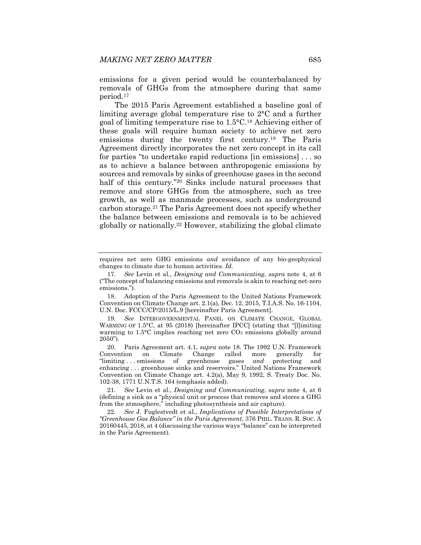emissions for a given period would be counterbalanced by removals of GHGs from the atmosphere during that same period.17

The 2015 Paris Agreement established a baseline goal of limiting average global temperature rise to 2°C and a further goal of limiting temperature rise to 1.5°C.18 Achieving either of these goals will require human society to achieve net zero emissions during the twenty first century.19 The Paris Agreement directly incorporates the net zero concept in its call for parties "to undertake rapid reductions [in emissions] . . . so as to achieve a balance between anthropogenic emissions by sources and removals by sinks of greenhouse gases in the second half of this century."<sup>20</sup> Sinks include natural processes that remove and store GHGs from the atmosphere, such as tree growth, as well as manmade processes, such as underground carbon storage.21 The Paris Agreement does not specify whether the balance between emissions and removals is to be achieved globally or nationally.22 However, stabilizing the global climate

 18. Adoption of the Paris Agreement to the United Nations Framework Convention on Climate Change art. 2.1(a), Dec. 12, 2015, T.I.A.S. No. 16-1104, U.N. Doc. FCCC/CP/2015/L.9 [hereinafter Paris Agreement].

19*. See* INTERGOVERNMENTAL PANEL ON CLIMATE CHANGE, GLOBAL WARMING OF 1.5°C, at 95 (2018) [hereinafter IPCC] (stating that "[l]imiting warming to  $1.5^{\circ}$ C implies reaching net zero  $CO<sub>2</sub>$  emissions globally around 2050").

 20. Paris Agreement art. 4.1, *supra* note 18. The 1992 U.N. Framework Convention on Climate Change called more generally for "limiting . . . emissions of greenhouse gases *and* protecting and enhancing . . . greenhouse sinks and reservoirs." United Nations Framework Convention on Climate Change art. 4.2(a), May 9, 1992, S. Treaty Doc. No. 102-38, 1771 U.N.T.S. 164 (emphasis added).

21*. See* Levin et al., *Designing and Communicating*, *supra* note 4, at 6 (defining a sink as a "physical unit or process that removes and stores a GHG from the atmosphere," including photosynthesis and air capture).

22*. See* J. Fuglestvedt et al., *Implications of Possible Interpretations of "Greenhouse Gas Balance" in the Paris Agreement*, 376 PHIL. TRANS. R. SOC. A 20160445, 2018, at 4 (discussing the various ways "balance" can be interpreted in the Paris Agreement).

requires net zero GHG emissions *and* avoidance of any bio-geophysical changes to climate due to human activities. *Id.*

<sup>17</sup>*. See* Levin et al., *Designing and Communicating*, *supra* note 4, at 6 ("The concept of balancing emissions and removals is akin to reaching net-zero emissions.").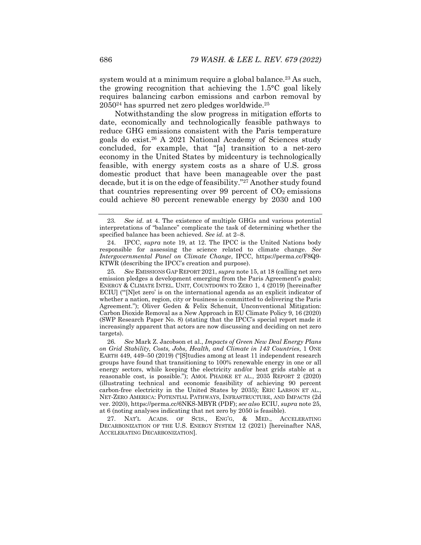system would at a minimum require a global balance.<sup>23</sup> As such, the growing recognition that achieving the 1.5°C goal likely requires balancing carbon emissions and carbon removal by 205024 has spurred net zero pledges worldwide.25

Notwithstanding the slow progress in mitigation efforts to date, economically and technologically feasible pathways to reduce GHG emissions consistent with the Paris temperature goals do exist.26 A 2021 National Academy of Sciences study concluded, for example, that "[a] transition to a net-zero economy in the United States by midcentury is technologically feasible, with energy system costs as a share of U.S. gross domestic product that have been manageable over the past decade, but it is on the edge of feasibility."27 Another study found that countries representing over 99 percent of  $CO<sub>2</sub>$  emissions could achieve 80 percent renewable energy by 2030 and 100

<sup>23</sup>*. See id*. at 4. The existence of multiple GHGs and various potential interpretations of "balance" complicate the task of determining whether the specified balance has been achieved. *See id.* at 2–8.

IPCC, *supra* note 19, at 12. The IPCC is the United Nations body responsible for assessing the science related to climate change. *See Intergovernmental Panel on Climate Change*, IPCC, https://perma.cc/F8Q9- KTWR (describing the IPCC's creation and purpose).

<sup>25</sup>*. See* EMISSIONS GAP REPORT 2021, *supra* note 15, at 18 (calling net zero emission pledges a development emerging from the Paris Agreement's goals); ENERGY & CLIMATE INTEL. UNIT, COUNTDOWN TO ZERO 1, 4 (2019) [hereinafter ECIU] ("'[N]et zero' is on the international agenda as an explicit indicator of whether a nation, region, city or business is committed to delivering the Paris Agreement."); Oliver Geden & Felix Schenuit, Unconventional Mitigation: Carbon Dioxide Removal as a New Approach in EU Climate Policy 9, 16 (2020) (SWP Research Paper No. 8) (stating that the IPCC's special report made it increasingly apparent that actors are now discussing and deciding on net zero targets).

<sup>26</sup>*. See* Mark Z. Jacobson et al., *Impacts of Green New Deal Energy Plans on Grid Stability, Costs, Jobs, Health, and Climate in 143 Countries*, 1 ONE EARTH 449, 449–50 (2019) ("[S]tudies among at least 11 independent research groups have found that transitioning to 100% renewable energy in one or all energy sectors, while keeping the electricity and/or heat grids stable at a reasonable cost, is possible."); AMOL PHADKE ET AL., 2035 REPORT 2 (2020) (illustrating technical and economic feasibility of achieving 90 percent carbon-free electricity in the United States by 2035); ERIC LARSON ET AL., NET-ZERO AMERICA: POTENTIAL PATHWAYS, INFRASTRUCTURE, AND IMPACTS (2d ver. 2020), https://perma.cc/6NKS-MBYR (PDF); *see also* ECIU, *supra* note 25, at 6 (noting analyses indicating that net zero by 2050 is feasible).

 <sup>27.</sup> NAT'L ACADS. OF SCIS., ENG'G, & MED., ACCELERATING DECARBONIZATION OF THE U.S. ENERGY SYSTEM 12 (2021) [hereinafter NAS, ACCELERATING DECARBONIZATION].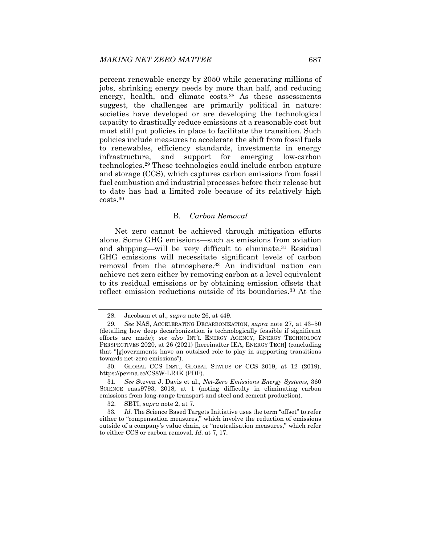percent renewable energy by 2050 while generating millions of jobs, shrinking energy needs by more than half, and reducing energy, health, and climate costs.<sup>28</sup> As these assessments suggest, the challenges are primarily political in nature: societies have developed or are developing the technological capacity to drastically reduce emissions at a reasonable cost but must still put policies in place to facilitate the transition. Such policies include measures to accelerate the shift from fossil fuels to renewables, efficiency standards, investments in energy infrastructure, and support for emerging low-carbon technologies.29 These technologies could include carbon capture and storage (CCS), which captures carbon emissions from fossil fuel combustion and industrial processes before their release but to date has had a limited role because of its relatively high costs.30

# B. *Carbon Removal*

Net zero cannot be achieved through mitigation efforts alone. Some GHG emissions—such as emissions from aviation and shipping—will be very difficult to eliminate.31 Residual GHG emissions will necessitate significant levels of carbon removal from the atmosphere.<sup>32</sup> An individual nation can achieve net zero either by removing carbon at a level equivalent to its residual emissions or by obtaining emission offsets that reflect emission reductions outside of its boundaries.33 At the

 <sup>28.</sup> Jacobson et al., *supra* note 26, at 449.

<sup>29</sup>*. See* NAS, ACCELERATING DECARBONIZATION, *supra* note 27, at 43–50 (detailing how deep decarbonization is technologically feasible if significant efforts are made); *see also* INT'L ENERGY AGENCY, ENERGY TECHNOLOGY PERSPECTIVES 2020, at 26 (2021) [hereinafter IEA, ENERGY TECH] (concluding that "[g]overnments have an outsized role to play in supporting transitions towards net-zero emissions").

GLOBAL CCS INST., GLOBAL STATUS OF CCS 2019, at 12 (2019), https://perma.cc/CS8W-LR4K (PDF).

<sup>31</sup>*. See* Steven J. Davis et al., *Net-Zero Emissions Energy Systems*, 360 SCIENCE eaas9793, 2018, at 1 (noting difficulty in eliminating carbon emissions from long-range transport and steel and cement production).

 <sup>32.</sup> SBTI, *supra* note 2, at 7.

<sup>33</sup>*. Id.* The Science Based Targets Initiative uses the term "offset" to refer either to "compensation measures," which involve the reduction of emissions outside of a company's value chain, or "neutralisation measures," which refer to either CCS or carbon removal. *Id.* at 7, 17.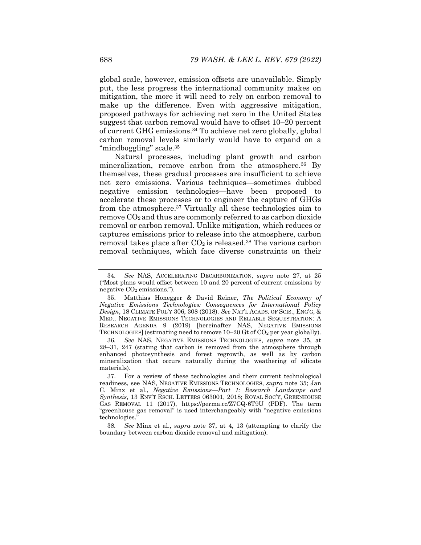global scale, however, emission offsets are unavailable. Simply put, the less progress the international community makes on mitigation, the more it will need to rely on carbon removal to make up the difference. Even with aggressive mitigation, proposed pathways for achieving net zero in the United States suggest that carbon removal would have to offset 10–20 percent of current GHG emissions.34 To achieve net zero globally, global carbon removal levels similarly would have to expand on a "mindboggling" scale.<sup>35</sup>

Natural processes, including plant growth and carbon mineralization, remove carbon from the atmosphere.<sup>36</sup> By themselves, these gradual processes are insufficient to achieve net zero emissions. Various techniques—sometimes dubbed negative emission technologies—have been proposed to accelerate these processes or to engineer the capture of GHGs from the atmosphere.37 Virtually all these technologies aim to remove CO2 and thus are commonly referred to as carbon dioxide removal or carbon removal. Unlike mitigation, which reduces or captures emissions prior to release into the atmosphere, carbon removal takes place after  $CO<sub>2</sub>$  is released.<sup>38</sup> The various carbon removal techniques, which face diverse constraints on their

36*. See* NAS, NEGATIVE EMISSIONS TECHNOLOGIES, *supra* note 35, at 28–31, 247 (stating that carbon is removed from the atmosphere through enhanced photosynthesis and forest regrowth, as well as by carbon mineralization that occurs naturally during the weathering of silicate materials).

<sup>34</sup>*. See* NAS, ACCELERATING DECARBONIZATION, *supra* note 27, at 25 ("Most plans would offset between 10 and 20 percent of current emissions by negative  $CO<sub>2</sub>$  emissions.").

 <sup>35.</sup> Matthias Honegger & David Reiner, *The Political Economy of Negative Emissions Technologies: Consequences for International Policy Design*, 18 CLIMATE POL'Y 306, 308 (2018). *See* NAT'L ACADS. OF SCIS., ENG'G, & MED., NEGATIVE EMISSIONS TECHNOLOGIES AND RELIABLE SEQUESTRATION: A RESEARCH AGENDA 9 (2019) [hereinafter NAS, NEGATIVE EMISSIONS TECHNOLOGIES] (estimating need to remove 10–20 Gt of CO2 per year globally).

 <sup>37.</sup> For a review of these technologies and their current technological readiness, see NAS, NEGATIVE EMISSIONS TECHNOLOGIES, *supra* note 35; Jan C. Minx et al., *Negative Emissions—Part 1: Research Landscape and Synthesis*, 13 ENV'T RSCH. LETTERS 063001, 2018; ROYAL SOC'Y, GREENHOUSE GAS REMOVAL 11 (2017), https://perma.cc/Z7CQ-6T9U (PDF). The term "greenhouse gas removal" is used interchangeably with "negative emissions technologies.

<sup>38</sup>*. See* Minx et al., *supra* note 37, at 4, 13 (attempting to clarify the boundary between carbon dioxide removal and mitigation).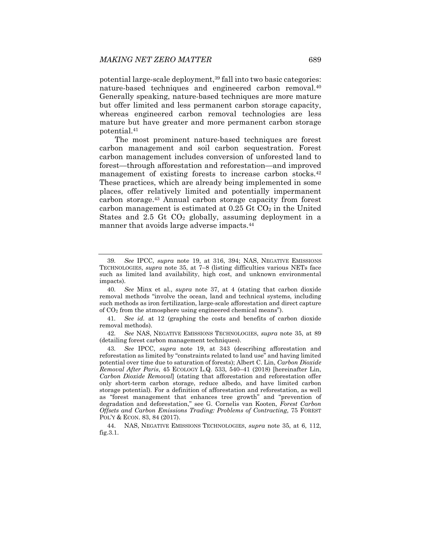potential large-scale deployment,<sup>39</sup> fall into two basic categories: nature-based techniques and engineered carbon removal.40 Generally speaking, nature-based techniques are more mature but offer limited and less permanent carbon storage capacity, whereas engineered carbon removal technologies are less mature but have greater and more permanent carbon storage potential.41

The most prominent nature-based techniques are forest carbon management and soil carbon sequestration. Forest carbon management includes conversion of unforested land to forest—through afforestation and reforestation—and improved management of existing forests to increase carbon stocks.<sup>42</sup> These practices, which are already being implemented in some places, offer relatively limited and potentially impermanent carbon storage.43 Annual carbon storage capacity from forest carbon management is estimated at  $0.25$  Gt  $CO<sub>2</sub>$  in the United States and 2.5 Gt  $CO<sub>2</sub>$  globally, assuming deployment in a manner that avoids large adverse impacts.<sup>44</sup>

<sup>39</sup>*. See* IPCC, *supra* note 19, at 316, 394; NAS, NEGATIVE EMISSIONS TECHNOLOGIES, *supra* note 35, at 7–8 (listing difficulties various NETs face such as limited land availability, high cost, and unknown environmental impacts).

<sup>40</sup>*. See* Minx et al., *supra* note 37, at 4 (stating that carbon dioxide removal methods "involve the ocean, land and technical systems, including such methods as iron fertilization, large-scale afforestation and direct capture of CO2 from the atmosphere using engineered chemical means").

<sup>41</sup>*. See id.* at 12 (graphing the costs and benefits of carbon dioxide removal methods).

<sup>42</sup>*. See* NAS, NEGATIVE EMISSIONS TECHNOLOGIES, *supra* note 35, at 89 (detailing forest carbon management techniques).

<sup>43</sup>*. See* IPCC, *supra* note 19, at 343 (describing afforestation and reforestation as limited by "constraints related to land use" and having limited potential over time due to saturation of forests); Albert C. Lin, *Carbon Dioxide Removal After Paris*, 45 ECOLOGY L.Q. 533, 540–41 (2018) [hereinafter Lin, *Carbon Dioxide Removal*] (stating that afforestation and reforestation offer only short-term carbon storage, reduce albedo, and have limited carbon storage potential). For a definition of afforestation and reforestation, as well as "forest management that enhances tree growth" and "prevention of degradation and deforestation," see G. Cornelis van Kooten, *Forest Carbon Offsets and Carbon Emissions Trading: Problems of Contracting*, 75 FOREST POL'Y & ECON. 83, 84 (2017).

 <sup>44.</sup> NAS, NEGATIVE EMISSIONS TECHNOLOGIES, *supra* note 35, at 6, 112, fig.3.1.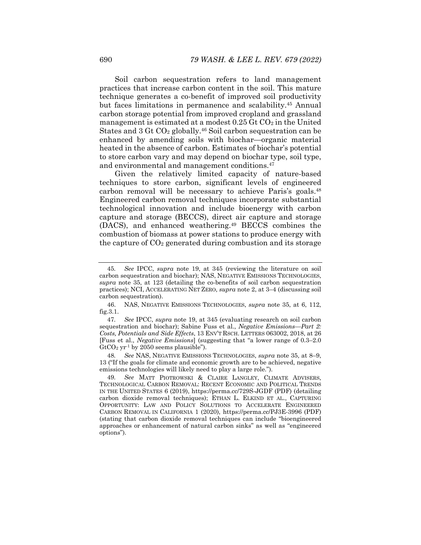Soil carbon sequestration refers to land management practices that increase carbon content in the soil. This mature technique generates a co-benefit of improved soil productivity but faces limitations in permanence and scalability.45 Annual carbon storage potential from improved cropland and grassland management is estimated at a modest  $0.25 \mathrm{G}$ t CO<sub>2</sub> in the United States and  $3 \text{ Gt CO}_2$  globally.<sup>46</sup> Soil carbon sequestration can be enhanced by amending soils with biochar—organic material heated in the absence of carbon. Estimates of biochar's potential to store carbon vary and may depend on biochar type, soil type, and environmental and management conditions.47

Given the relatively limited capacity of nature-based techniques to store carbon, significant levels of engineered carbon removal will be necessary to achieve Paris's goals.48 Engineered carbon removal techniques incorporate substantial technological innovation and include bioenergy with carbon capture and storage (BECCS), direct air capture and storage (DACS), and enhanced weathering.49 BECCS combines the combustion of biomass at power stations to produce energy with the capture of  $CO<sub>2</sub>$  generated during combustion and its storage

48*. See* NAS, NEGATIVE EMISSIONS TECHNOLOGIES, *supra* note 35, at 8–9, 13 ("If the goals for climate and economic growth are to be achieved, negative emissions technologies will likely need to play a large role.").

<sup>45</sup>*. See* IPCC, *supra* note 19, at 345 (reviewing the literature on soil carbon sequestration and biochar); NAS, NEGATIVE EMISSIONS TECHNOLOGIES, *supra* note 35, at 123 (detailing the co-benefits of soil carbon sequestration practices); NCI, ACCELERATING NET ZERO, *supra* note 2, at 3–4 (discussing soil carbon sequestration).

 <sup>46.</sup> NAS, NEGATIVE EMISSIONS TECHNOLOGIES, *supra* note 35, at 6, 112, fig.3.1.

<sup>47</sup>*. See* IPCC, *supra* note 19, at 345 (evaluating research on soil carbon sequestration and biochar); Sabine Fuss et al., *Negative Emissions—Part 2: Costs, Potentials and Side Effects*, 13 ENV'T RSCH. LETTERS 063002, 2018, at 26 [Fuss et al., *Negative Emissions*] (suggesting that "a lower range of 0.3–2.0  $GtCO<sub>2</sub> yr<sup>-1</sup>$  by 2050 seems plausible").

<sup>49</sup>*. See* MATT PIOTROWSKI & CLAIRE LANGLEY, CLIMATE ADVISERS, TECHNOLOGICAL CARBON REMOVAL: RECENT ECONOMIC AND POLITICAL TRENDS IN THE UNITED STATES 6 (2019), https://perma.cc/729S-JGDF (PDF) (detailing carbon dioxide removal techniques); ETHAN L. ELKIND ET AL., CAPTURING OPPORTUNITY: LAW AND POLICY SOLUTIONS TO ACCELERATE ENGINEERED CARBON REMOVAL IN CALIFORNIA 1 (2020), https://perma.cc/PJ3E-3996 (PDF) (stating that carbon dioxide removal techniques can include "bioengineered approaches or enhancement of natural carbon sinks" as well as "engineered options").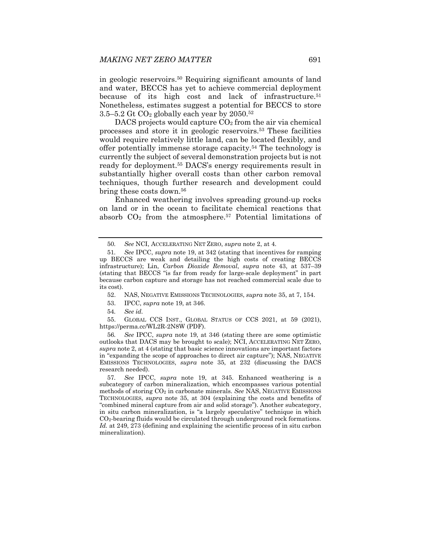in geologic reservoirs.50 Requiring significant amounts of land and water, BECCS has yet to achieve commercial deployment because of its high cost and lack of infrastructure.51 Nonetheless, estimates suggest a potential for BECCS to store 3.5–5.2 Gt  $CO<sub>2</sub>$  globally each year by 2050.<sup>52</sup>

DACS projects would capture  $CO<sub>2</sub>$  from the air via chemical processes and store it in geologic reservoirs.53 These facilities would require relatively little land, can be located flexibly, and offer potentially immense storage capacity.54 The technology is currently the subject of several demonstration projects but is not ready for deployment.55 DACS's energy requirements result in substantially higher overall costs than other carbon removal techniques, though further research and development could bring these costs down.<sup>56</sup>

Enhanced weathering involves spreading ground-up rocks on land or in the ocean to facilitate chemical reactions that absorb  $CO<sub>2</sub>$  from the atmosphere.<sup>57</sup> Potential limitations of

54*. See id.*

 55. GLOBAL CCS INST., GLOBAL STATUS OF CCS 2021, at 59 (2021), https://perma.cc/WL2R-2N8W (PDF).

56*. See* IPCC, *supra* note 19, at 346 (stating there are some optimistic outlooks that DACS may be brought to scale); NCI, ACCELERATING NET ZERO, *supra* note 2, at 4 (stating that basic science innovations are important factors in "expanding the scope of approaches to direct air capture"); NAS, NEGATIVE EMISSIONS TECHNOLOGIES, *supra* note 35, at 232 (discussing the DACS research needed).

57*. See* IPCC, *supra* note 19, at 345. Enhanced weathering is a subcategory of carbon mineralization, which encompasses various potential methods of storing CO2 in carbonate minerals. *See* NAS, NEGATIVE EMISSIONS TECHNOLOGIES, *supra* note 35, at 304 (explaining the costs and benefits of "combined mineral capture from air and solid storage"). Another subcategory, in situ carbon mineralization, is "a largely speculative" technique in which  $CO<sub>2</sub>$ -bearing fluids would be circulated through underground rock formations. *Id.* at 249, 273 (defining and explaining the scientific process of in situ carbon mineralization).

<sup>50</sup>*. See* NCI, ACCELERATING NET ZERO, *supra* note 2, at 4.

<sup>51</sup>*. See* IPCC, *supra* note 19, at 342 (stating that incentives for ramping up BECCS are weak and detailing the high costs of creating BECCS infrastructure); Lin, *Carbon Dioxide Removal*, *supra* note 43, at 537–39 (stating that BECCS "is far from ready for large-scale deployment" in part because carbon capture and storage has not reached commercial scale due to its cost).

 <sup>52.</sup> NAS, NEGATIVE EMISSIONS TECHNOLOGIES, *supra* note 35, at 7, 154.

 <sup>53.</sup> IPCC, *supra* note 19, at 346.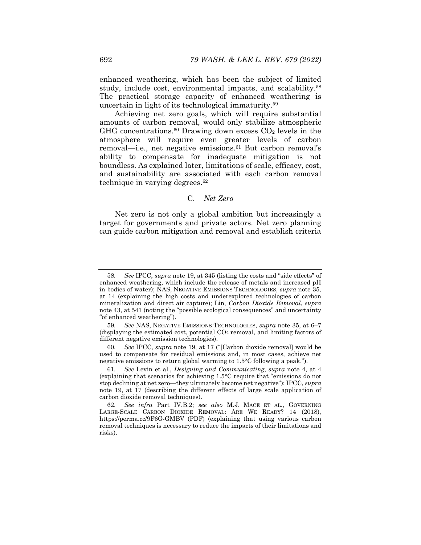enhanced weathering, which has been the subject of limited study, include cost, environmental impacts, and scalability.58 The practical storage capacity of enhanced weathering is uncertain in light of its technological immaturity.59

Achieving net zero goals, which will require substantial amounts of carbon removal, would only stabilize atmospheric  $GHG$  concentrations.<sup>60</sup> Drawing down excess  $CO<sub>2</sub>$  levels in the atmosphere will require even greater levels of carbon removal—i.e., net negative emissions.<sup>61</sup> But carbon removal's ability to compensate for inadequate mitigation is not boundless. As explained later, limitations of scale, efficacy, cost, and sustainability are associated with each carbon removal technique in varying degrees. $62$ 

# C. *Net Zero*

Net zero is not only a global ambition but increasingly a target for governments and private actors. Net zero planning can guide carbon mitigation and removal and establish criteria

<sup>58</sup>*. See* IPCC, *supra* note 19, at 345 (listing the costs and "side effects" of enhanced weathering, which include the release of metals and increased pH in bodies of water); NAS, NEGATIVE EMISSIONS TECHNOLOGIES, *supra* note 35, at 14 (explaining the high costs and underexplored technologies of carbon mineralization and direct air capture); Lin, *Carbon Dioxide Removal*, *supra* note 43, at 541 (noting the "possible ecological consequences" and uncertainty "of enhanced weathering").

<sup>59</sup>*. See* NAS, NEGATIVE EMISSIONS TECHNOLOGIES, *supra* note 35, at 6–7 (displaying the estimated cost, potential  $CO<sub>2</sub>$  removal, and limiting factors of different negative emission technologies).

<sup>60</sup>*. See* IPCC, *supra* note 19, at 17 ("[Carbon dioxide removal] would be used to compensate for residual emissions and, in most cases, achieve net negative emissions to return global warming to 1.5°C following a peak.").

<sup>61</sup>*. See* Levin et al., *Designing and Communicating*, *supra* note 4, at 4 (explaining that scenarios for achieving 1.5°C require that "emissions do not stop declining at net zero—they ultimately become net negative"); IPCC, *supra* note 19, at 17 (describing the different effects of large scale application of carbon dioxide removal techniques).

<sup>62</sup>*. See infra* Part IV.B.2; *see also* M.J. MACE ET AL., GOVERNING LARGE-SCALE CARBON DIOXIDE REMOVAL: ARE WE READY? 14 (2018), https://perma.cc/9F6G-GMBV (PDF) (explaining that using various carbon removal techniques is necessary to reduce the impacts of their limitations and risks).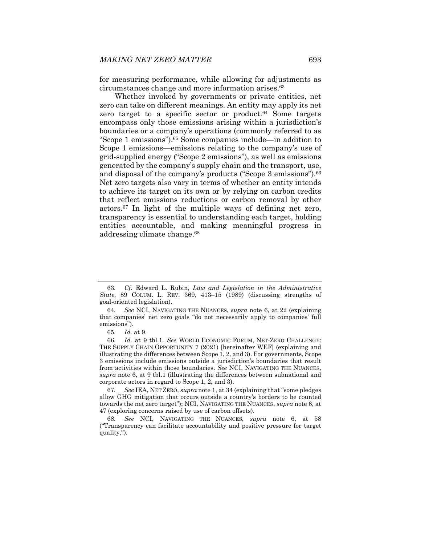for measuring performance, while allowing for adjustments as circumstances change and more information arises.63

Whether invoked by governments or private entities, net zero can take on different meanings. An entity may apply its net zero target to a specific sector or product. $64$  Some targets encompass only those emissions arising within a jurisdiction's boundaries or a company's operations (commonly referred to as "Scope 1 emissions").65 Some companies include—in addition to Scope 1 emissions—emissions relating to the company's use of grid-supplied energy ("Scope 2 emissions"), as well as emissions generated by the company's supply chain and the transport, use, and disposal of the company's products ("Scope 3 emissions").<sup>66</sup> Net zero targets also vary in terms of whether an entity intends to achieve its target on its own or by relying on carbon credits that reflect emissions reductions or carbon removal by other actors.67 In light of the multiple ways of defining net zero, transparency is essential to understanding each target, holding entities accountable, and making meaningful progress in addressing climate change.68

<sup>63</sup>*. Cf.* Edward L. Rubin, *Law and Legislation in the Administrative State*, 89 COLUM. L. REV. 369, 413–15 (1989) (discussing strengths of goal-oriented legislation).

<sup>64</sup>*. See* NCI, NAVIGATING THE NUANCES, *supra* note 6, at 22 (explaining that companies' net zero goals "do not necessarily apply to companies' full emissions").

<sup>65</sup>*. Id.* at 9.

<sup>66</sup>*. Id.* at 9 tbl.1. *See* WORLD ECONOMIC FORUM, NET-ZERO CHALLENGE: THE SUPPLY CHAIN OPPORTUNITY 7 (2021) [hereinafter WEF] (explaining and illustrating the differences between Scope 1, 2, and 3). For governments, Scope 3 emissions include emissions outside a jurisdiction's boundaries that result from activities within those boundaries. *See* NCI, NAVIGATING THE NUANCES, *supra* note 6, at 9 tbl.1 (illustrating the differences between subnational and corporate actors in regard to Scope 1, 2, and 3).

<sup>67</sup>*. See* IEA, NET ZERO, *supra* note 1, at 34 (explaining that "some pledges allow GHG mitigation that occurs outside a country's borders to be counted towards the net zero target"); NCI, NAVIGATING THE NUANCES, *supra* note 6, at 47 (exploring concerns raised by use of carbon offsets).

<sup>68</sup>*. See* NCI, NAVIGATING THE NUANCES, *supra* note 6, at 58 ("Transparency can facilitate accountability and positive pressure for target quality.").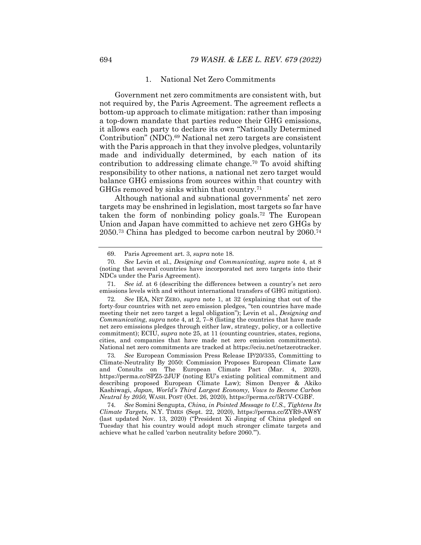### 1. National Net Zero Commitments

Government net zero commitments are consistent with, but not required by, the Paris Agreement. The agreement reflects a bottom-up approach to climate mitigation: rather than imposing a top-down mandate that parties reduce their GHG emissions, it allows each party to declare its own "Nationally Determined Contribution" (NDC).69 National net zero targets are consistent with the Paris approach in that they involve pledges, voluntarily made and individually determined, by each nation of its contribution to addressing climate change.70 To avoid shifting responsibility to other nations, a national net zero target would balance GHG emissions from sources within that country with GHGs removed by sinks within that country.71

Although national and subnational governments' net zero targets may be enshrined in legislation, most targets so far have taken the form of nonbinding policy goals.72 The European Union and Japan have committed to achieve net zero GHGs by 2050.73 China has pledged to become carbon neutral by 2060.74

73*. See* European Commission Press Release IP/20/335, Committing to Climate-Neutrality By 2050: Commission Proposes European Climate Law and Consults on The European Climate Pact (Mar. 4, 2020), https://perma.cc/SPZ5-2JUF (noting EU's existing political commitment and describing proposed European Climate Law); Simon Denyer & Akiko Kashiwagi, *Japan, World's Third Largest Economy, Vows to Become Carbon Neutral by 2050*, WASH. POST (Oct. 26, 2020), https://perma.cc/5R7V-CGBF.

74*. See* Somini Sengupta, *China, in Pointed Message to U.S., Tightens Its Climate Targets*, N.Y. TIMES (Sept. 22, 2020), https://perma.cc/ZYR9-AW8Y (last updated Nov. 13, 2020) ("President Xi Jinping of China pledged on Tuesday that his country would adopt much stronger climate targets and achieve what he called 'carbon neutrality before 2060.'").

 <sup>69.</sup> Paris Agreement art. 3, *supra* note 18.

<sup>70</sup>*. See* Levin et al., *Designing and Communicating*, *supra* note 4, at 8 (noting that several countries have incorporated net zero targets into their NDCs under the Paris Agreement).

<sup>71</sup>*. See id.* at 6 (describing the differences between a country's net zero emissions levels with and without international transfers of GHG mitigation).

<sup>72</sup>*. See* IEA, NET ZERO, *supra* note 1, at 32 (explaining that out of the forty-four countries with net zero emission pledges, "ten countries have made meeting their net zero target a legal obligation"); Levin et al., *Designing and Communicating*, *supra* note 4, at 2, 7–8 (listing the countries that have made net zero emissions pledges through either law, strategy, policy, or a collective commitment); ECIU, *supra* note 25, at 11 (counting countries, states, regions, cities, and companies that have made net zero emission commitments). National net zero commitments are tracked at https://eciu.net/netzerotracker.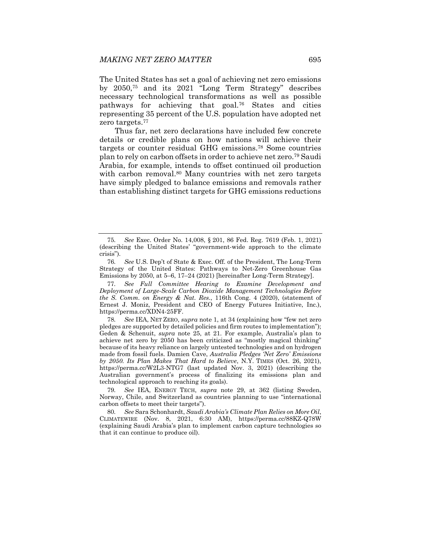The United States has set a goal of achieving net zero emissions by 2050,75 and its 2021 "Long Term Strategy" describes necessary technological transformations as well as possible pathways for achieving that goal.76 States and cities representing 35 percent of the U.S. population have adopted net zero targets.77

Thus far, net zero declarations have included few concrete details or credible plans on how nations will achieve their targets or counter residual GHG emissions.78 Some countries plan to rely on carbon offsets in order to achieve net zero.79 Saudi Arabia, for example, intends to offset continued oil production with carbon removal.<sup>80</sup> Many countries with net zero targets have simply pledged to balance emissions and removals rather than establishing distinct targets for GHG emissions reductions

<sup>75</sup>*. See* Exec. Order No. 14,008, § 201, 86 Fed. Reg. 7619 (Feb. 1, 2021) (describing the United States' "government-wide approach to the climate crisis").

<sup>76</sup>*. See* U.S. Dep't of State & Exec. Off. of the President, The Long-Term Strategy of the United States: Pathways to Net-Zero Greenhouse Gas Emissions by 2050, at 5–6, 17–24 (2021) [hereinafter Long-Term Strategy].

<sup>77</sup>*. See Full Committee Hearing to Examine Development and Deployment of Large-Scale Carbon Dioxide Management Technologies Before the S. Comm. on Energy & Nat. Res.*, 116th Cong. 4 (2020), (statement of Ernest J. Moniz, President and CEO of Energy Futures Initiative, Inc.), https://perma.cc/XDN4-25FF.

<sup>78</sup>*. See* IEA, NET ZERO, *supra* note 1, at 34 (explaining how "few net zero pledges are supported by detailed policies and firm routes to implementation"); Geden & Schenuit, *supra* note 25, at 21. For example, Australia's plan to achieve net zero by 2050 has been criticized as "mostly magical thinking" because of its heavy reliance on largely untested technologies and on hydrogen made from fossil fuels. Damien Cave, *Australia Pledges 'Net Zero' Emissions by 2050. Its Plan Makes That Hard to Believe*, N.Y. TIMES (Oct. 26, 2021), https://perma.cc/W2L3-NTG7 (last updated Nov. 3, 2021) (describing the Australian government's process of finalizing its emissions plan and technological approach to reaching its goals).

<sup>79</sup>*. See* IEA, ENERGY TECH, *supra* note 29, at 362 (listing Sweden, Norway, Chile, and Switzerland as countries planning to use "international carbon offsets to meet their targets").

<sup>80</sup>*. See* Sara Schonhardt, *Saudi Arabia's Climate Plan Relies on More Oil*, CLIMATEWIRE (Nov. 8, 2021, 6:30 AM), https://perma.cc/88KZ-Q78W (explaining Saudi Arabia's plan to implement carbon capture technologies so that it can continue to produce oil).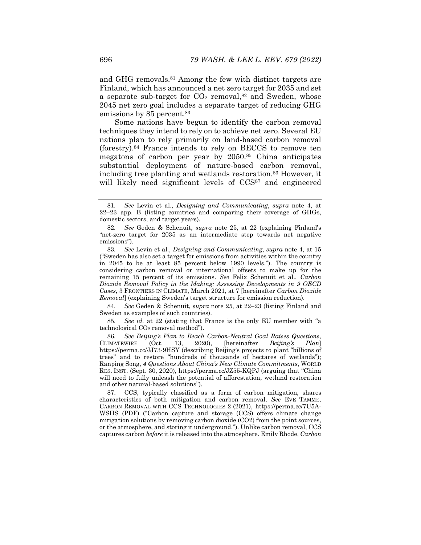and GHG removals.<sup>81</sup> Among the few with distinct targets are Finland, which has announced a net zero target for 2035 and set a separate sub-target for  $CO<sub>2</sub>$  removal,<sup>82</sup> and Sweden, whose 2045 net zero goal includes a separate target of reducing GHG emissions by 85 percent.<sup>83</sup>

Some nations have begun to identify the carbon removal techniques they intend to rely on to achieve net zero. Several EU nations plan to rely primarily on land-based carbon removal (forestry).84 France intends to rely on BECCS to remove ten megatons of carbon per year by 2050.85 China anticipates substantial deployment of nature-based carbon removal, including tree planting and wetlands restoration.<sup>86</sup> However, it will likely need significant levels of CCS<sup>87</sup> and engineered

84*. See* Geden & Schenuit, *supra* note 25, at 22–23 (listing Finland and Sweden as examples of such countries).

85*. See id.* at 22 (stating that France is the only EU member with "a technological CO2 removal method").

86*. See Beijing's Plan to Reach Carbon-Neutral Goal Raises Questions*, CLIMATEWIRE (Oct. 13, 2020), [hereinafter *Beijing's Plan*] https://perma.cc/JJ73-9HSY (describing Beijing's projects to plant "billions of trees" and to restore "hundreds of thousands of hectares of wetlands"); Ranping Song, *4 Questions About China's New Climate Commitments*, WORLD RES. INST. (Sept. 30, 2020), https://perma.cc/JZ55-KQPJ (arguing that "China will need to fully unleash the potential of afforestation, wetland restoration and other natural-based solutions").

 87. CCS, typically classified as a form of carbon mitigation, shares characteristics of both mitigation and carbon removal. *See* EVE TAMME, CARBON REMOVAL WITH CCS TECHNOLOGIES 2 (2021), https://perma.cc/7U5A-WSHS (PDF) ("Carbon capture and storage (CCS) offers climate change mitigation solutions by removing carbon dioxide (CO2) from the point sources, or the atmosphere, and storing it underground."). Unlike carbon removal, CCS captures carbon *before* it is released into the atmosphere. Emily Rhode, *Carbon* 

<sup>81</sup>*. See* Levin et al., *Designing and Communicating*, *supra* note 4, at 22–23 app. B (listing countries and comparing their coverage of GHGs, domestic sectors, and target years).

<sup>82</sup>*. See* Geden & Schenuit, *supra* note 25, at 22 (explaining Finland's "net-zero target for 2035 as an intermediate step towards net negative emissions").

<sup>83</sup>*. See* Levin et al., *Designing and Communicating*, *supra* note 4, at 15 ("Sweden has also set a target for emissions from activities within the country in 2045 to be at least 85 percent below 1990 levels."). The country is considering carbon removal or international offsets to make up for the remaining 15 percent of its emissions. *See* Felix Schenuit et al., *Carbon Dioxide Removal Policy in the Making: Assessing Developments in 9 OECD Cases*, 3 FRONTIERS IN CLIMATE, March 2021, at 7 [hereinafter *Carbon Dioxide Removal*] (explaining Sweden's target structure for emission reduction).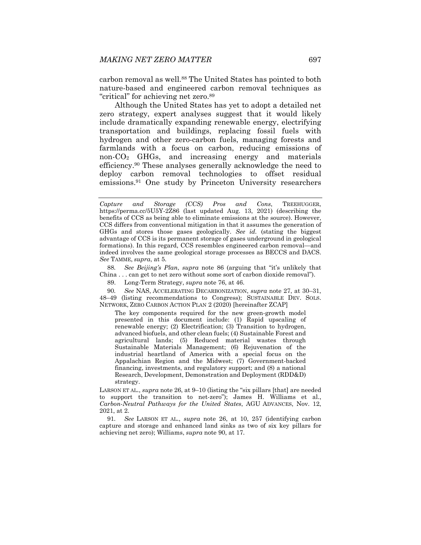carbon removal as well.<sup>88</sup> The United States has pointed to both nature-based and engineered carbon removal techniques as "critical" for achieving net zero.89

Although the United States has yet to adopt a detailed net zero strategy, expert analyses suggest that it would likely include dramatically expanding renewable energy, electrifying transportation and buildings, replacing fossil fuels with hydrogen and other zero-carbon fuels, managing forests and farmlands with a focus on carbon, reducing emissions of non-CO2 GHGs, and increasing energy and materials efficiency.90 These analyses generally acknowledge the need to deploy carbon removal technologies to offset residual emissions.91 One study by Princeton University researchers

88*. See Beijing's Plan*, *supra* note 86 (arguing that "it's unlikely that China . . . can get to net zero without some sort of carbon dioxide removal").

89. Long-Term Strategy, *supra* note 76, at 46.

90*. See* NAS, ACCELERATING DECARBONIZATION, *supra* note 27, at 30–31, 48–49 (listing recommendations to Congress); SUSTAINABLE DEV. SOLS. NETWORK, ZERO CARBON ACTION PLAN 2 (2020) [hereinafter ZCAP]

The key components required for the new green-growth model presented in this document include: (1) Rapid upscaling of renewable energy; (2) Electrification; (3) Transition to hydrogen, advanced biofuels, and other clean fuels; (4) Sustainable Forest and agricultural lands; (5) Reduced material wastes through Sustainable Materials Management; (6) Rejuvenation of the industrial heartland of America with a special focus on the Appalachian Region and the Midwest; (7) Government-backed financing, investments, and regulatory support; and (8) a national Research, Development, Demonstration and Deployment (RDD&D) strategy.

LARSON ET AL., *supra* note 26, at 9–10 (listing the "six pillars [that] are needed to support the transition to net-zero"); James H. Williams et al., *Carbon-Neutral Pathways for the United States*, AGU ADVANCES, Nov. 12, 2021, at 2.

91*. See* LARSON ET AL., *supra* note 26, at 10, 257 (identifying carbon capture and storage and enhanced land sinks as two of six key pillars for achieving net zero); Williams, *supra* note 90, at 17.

*Capture and Storage (CCS) Pros and Cons*, TREEHUGGER, https://perma.cc/5U5Y-2Z86 (last updated Aug. 13, 2021) (describing the benefits of CCS as being able to eliminate emissions at the source). However, CCS differs from conventional mitigation in that it assumes the generation of GHGs and stores those gases geologically. *See id.* (stating the biggest advantage of CCS is its permanent storage of gases underground in geological formations). In this regard, CCS resembles engineered carbon removal—and indeed involves the same geological storage processes as BECCS and DACS. *See* TAMME, *supra*, at 5.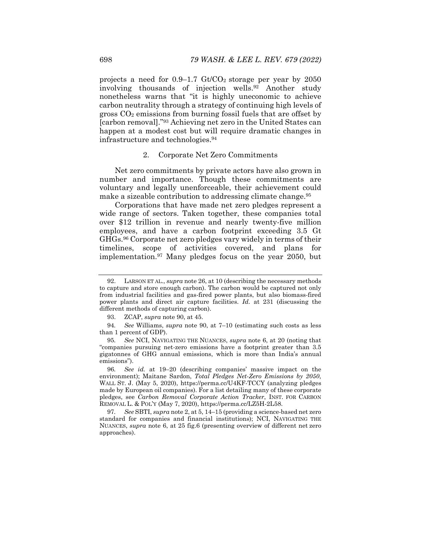projects a need for  $0.9-1.7$  Gt/CO<sub>2</sub> storage per year by 2050 involving thousands of injection wells.92 Another study nonetheless warns that "it is highly uneconomic to achieve carbon neutrality through a strategy of continuing high levels of gross  $CO<sub>2</sub>$  emissions from burning fossil fuels that are offset by [carbon removal]."93 Achieving net zero in the United States can happen at a modest cost but will require dramatic changes in infrastructure and technologies.94

# 2. Corporate Net Zero Commitments

Net zero commitments by private actors have also grown in number and importance. Though these commitments are voluntary and legally unenforceable, their achievement could make a sizeable contribution to addressing climate change.<sup>95</sup>

Corporations that have made net zero pledges represent a wide range of sectors. Taken together, these companies total over \$12 trillion in revenue and nearly twenty-five million employees, and have a carbon footprint exceeding 3.5 Gt GHGs.96 Corporate net zero pledges vary widely in terms of their timelines, scope of activities covered, and plans for implementation.97 Many pledges focus on the year 2050, but

 <sup>92.</sup> LARSON ET AL., *supra* note 26, at 10 (describing the necessary methods to capture and store enough carbon). The carbon would be captured not only from industrial facilities and gas-fired power plants, but also biomass-fired power plants and direct air capture facilities. *Id.* at 231 (discussing the different methods of capturing carbon).

 <sup>93.</sup> ZCAP, *supra* note 90, at 45.

<sup>94</sup>*. See* Williams, *supra* note 90, at 7–10 (estimating such costs as less than 1 percent of GDP).

<sup>95</sup>*. See* NCI, NAVIGATING THE NUANCES, *supra* note 6, at 20 (noting that "companies pursuing net-zero emissions have a footprint greater than 3.5 gigatonnes of GHG annual emissions, which is more than India's annual emissions").

<sup>96</sup>*. See id.* at 19–20 (describing companies' massive impact on the environment); Maitane Sardon, *Total Pledges Net-Zero Emissions by 2050*, WALL ST. J. (May 5, 2020), https://perma.cc/U4KF-TCCY (analyzing pledges made by European oil companies). For a list detailing many of these corporate pledges, see *Carbon Removal Corporate Action Tracker*, INST. FOR CARBON REMOVAL L. & POL'Y (May 7, 2020), https://perma.cc/LZ5H-2L58.

<sup>97</sup>*. See* SBTI, *supra* note 2, at 5, 14–15 (providing a science-based net zero standard for companies and financial institutions); NCI, NAVIGATING THE NUANCES, *supra* note 6, at 25 fig.6 (presenting overview of different net zero approaches).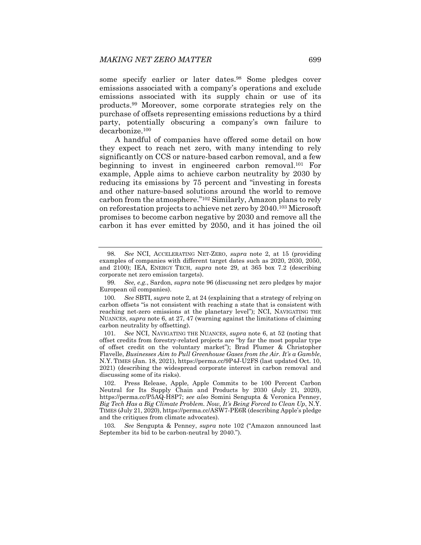some specify earlier or later dates.98 Some pledges cover emissions associated with a company's operations and exclude emissions associated with its supply chain or use of its products.99 Moreover, some corporate strategies rely on the purchase of offsets representing emissions reductions by a third party, potentially obscuring a company's own failure to decarbonize.100

A handful of companies have offered some detail on how they expect to reach net zero, with many intending to rely significantly on CCS or nature-based carbon removal, and a few beginning to invest in engineered carbon removal.101 For example, Apple aims to achieve carbon neutrality by 2030 by reducing its emissions by 75 percent and "investing in forests and other nature-based solutions around the world to remove carbon from the atmosphere."102 Similarly, Amazon plans to rely on reforestation projects to achieve net zero by 2040.103 Microsoft promises to become carbon negative by 2030 and remove all the carbon it has ever emitted by 2050, and it has joined the oil

<sup>98</sup>*. See* NCI, ACCELERATING NET-ZERO, *supra* note 2, at 15 (providing examples of companies with different target dates such as 2020, 2030, 2050, and 2100); IEA, ENERGY TECH, *supra* note 29, at 365 box 7.2 (describing corporate net zero emission targets).

<sup>99</sup>*. See, e.g.*, Sardon, *supra* note 96 (discussing net zero pledges by major European oil companies).

<sup>100</sup>*. See* SBTI, *supra* note 2, at 24 (explaining that a strategy of relying on carbon offsets "is not consistent with reaching a state that is consistent with reaching net-zero emissions at the planetary level"); NCI, NAVIGATING THE NUANCES, *supra* note 6, at 27, 47 (warning against the limitations of claiming carbon neutrality by offsetting).

<sup>101</sup>*. See* NCI, NAVIGATING THE NUANCES, *supra* note 6, at 52 (noting that offset credits from forestry-related projects are "by far the most popular type of offset credit on the voluntary market"); Brad Plumer & Christopher Flavelle, *Businesses Aim to Pull Greenhouse Gases from the Air. It's a Gamble*, N.Y. TIMES (Jan. 18, 2021), https://perma.cc/9P4J-U2FS (last updated Oct. 10, 2021) (describing the widespread corporate interest in carbon removal and discussing some of its risks).

 <sup>102.</sup> Press Release, Apple*,* Apple Commits to be 100 Percent Carbon Neutral for Its Supply Chain and Products by 2030 (July 21, 2020), https://perma.cc/P5AQ-H8P7; *see also* Somini Sengupta & Veronica Penney, *Big Tech Has a Big Climate Problem. Now, It's Being Forced to Clean Up*, N.Y. TIMES (July 21, 2020), https://perma.cc/ASW7-PE6R (describing Apple's pledge and the critiques from climate advocates).

<sup>103</sup>*. See* Sengupta & Penney, *supra* note 102 ("Amazon announced last September its bid to be carbon-neutral by 2040.").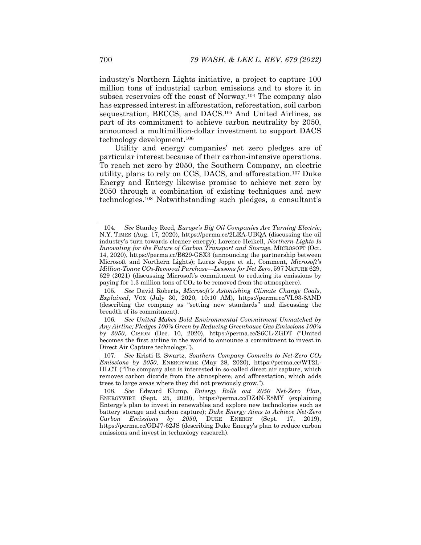industry's Northern Lights initiative, a project to capture 100 million tons of industrial carbon emissions and to store it in subsea reservoirs off the coast of Norway.104 The company also has expressed interest in afforestation, reforestation, soil carbon sequestration, BECCS, and DACS.105 And United Airlines, as part of its commitment to achieve carbon neutrality by 2050, announced a multimillion-dollar investment to support DACS technology development.106

Utility and energy companies' net zero pledges are of particular interest because of their carbon-intensive operations. To reach net zero by 2050, the Southern Company, an electric utility, plans to rely on CCS, DACS, and afforestation.107 Duke Energy and Entergy likewise promise to achieve net zero by 2050 through a combination of existing techniques and new technologies.108 Notwithstanding such pledges, a consultant's

105*. See* David Roberts, *Microsoft's Astonishing Climate Change Goals, Explained*, VOX (July 30, 2020, 10:10 AM), https://perma.cc/VL93-8AND (describing the company as "setting new standards" and discussing the breadth of its commitment).

106*. See United Makes Bold Environmental Commitment Unmatched by Any Airline; Pledges 100% Green by Reducing Greenhouse Gas Emissions 100% by 2050*, CISION (Dec. 10, 2020), https://perma.cc/S6CL-ZGDT ("United becomes the first airline in the world to announce a commitment to invest in Direct Air Capture technology.").

107*. See* Kristi E. Swartz, *Southern Company Commits to Net-Zero CO2 Emissions by 2050*, ENERGYWIRE (May 28, 2020), https://perma.cc/WT2L-HLCT ("The company also is interested in so-called direct air capture, which removes carbon dioxide from the atmosphere, and afforestation, which adds trees to large areas where they did not previously grow.").

108*. See* Edward Klump, *Entergy Rolls out 2050 Net-Zero Plan*, ENERGYWIRE (Sept. 25, 2020), https://perma.cc/DZ4N-E8MY (explaining Entergy's plan to invest in renewables and explore new technologies such as battery storage and carbon capture); *Duke Energy Aims to Achieve Net-Zero Carbon Emissions by 2050*, DUKE ENERGY (Sept. 17, 2019), https://perma.cc/GDJ7-62JS (describing Duke Energy's plan to reduce carbon emissions and invest in technology research).

<sup>104</sup>*. See* Stanley Reed, *Europe's Big Oil Companies Are Turning Electric*, N.Y. TIMES (Aug. 17, 2020), https://perma.cc/2LEA-UBQA (discussing the oil industry's turn towards cleaner energy); Lorence Heikell, *Northern Lights Is Innovating for the Future of Carbon Transport and Storage*, MICROSOFT (Oct. 14, 2020), https://perma.cc/B629-GSX3 (announcing the partnership between Microsoft and Northern Lights); Lucas Joppa et al., Comment, *Microsoft's Million-Tonne CO2-Removal Purchase—Lessons for Net Zero*, 597 NATURE 629, 629 (2021) (discussing Microsoft's commitment to reducing its emissions by paying for 1.3 million tons of  $CO<sub>2</sub>$  to be removed from the atmosphere).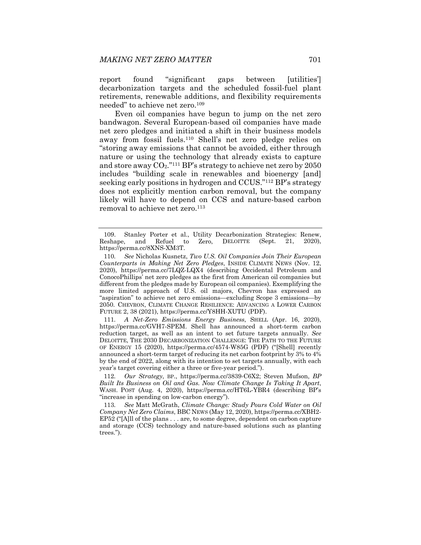report found "significant gaps between [utilities'] decarbonization targets and the scheduled fossil-fuel plant retirements, renewable additions, and flexibility requirements needed" to achieve net zero.109

Even oil companies have begun to jump on the net zero bandwagon. Several European-based oil companies have made net zero pledges and initiated a shift in their business models away from fossil fuels.110 Shell's net zero pledge relies on "storing away emissions that cannot be avoided, either through nature or using the technology that already exists to capture and store away  $CO_2$ ."<sup>111</sup> BP's strategy to achieve net zero by 2050 includes "building scale in renewables and bioenergy [and] seeking early positions in hydrogen and CCUS."112 BP's strategy does not explicitly mention carbon removal, but the company likely will have to depend on CCS and nature-based carbon removal to achieve net zero.<sup>113</sup>

111*. A Net-Zero Emissions Energy Business*, SHELL (Apr. 16, 2020), https://perma.cc/GVH7-SPEM. Shell has announced a short-term carbon reduction target, as well as an intent to set future targets annually. *See* DELOITTE, THE 2030 DECARBONIZATION CHALLENGE: THE PATH TO THE FUTURE OF ENERGY 15 (2020), https://perma.cc/4574-W85G (PDF) ("[Shell] recently announced a short-term target of reducing its net carbon footprint by 3% to 4% by the end of 2022, along with its intention to set targets annually, with each year's target covering either a three or five-year period.").

112*. Our Strategy*, BP., https://perma.cc/3839-C6X2; Steven Mufson, *BP Built Its Business on Oil and Gas. Now Climate Change Is Taking It Apart*, WASH. POST (Aug. 4, 2020), https://perma.cc/HT6L-YBR4 (describing BP's "increase in spending on low-carbon energy").

113*. See* Matt McGrath, *Climate Change: Study Pours Cold Water on Oil Company Net Zero Claims*, BBC NEWS (May 12, 2020), https://perma.cc/XBH2- EP52 ("[A]ll of the plans . . . are, to some degree, dependent on carbon capture and storage (CCS) technology and nature-based solutions such as planting trees.").

 <sup>109.</sup> Stanley Porter et al., Utility Decarbonization Strategies: Renew, Reshape, and Refuel to Zero, DELOITTE (Sept. 21, 2020), https://perma.cc/8XNS-XM3T.

<sup>110</sup>*. See* Nicholas Kusnetz, *Two U.S. Oil Companies Join Their European Counterparts in Making Net Zero Pledges*, INSIDE CLIMATE NEWS (Nov. 12, 2020), https://perma.cc/7LQZ-LQX4 (describing Occidental Petroleum and ConocoPhillips' net zero pledges as the first from American oil companies but different from the pledges made by European oil companies). Exemplifying the more limited approach of U.S. oil majors, Chevron has expressed an "aspiration" to achieve net zero emissions—excluding Scope 3 emissions—by 2050. CHEVRON, CLIMATE CHANGE RESILIENCE: ADVANCING A LOWER CARBON FUTURE 2, 38 (2021), https://perma.cc/Y8HH-XUTU (PDF).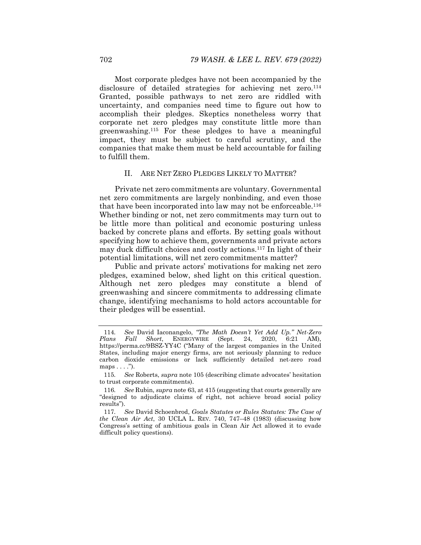Most corporate pledges have not been accompanied by the disclosure of detailed strategies for achieving net zero.<sup>114</sup> Granted, possible pathways to net zero are riddled with uncertainty, and companies need time to figure out how to accomplish their pledges. Skeptics nonetheless worry that corporate net zero pledges may constitute little more than greenwashing.115 For these pledges to have a meaningful impact, they must be subject to careful scrutiny, and the companies that make them must be held accountable for failing to fulfill them.

#### II. ARE NET ZERO PLEDGES LIKELY TO MATTER?

Private net zero commitments are voluntary. Governmental net zero commitments are largely nonbinding, and even those that have been incorporated into law may not be enforceable.116 Whether binding or not, net zero commitments may turn out to be little more than political and economic posturing unless backed by concrete plans and efforts. By setting goals without specifying how to achieve them, governments and private actors may duck difficult choices and costly actions.117 In light of their potential limitations, will net zero commitments matter?

Public and private actors' motivations for making net zero pledges, examined below, shed light on this critical question. Although net zero pledges may constitute a blend of greenwashing and sincere commitments to addressing climate change, identifying mechanisms to hold actors accountable for their pledges will be essential.

<sup>114</sup>*. See* David Iaconangelo, *"The Math Doesn't Yet Add Up." Net-Zero Plans Fall Short*, ENERGYWIRE (Sept. 24, 2020, 6:21 AM), https://perma.cc/9BSZ-YY4C ("Many of the largest companies in the United States, including major energy firms, are not seriously planning to reduce carbon dioxide emissions or lack sufficiently detailed net-zero road maps  $\dots$  .").

<sup>115</sup>*. See* Roberts, *supra* note 105 (describing climate advocates' hesitation to trust corporate commitments).

<sup>116</sup>*. See* Rubin, *supra* note 63, at 415 (suggesting that courts generally are "designed to adjudicate claims of right, not achieve broad social policy results").

<sup>117</sup>*. See* David Schoenbrod, *Goals Statutes or Rules Statutes: The Case of the Clean Air Act*, 30 UCLA L. REV. 740, 747–48 (1983) (discussing how Congress's setting of ambitious goals in Clean Air Act allowed it to evade difficult policy questions).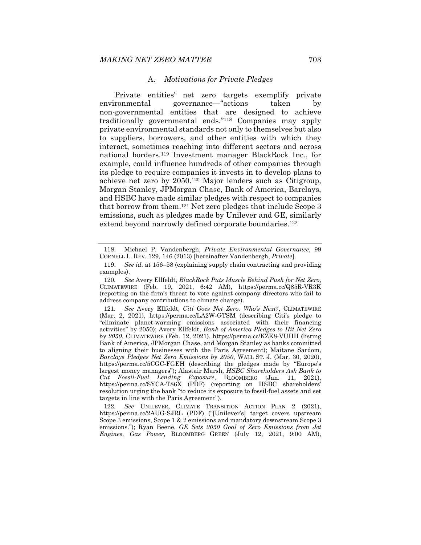#### A. *Motivations for Private Pledges*

Private entities' net zero targets exemplify private environmental governance—"actions taken by non-governmental entities that are designed to achieve traditionally governmental ends."118 Companies may apply private environmental standards not only to themselves but also to suppliers, borrowers, and other entities with which they interact, sometimes reaching into different sectors and across national borders.119 Investment manager BlackRock Inc., for example, could influence hundreds of other companies through its pledge to require companies it invests in to develop plans to achieve net zero by 2050.120 Major lenders such as Citigroup, Morgan Stanley, JPMorgan Chase, Bank of America, Barclays, and HSBC have made similar pledges with respect to companies that borrow from them.121 Net zero pledges that include Scope 3 emissions, such as pledges made by Unilever and GE, similarly extend beyond narrowly defined corporate boundaries.<sup>122</sup>

 <sup>118.</sup> Michael P. Vandenbergh, *Private Environmental Governance*, 99 CORNELL L. REV. 129, 146 (2013) [hereinafter Vandenbergh, *Private*].

 <sup>119.</sup> *See id.* at 156–58 (explaining supply chain contracting and providing examples).

<sup>120</sup>*. See* Avery Ellfeldt, *BlackRock Puts Muscle Behind Push for Net Zero*, CLIMATEWIRE (Feb. 19, 2021, 6:42 AM), https://perma.cc/Q85R-VR3K (reporting on the firm's threat to vote against company directors who fail to address company contributions to climate change).

<sup>121</sup>*. See* Avery Ellfeldt, *Citi Goes Net Zero. Who's Next?*, CLIMATEWIRE (Mar. 2, 2021), https://perma.cc/LA2W-GTSM (describing Citi's pledge to "eliminate planet-warming emissions associated with their financing activities" by 2050); Avery Ellfeldt, *Bank of America Pledges to Hit Net Zero by 2050*, CLIMATEWIRE (Feb. 12, 2021), https://perma.cc/KZK8-VUHH (listing Bank of America, JPMorgan Chase, and Morgan Stanley as banks committed to aligning their businesses with the Paris Agreement); Maitane Sardom, *Barclays Pledges Net Zero Emissions by 2050*, WALL ST. J. (Mar. 30, 2020), https://perma.cc/5CGC-FGEH (describing the pledges made by "Europe's largest money managers"); Alastair Marsh, *HSBC Shareholders Ask Bank to Cut Fossil-Fuel Lending Exposure*, BLOOMBERG (Jan. 11, 2021), https://perma.cc/SYCA-T86X (PDF) (reporting on HSBC shareholders' resolution urging the bank "to reduce its exposure to fossil-fuel assets and set targets in line with the Paris Agreement").

<sup>122</sup>*. See* UNILEVER, CLIMATE TRANSITION ACTION PLAN 2 (2021), https://perma.cc/2AUG-SJRL (PDF) ("[Unilever's] target covers upstream Scope 3 emissions, Scope 1 & 2 emissions and mandatory downstream Scope 3 emissions."); Ryan Beene, *GE Sets 2050 Goal of Zero Emissions from Jet Engines, Gas Power*, BLOOMBERG GREEN (July 12, 2021, 9:00 AM),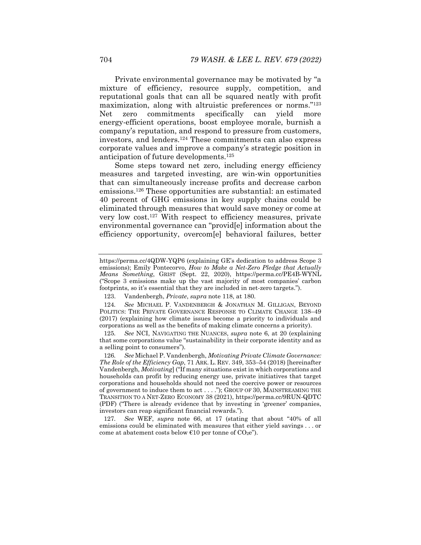Private environmental governance may be motivated by "a mixture of efficiency, resource supply, competition, and reputational goals that can all be squared neatly with profit maximization, along with altruistic preferences or norms."123 Net zero commitments specifically can yield more energy-efficient operations, boost employee morale, burnish a company's reputation, and respond to pressure from customers, investors, and lenders.124 These commitments can also express corporate values and improve a company's strategic position in anticipation of future developments.125

Some steps toward net zero, including energy efficiency measures and targeted investing, are win-win opportunities that can simultaneously increase profits and decrease carbon emissions.126 These opportunities are substantial: an estimated 40 percent of GHG emissions in key supply chains could be eliminated through measures that would save money or come at very low cost.127 With respect to efficiency measures, private environmental governance can "provid[e] information about the efficiency opportunity, overcom[e] behavioral failures, better

https://perma.cc/4QDW-YQP6 (explaining GE's dedication to address Scope 3 emissions); Emily Pontecorvo, *How to Make a Net-Zero Pledge that Actually Means Something*, GRIST (Sept. 22, 2020), https://perma.cc/PE4B-WYNL ("Scope 3 emissions make up the vast majority of most companies' carbon footprints, so it's essential that they are included in net-zero targets.").

 <sup>123.</sup> Vandenbergh, *Private*, *supra* note 118, at 180.

<sup>124</sup>*. See* MICHAEL P. VANDENBERGH & JONATHAN M. GILLIGAN, BEYOND POLITICS: THE PRIVATE GOVERNANCE RESPONSE TO CLIMATE CHANGE 138–49 (2017) (explaining how climate issues become a priority to individuals and corporations as well as the benefits of making climate concerns a priority).

<sup>125</sup>*. See* NCI, NAVIGATING THE NUANCES, *supra* note 6, at 20 (explaining that some corporations value "sustainability in their corporate identity and as a selling point to consumers").

<sup>126</sup>*. See* Michael P. Vandenbergh, *Motivating Private Climate Governance: The Role of the Efficiency Gap*, 71 ARK. L. REV. 349, 353–54 (2018) [hereinafter Vandenbergh, *Motivating*] ("If many situations exist in which corporations and households can profit by reducing energy use, private initiatives that target corporations and households should not need the coercive power or resources of government to induce them to act . . . ."); GROUP OF 30, MAINSTREAMING THE TRANSITION TO A NET-ZERO ECONOMY 38 (2021), https://perma.cc/9RUN-QDTC (PDF) ("There is already evidence that by investing in 'greener' companies, investors can reap significant financial rewards.").

<sup>127</sup>*. See* WEF, *supra* note 66, at 17 (stating that about "40% of all emissions could be eliminated with measures that either yield savings . . . or come at abatement costs below  $\epsilon$ 10 per tonne of CO<sub>2</sub>e").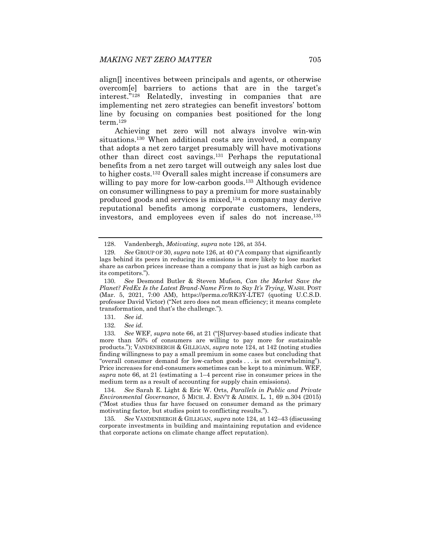align[] incentives between principals and agents, or otherwise overcom[e] barriers to actions that are in the target's interest."128 Relatedly, investing in companies that are implementing net zero strategies can benefit investors' bottom line by focusing on companies best positioned for the long term.129

Achieving net zero will not always involve win-win situations.130 When additional costs are involved, a company that adopts a net zero target presumably will have motivations other than direct cost savings.131 Perhaps the reputational benefits from a net zero target will outweigh any sales lost due to higher costs.132 Overall sales might increase if consumers are willing to pay more for low-carbon goods.<sup>133</sup> Although evidence on consumer willingness to pay a premium for more sustainably produced goods and services is mixed,134 a company may derive reputational benefits among corporate customers, lenders, investors, and employees even if sales do not increase.135

134*. See* Sarah E. Light & Eric W. Orts, *Parallels in Public and Private Environmental Governance*, 5 MICH. J. ENV'T & ADMIN. L. 1, 69 n.304 (2015) ("Most studies thus far have focused on consumer demand as the primary motivating factor, but studies point to conflicting results.").

135*. See* VANDENBERGH & GILLIGAN, *supra* note 124, at 142–43 (discussing corporate investments in building and maintaining reputation and evidence that corporate actions on climate change affect reputation).

 <sup>128.</sup> Vandenbergh, *Motivating*, *supra* note 126, at 354.

<sup>129</sup>*. See* GROUP OF 30, *supra* note 126, at 40 ("A company that significantly lags behind its peers in reducing its emissions is more likely to lose market share as carbon prices increase than a company that is just as high carbon as its competitors.").

<sup>130</sup>*. See* Desmond Butler & Steven Mufson, *Can the Market Save the Planet? FedEx Is the Latest Brand-Name Firm to Say It's Trying*, WASH. POST (Mar. 5, 2021, 7:00 AM), https://perma.cc/RK3Y-LTE7 (quoting U.C.S.D. professor David Victor) ("Net zero does not mean efficiency; it means complete transformation, and that's the challenge.").

<sup>131</sup>*. See id.*

<sup>132</sup>*. See id.*

<sup>133</sup>*. See* WEF, *supra* note 66, at 21 ("[S]urvey-based studies indicate that more than 50% of consumers are willing to pay more for sustainable products."); VANDENBERGH & GILLIGAN, *supra* note 124, at 142 (noting studies finding willingness to pay a small premium in some cases but concluding that "overall consumer demand for low-carbon goods . . . is not overwhelming"). Price increases for end-consumers sometimes can be kept to a minimum. WEF, *supra* note 66, at 21 (estimating a 1–4 percent rise in consumer prices in the medium term as a result of accounting for supply chain emissions).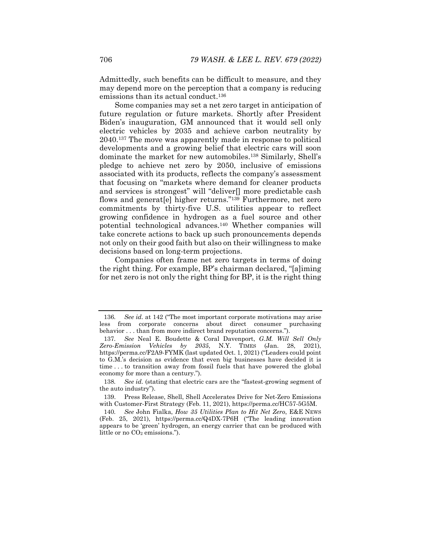Admittedly, such benefits can be difficult to measure, and they may depend more on the perception that a company is reducing emissions than its actual conduct.<sup>136</sup>

Some companies may set a net zero target in anticipation of future regulation or future markets. Shortly after President Biden's inauguration, GM announced that it would sell only electric vehicles by 2035 and achieve carbon neutrality by 2040.137 The move was apparently made in response to political developments and a growing belief that electric cars will soon dominate the market for new automobiles.138 Similarly, Shell's pledge to achieve net zero by 2050, inclusive of emissions associated with its products, reflects the company's assessment that focusing on "markets where demand for cleaner products and services is strongest" will "deliver[] more predictable cash flows and generat<sup>[e]</sup> higher returns."<sup>139</sup> Furthermore, net zero commitments by thirty-five U.S. utilities appear to reflect growing confidence in hydrogen as a fuel source and other potential technological advances.140 Whether companies will take concrete actions to back up such pronouncements depends not only on their good faith but also on their willingness to make decisions based on long-term projections.

Companies often frame net zero targets in terms of doing the right thing. For example, BP's chairman declared, "[a]iming for net zero is not only the right thing for BP, it is the right thing

<sup>136</sup>*. See id.* at 142 ("The most important corporate motivations may arise less from corporate concerns about direct consumer purchasing behavior . . . than from more indirect brand reputation concerns.").

<sup>137</sup>*. See* Neal E. Boudette & Coral Davenport, *G.M. Will Sell Only Zero-Emission Vehicles by 2035*, N.Y. TIMES (Jan. 28, 2021), https://perma.cc/F2A9-FYMK (last updated Oct. 1, 2021) ("Leaders could point to G.M.'s decision as evidence that even big businesses have decided it is time . . . to transition away from fossil fuels that have powered the global economy for more than a century.").

<sup>138</sup>*. See id.* (stating that electric cars are the "fastest-growing segment of the auto industry").

 <sup>139.</sup> Press Release, Shell, Shell Accelerates Drive for Net-Zero Emissions with Customer-First Strategy (Feb. 11, 2021), https://perma.cc/HC57-5G5M.

<sup>140</sup>*. See* John Fialka, *How 35 Utilities Plan to Hit Net Zero*, E&E NEWS (Feb. 25, 2021), https://perma.cc/Q4DX-7P6H ("The leading innovation appears to be 'green' hydrogen, an energy carrier that can be produced with little or no  $CO<sub>2</sub>$  emissions.").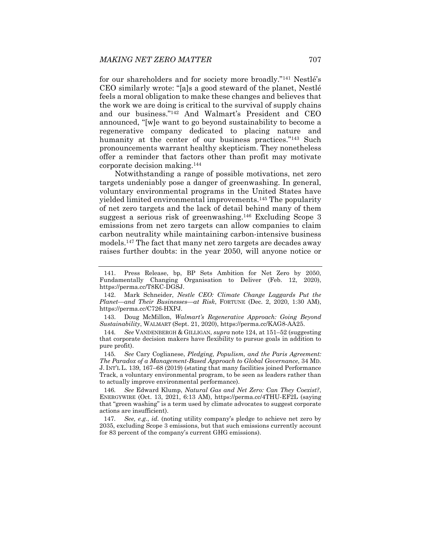for our shareholders and for society more broadly."141 Nestlé's CEO similarly wrote: "[a]s a good steward of the planet, Nestlé feels a moral obligation to make these changes and believes that the work we are doing is critical to the survival of supply chains and our business."142 And Walmart's President and CEO announced, "[w]e want to go beyond sustainability to become a regenerative company dedicated to placing nature and humanity at the center of our business practices."<sup>143</sup> Such pronouncements warrant healthy skepticism. They nonetheless offer a reminder that factors other than profit may motivate corporate decision making.144

Notwithstanding a range of possible motivations, net zero targets undeniably pose a danger of greenwashing. In general, voluntary environmental programs in the United States have yielded limited environmental improvements.145 The popularity of net zero targets and the lack of detail behind many of them suggest a serious risk of greenwashing.146 Excluding Scope 3 emissions from net zero targets can allow companies to claim carbon neutrality while maintaining carbon-intensive business models.147 The fact that many net zero targets are decades away raises further doubts: in the year 2050, will anyone notice or

 <sup>141.</sup> Press Release, bp, BP Sets Ambition for Net Zero by 2050, Fundamentally Changing Organisation to Deliver (Feb. 12, 2020), https://perma.cc/T8KC-DGSJ.

 <sup>142.</sup> Mark Schneider, *Nestle CEO: Climate Change Laggards Put the Planet—and Their Businesses—at Risk*, FORTUNE (Dec. 2, 2020, 1:30 AM), https://perma.cc/C726-HXPJ.

 <sup>143.</sup> Doug McMillon, *Walmart's Regenerative Approach: Going Beyond Sustainability*, WALMART (Sept. 21, 2020), https://perma.cc/KAG8-AA25.

<sup>144</sup>*. See* VANDENBERGH & GILLIGAN, *supra* note 124, at 151–52 (suggesting that corporate decision makers have flexibility to pursue goals in addition to pure profit).

<sup>145</sup>*. See* Cary Coglianese, *Pledging, Populism, and the Paris Agreement: The Paradox of a Management-Based Approach to Global Governance*, 34 MD. J. INT'L L. 139, 167–68 (2019) (stating that many facilities joined Performance Track, a voluntary environmental program, to be seen as leaders rather than to actually improve environmental performance).

<sup>146</sup>*. See* Edward Klump, *Natural Gas and Net Zero: Can They Coexist?*, ENERGYWIRE (Oct. 13, 2021, 6:13 AM), https://perma.cc/4THU-EF2L (saying that "green washing" is a term used by climate advocates to suggest corporate actions are insufficient).

<sup>147</sup>*. See, e.g.*, *id.* (noting utility company's pledge to achieve net zero by 2035, excluding Scope 3 emissions, but that such emissions currently account for 83 percent of the company's current GHG emissions).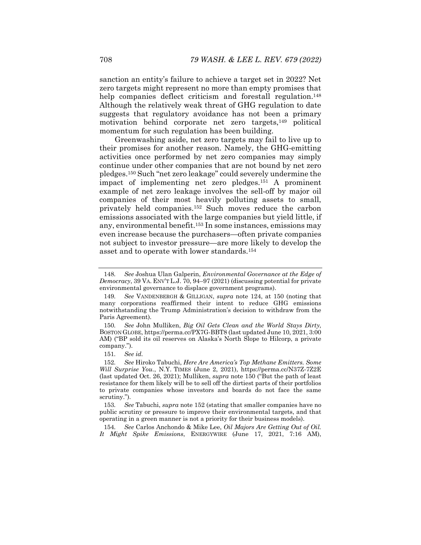sanction an entity's failure to achieve a target set in 2022? Net zero targets might represent no more than empty promises that help companies deflect criticism and forestall regulation.<sup>148</sup> Although the relatively weak threat of GHG regulation to date suggests that regulatory avoidance has not been a primary motivation behind corporate net zero targets,149 political momentum for such regulation has been building.

Greenwashing aside, net zero targets may fail to live up to their promises for another reason. Namely, the GHG-emitting activities once performed by net zero companies may simply continue under other companies that are not bound by net zero pledges.150 Such "net zero leakage" could severely undermine the impact of implementing net zero pledges.151 A prominent example of net zero leakage involves the sell-off by major oil companies of their most heavily polluting assets to small, privately held companies.152 Such moves reduce the carbon emissions associated with the large companies but yield little, if any, environmental benefit.153 In some instances, emissions may even increase because the purchasers—often private companies not subject to investor pressure—are more likely to develop the asset and to operate with lower standards.154

151*. See id.*

153*. See* Tabuchi, *supra* note 152 (stating that smaller companies have no public scrutiny or pressure to improve their environmental targets, and that operating in a green manner is not a priority for their business models).

154*. See* Carlos Anchondo & Mike Lee, *Oil Majors Are Getting Out of Oil. It Might Spike Emissions*, ENERGYWIRE (June 17, 2021, 7:16 AM),

<sup>148</sup>*. See* Joshua Ulan Galperin, *Environmental Governance at the Edge of Democracy*, 39 VA. ENV'T L.J. 70, 94–97 (2021) (discussing potential for private environmental governance to displace government programs).

<sup>149</sup>*. See* VANDENBERGH & GILLIGAN, *supra* note 124, at 150 (noting that many corporations reaffirmed their intent to reduce GHG emissions notwithstanding the Trump Administration's decision to withdraw from the Paris Agreement).

<sup>150</sup>*. See* John Mulliken, *Big Oil Gets Clean and the World Stays Dirty*, BOSTON GLOBE, https://perma.cc/PX7G-BBT8 (last updated June 10, 2021, 3:00 AM) ("BP sold its oil reserves on Alaska's North Slope to Hilcorp, a private company.").

<sup>152</sup>*. See* Hiroko Tabuchi, *Here Are America's Top Methane Emitters. Some Will Surprise You.*, N.Y. TIMES (June 2, 2021), https://perma.cc/N37Z-7Z2E (last updated Oct. 26, 2021); Mulliken, *supra* note 150 ("But the path of least resistance for them likely will be to sell off the dirtiest parts of their portfolios to private companies whose investors and boards do not face the same scrutiny.").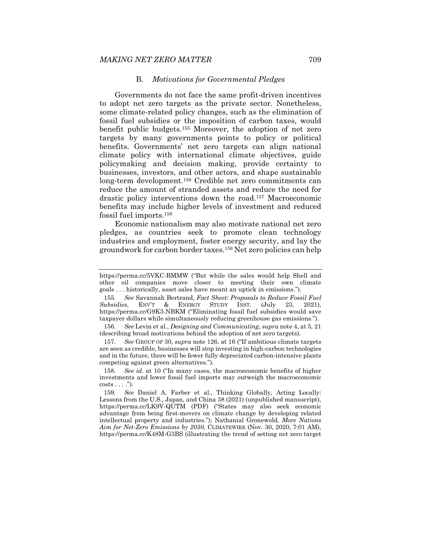### B. *Motivations for Governmental Pledges*

Governments do not face the same profit-driven incentives to adopt net zero targets as the private sector. Nonetheless, some climate-related policy changes, such as the elimination of fossil fuel subsidies or the imposition of carbon taxes, would benefit public budgets.155 Moreover, the adoption of net zero targets by many governments points to policy or political benefits. Governments' net zero targets can align national climate policy with international climate objectives, guide policymaking and decision making, provide certainty to businesses, investors, and other actors, and shape sustainable long-term development.156 Credible net zero commitments can reduce the amount of stranded assets and reduce the need for drastic policy interventions down the road.157 Macroeconomic benefits may include higher levels of investment and reduced fossil fuel imports.158

Economic nationalism may also motivate national net zero pledges, as countries seek to promote clean technology industries and employment, foster energy security, and lay the groundwork for carbon border taxes.159 Net zero policies can help

156*. See* Levin et al., *Designing and Communicating*, *supra* note 4, at 5, 21 (describing broad motivations behind the adoption of net zero targets).

157*. See* GROUP OF 30, *supra* note 126, at 16 ("If ambitious climate targets are seen as credible, businesses will stop investing in high-carbon technologies and in the future, there will be fewer fully depreciated carbon-intensive plants competing against green alternatives.").

https://perma.cc/5VKC-BMMW ("But while the sales would help Shell and other oil companies move closer to meeting their own climate goals . . . historically, asset sales have meant an uptick in emissions.").

<sup>155</sup>*. See* Savannah Bertrand, *Fact Sheet: Proposals to Reduce Fossil Fuel Subsidies*, ENV'T & ENERGY STUDY INST. (July 23, 2021), https://perma.cc/G9K3-NBKM ("Eliminating fossil fuel subsidies would save taxpayer dollars while simultaneously reducing greenhouse gas emissions.").

<sup>158</sup>*. See id.* at 10 ("In many cases, the macroeconomic benefits of higher investments and lower fossil fuel imports may outweigh the macroeconomic  $costs \ldots$ ").

<sup>159</sup>*. See* Daniel A. Farber et al., Thinking Globally, Acting Locally: Lessons from the U.S., Japan, and China 38 (2021) (unpublished manuscript), https://perma.cc/LK9V-QUTM (PDF) ("States may also seek economic advantage from being first-movers on climate change by developing related intellectual property and industries."); Nathanial Gronewold, *More Nations Aim for Net-Zero Emissions by 2050*, CLIMATEWIRE (Nov. 30, 2020, 7:01 AM), https://perma.cc/K48M-G3BS (illustrating the trend of setting net zero target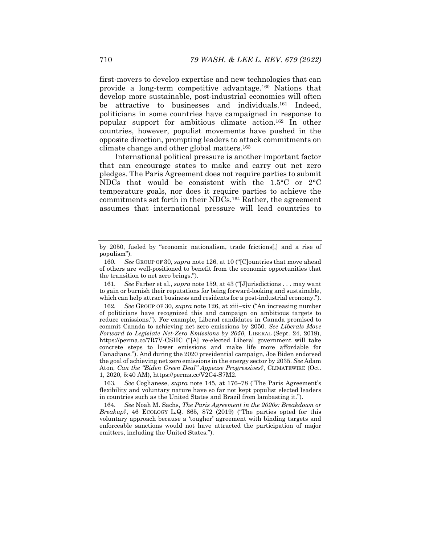first-movers to develop expertise and new technologies that can provide a long-term competitive advantage.160 Nations that develop more sustainable, post-industrial economies will often be attractive to businesses and individuals.<sup>161</sup> Indeed, politicians in some countries have campaigned in response to popular support for ambitious climate action.162 In other countries, however, populist movements have pushed in the opposite direction, prompting leaders to attack commitments on climate change and other global matters.163

International political pressure is another important factor that can encourage states to make and carry out net zero pledges. The Paris Agreement does not require parties to submit NDCs that would be consistent with the 1.5°C or 2°C temperature goals, nor does it require parties to achieve the commitments set forth in their NDCs.164 Rather, the agreement assumes that international pressure will lead countries to

161*. See* Farber et al., *supra* note 159, at 43 ("[J]urisdictions . . . may want to gain or burnish their reputations for being forward-looking and sustainable, which can help attract business and residents for a post-industrial economy.").

163*. See* Coglianese, *supra* note 145, at 176–78 ("The Paris Agreement's flexibility and voluntary nature have so far not kept populist elected leaders in countries such as the United States and Brazil from lambasting it.").

164*. See* Noah M. Sachs, *The Paris Agreement in the 2020s: Breakdown or Breakup?*, 46 ECOLOGY L.Q. 865, 872 (2019) ("The parties opted for this voluntary approach because a 'tougher' agreement with binding targets and enforceable sanctions would not have attracted the participation of major emitters, including the United States.").

by 2050, fueled by "economic nationalism, trade frictions[,] and a rise of populism").

<sup>160</sup>*. See* GROUP OF 30, *supra* note 126, at 10 ("[C]ountries that move ahead of others are well-positioned to benefit from the economic opportunities that the transition to net zero brings.").

<sup>162</sup>*. See* GROUP OF 30, *supra* note 126, at xiii–xiv ("An increasing number of politicians have recognized this and campaign on ambitious targets to reduce emissions."). For example, Liberal candidates in Canada promised to commit Canada to achieving net zero emissions by 2050. *See Liberals Move Forward to Legislate Net-Zero Emissions by 2050*, LIBERAL (Sept. 24, 2019), https://perma.cc/7R7V-CSHC ("[A] re-elected Liberal government will take concrete steps to lower emissions and make life more affordable for Canadians."). And during the 2020 presidential campaign, Joe Biden endorsed the goal of achieving net zero emissions in the energy sector by 2035. *See* Adam Aton, *Can the "Biden Green Deal" Appease Progressives?*, CLIMATEWIRE (Oct. 1, 2020, 5:40 AM), https://perma.cc/V2C4-S7M2.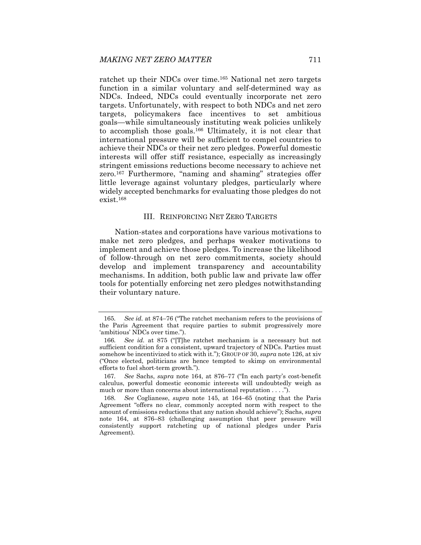ratchet up their NDCs over time.165 National net zero targets function in a similar voluntary and self-determined way as NDCs. Indeed, NDCs could eventually incorporate net zero targets. Unfortunately, with respect to both NDCs and net zero targets, policymakers face incentives to set ambitious goals—while simultaneously instituting weak policies unlikely to accomplish those goals.166 Ultimately, it is not clear that international pressure will be sufficient to compel countries to achieve their NDCs or their net zero pledges. Powerful domestic interests will offer stiff resistance, especially as increasingly stringent emissions reductions become necessary to achieve net zero.167 Furthermore, "naming and shaming" strategies offer little leverage against voluntary pledges, particularly where widely accepted benchmarks for evaluating those pledges do not exist.168

# III. REINFORCING NET ZERO TARGETS

Nation-states and corporations have various motivations to make net zero pledges, and perhaps weaker motivations to implement and achieve those pledges. To increase the likelihood of follow-through on net zero commitments, society should develop and implement transparency and accountability mechanisms. In addition, both public law and private law offer tools for potentially enforcing net zero pledges notwithstanding their voluntary nature.

167*. See* Sachs, *supra* note 164, at 876–77 ("In each party's cost-benefit calculus, powerful domestic economic interests will undoubtedly weigh as much or more than concerns about international reputation . . . .").

<sup>165</sup>*. See id.* at 874–76 ("The ratchet mechanism refers to the provisions of the Paris Agreement that require parties to submit progressively more 'ambitious' NDCs over time.").

<sup>166</sup>*. See id.* at 875 ("[T]he ratchet mechanism is a necessary but not sufficient condition for a consistent, upward trajectory of NDCs. Parties must somehow be incentivized to stick with it."); GROUP OF 30, *supra* note 126, at xiv ("Once elected, politicians are hence tempted to skimp on environmental efforts to fuel short-term growth.").

<sup>168</sup>*. See* Coglianese, *supra* note 145, at 164–65 (noting that the Paris Agreement "offers no clear, commonly accepted norm with respect to the amount of emissions reductions that any nation should achieve"); Sachs, *supra* note 164, at 876–83 (challenging assumption that peer pressure will consistently support ratcheting up of national pledges under Paris Agreement).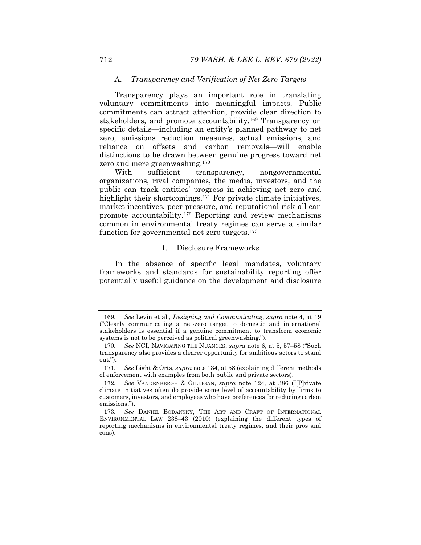# A. *Transparency and Verification of Net Zero Targets*

Transparency plays an important role in translating voluntary commitments into meaningful impacts. Public commitments can attract attention, provide clear direction to stakeholders, and promote accountability.169 Transparency on specific details—including an entity's planned pathway to net zero, emissions reduction measures, actual emissions, and reliance on offsets and carbon removals—will enable distinctions to be drawn between genuine progress toward net zero and mere greenwashing.170

With sufficient transparency, nongovernmental organizations, rival companies, the media, investors, and the public can track entities' progress in achieving net zero and highlight their shortcomings.<sup>171</sup> For private climate initiatives, market incentives, peer pressure, and reputational risk all can promote accountability.172 Reporting and review mechanisms common in environmental treaty regimes can serve a similar function for governmental net zero targets.173

### 1. Disclosure Frameworks

In the absence of specific legal mandates, voluntary frameworks and standards for sustainability reporting offer potentially useful guidance on the development and disclosure

<sup>169</sup>*. See* Levin et al., *Designing and Communicating*, *supra* note 4, at 19 ("Clearly communicating a net-zero target to domestic and international stakeholders is essential if a genuine commitment to transform economic systems is not to be perceived as political greenwashing.").

<sup>170</sup>*. See* NCI, NAVIGATING THE NUANCES, *supra* note 6, at 5, 57–58 ("Such transparency also provides a clearer opportunity for ambitious actors to stand out.").

<sup>171</sup>*. See* Light & Orts, *supra* note 134, at 58 (explaining different methods of enforcement with examples from both public and private sectors).

<sup>172</sup>*. See* VANDENBERGH & GILLIGAN, *supra* note 124, at 386 ("[P]rivate climate initiatives often do provide some level of accountability by firms to customers, investors, and employees who have preferences for reducing carbon emissions.").

<sup>173</sup>*. See* DANIEL BODANSKY, THE ART AND CRAFT OF INTERNATIONAL ENVIRONMENTAL LAW 238–43 (2010) (explaining the different types of reporting mechanisms in environmental treaty regimes, and their pros and cons).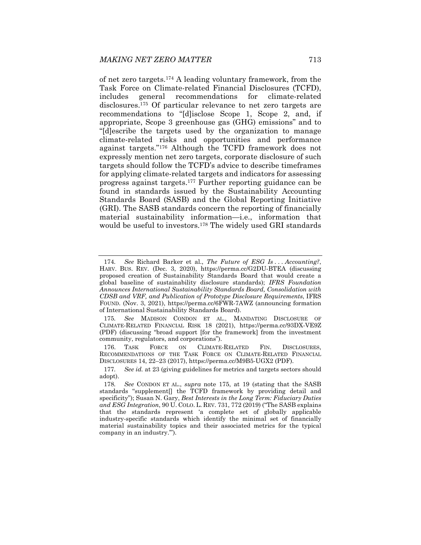of net zero targets.174 A leading voluntary framework, from the Task Force on Climate-related Financial Disclosures (TCFD), includes general recommendations for climate-related disclosures.175 Of particular relevance to net zero targets are recommendations to "[d]isclose Scope 1, Scope 2, and, if appropriate, Scope 3 greenhouse gas (GHG) emissions" and to "[d]escribe the targets used by the organization to manage climate-related risks and opportunities and performance against targets."176 Although the TCFD framework does not expressly mention net zero targets, corporate disclosure of such targets should follow the TCFD's advice to describe timeframes for applying climate-related targets and indicators for assessing progress against targets.177 Further reporting guidance can be found in standards issued by the Sustainability Accounting Standards Board (SASB) and the Global Reporting Initiative (GRI). The SASB standards concern the reporting of financially material sustainability information—i.e., information that would be useful to investors.178 The widely used GRI standards

<sup>174</sup>*. See* Richard Barker et al., *The Future of ESG Is . . . Accounting?*, HARV. BUS. REV. (Dec. 3, 2020), https://perma.cc/G2DU-BTEA (discussing proposed creation of Sustainability Standards Board that would create a global baseline of sustainability disclosure standards); *IFRS Foundation Announces International Sustainability Standards Board, Consolidation with CDSB and VRF, and Publication of Prototype Disclosure Requirements*, IFRS FOUND. (Nov. 3, 2021), https://perma.cc/6FWR-7AWZ (announcing formation of International Sustainability Standards Board).

<sup>175</sup>*. See* MADISON CONDON ET AL., MANDATING DISCLOSURE OF CLIMATE-RELATED FINANCIAL RISK 18 (2021), https://perma.cc/93DX-VE9Z (PDF) (discussing "broad support [for the framework] from the investment community, regulators, and corporations").

 <sup>176.</sup> TASK FORCE ON CLIMATE-RELATED FIN. DISCLOSURES, RECOMMENDATIONS OF THE TASK FORCE ON CLIMATE-RELATED FINANCIAL DISCLOSURES 14, 22–23 (2017), https://perma.cc/M9B5-UGX2 (PDF).

<sup>177</sup>*. See id.* at 23 (giving guidelines for metrics and targets sectors should adopt).

<sup>178</sup>*. See* CONDON ET AL., *supra* note 175, at 19 (stating that the SASB standards "supplement[] the TCFD framework by providing detail and specificity"); Susan N. Gary, *Best Interests in the Long Term: Fiduciary Duties and ESG Integration*, 90 U. COLO. L. REV. 731, 772 (2019) ("The SASB explains that the standards represent 'a complete set of globally applicable industry-specific standards which identify the minimal set of financially material sustainability topics and their associated metrics for the typical company in an industry.'").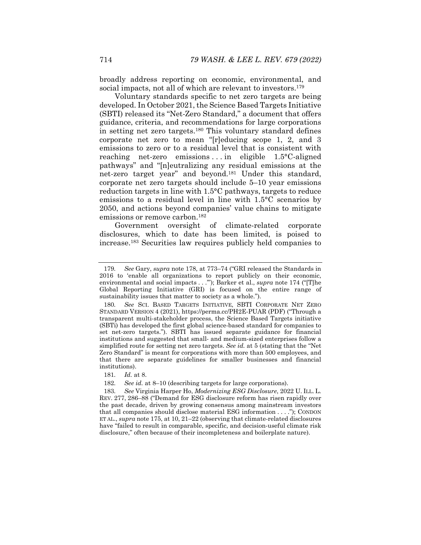broadly address reporting on economic, environmental, and social impacts, not all of which are relevant to investors.<sup>179</sup>

Voluntary standards specific to net zero targets are being developed. In October 2021, the Science Based Targets Initiative (SBTI) released its "Net-Zero Standard," a document that offers guidance, criteria, and recommendations for large corporations in setting net zero targets.180 This voluntary standard defines corporate net zero to mean "[r]educing scope 1, 2, and 3 emissions to zero or to a residual level that is consistent with reaching net-zero emissions . . . in eligible 1.5°C-aligned pathways" and "[n]eutralizing any residual emissions at the net-zero target year" and beyond.181 Under this standard, corporate net zero targets should include 5–10 year emissions reduction targets in line with 1.5°C pathways, targets to reduce emissions to a residual level in line with 1.5°C scenarios by 2050, and actions beyond companies' value chains to mitigate emissions or remove carbon.<sup>182</sup>

Government oversight of climate-related corporate disclosures, which to date has been limited, is poised to increase.183 Securities law requires publicly held companies to

<sup>179</sup>*. See* Gary, *supra* note 178, at 773–74 ("GRI released the Standards in 2016 to 'enable all organizations to report publicly on their economic, environmental and social impacts . . .'"); Barker et al., *supra* note 174 ("[T]he Global Reporting Initiative (GRI) is focused on the entire range of sustainability issues that matter to society as a whole.").

<sup>180</sup>*. See* SCI. BASED TARGETS INITIATIVE, SBTI CORPORATE NET ZERO STANDARD VERSION 4 (2021), https://perma.cc/PH2E-PUAR (PDF) ("Through a transparent multi-stakeholder process, the Science Based Targets initiative (SBTi) has developed the first global science-based standard for companies to set net-zero targets."). SBTI has issued separate guidance for financial institutions and suggested that small- and medium-sized enterprises follow a simplified route for setting net zero targets. *See id.* at 5 (stating that the "Net Zero Standard" is meant for corporations with more than 500 employees, and that there are separate guidelines for smaller businesses and financial institutions).

<sup>181</sup>*. Id.* at 8.

<sup>182</sup>*. See id.* at 8–10 (describing targets for large corporations).

<sup>183</sup>*. See* Virginia Harper Ho, *Modernizing ESG Disclosure*, 2022 U. ILL. L. REV. 277, 286–88 ("Demand for ESG disclosure reform has risen rapidly over the past decade, driven by growing consensus among mainstream investors that all companies should disclose material ESG information . . . ."); CONDON ET AL., *supra* note 175, at 10, 21–22 (observing that climate-related disclosures have "failed to result in comparable, specific, and decision-useful climate risk disclosure," often because of their incompleteness and boilerplate nature).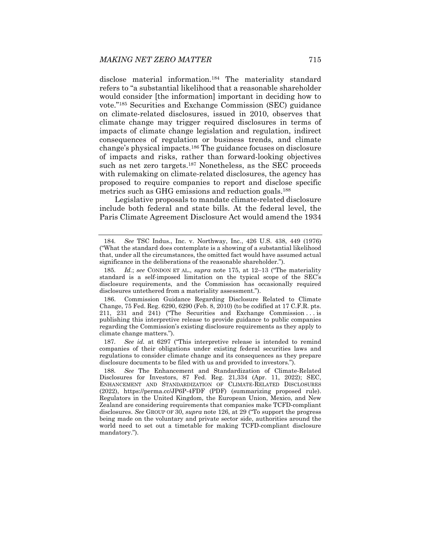disclose material information.184 The materiality standard refers to "a substantial likelihood that a reasonable shareholder would consider [the information] important in deciding how to vote."185 Securities and Exchange Commission (SEC) guidance on climate-related disclosures, issued in 2010, observes that climate change may trigger required disclosures in terms of impacts of climate change legislation and regulation, indirect consequences of regulation or business trends, and climate change's physical impacts.186 The guidance focuses on disclosure of impacts and risks, rather than forward-looking objectives such as net zero targets.<sup>187</sup> Nonetheless, as the SEC proceeds with rulemaking on climate-related disclosures, the agency has proposed to require companies to report and disclose specific metrics such as GHG emissions and reduction goals.<sup>188</sup>

Legislative proposals to mandate climate-related disclosure include both federal and state bills. At the federal level, the Paris Climate Agreement Disclosure Act would amend the 1934

187*. See id.* at 6297 ("This interpretive release is intended to remind companies of their obligations under existing federal securities laws and regulations to consider climate change and its consequences as they prepare disclosure documents to be filed with us and provided to investors.").

<sup>184</sup>*. See* TSC Indus., Inc. v. Northway, Inc., 426 U.S. 438, 449 (1976) ("What the standard does contemplate is a showing of a substantial likelihood that, under all the circumstances, the omitted fact would have assumed actual significance in the deliberations of the reasonable shareholder.").

<sup>185</sup>*. Id.*; *see* CONDON ET AL., *supra* note 175, at 12–13 ("The materiality standard is a self-imposed limitation on the typical scope of the SEC's disclosure requirements, and the Commission has occasionally required disclosures untethered from a materiality assessment.").

 <sup>186.</sup> Commission Guidance Regarding Disclosure Related to Climate Change, 75 Fed. Reg. 6290, 6290 (Feb. 8, 2010) (to be codified at 17 C.F.R. pts. 211, 231 and 241) ("The Securities and Exchange Commission . . . is publishing this interpretive release to provide guidance to public companies regarding the Commission's existing disclosure requirements as they apply to climate change matters.").

<sup>188</sup>*. See* The Enhancement and Standardization of Climate-Related Disclosures for Investors, 87 Fed. Reg. 21,334 (Apr. 11, 2022); SEC, ENHANCEMENT AND STANDARDIZATION OF CLIMATE-RELATED DISCLOSURES (2022), https://perma.cc/JP6P-4FDF (PDF) (summarizing proposed rule). Regulators in the United Kingdom, the European Union, Mexico, and New Zealand are considering requirements that companies make TCFD-compliant disclosures. *See* GROUP OF 30, *supra* note 126, at 29 ("To support the progress being made on the voluntary and private sector side, authorities around the world need to set out a timetable for making TCFD-compliant disclosure mandatory.").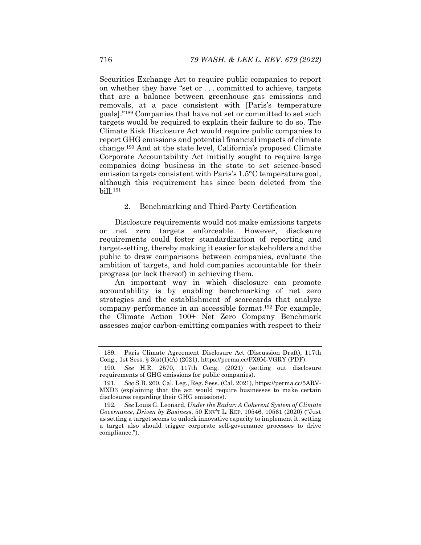Securities Exchange Act to require public companies to report on whether they have "set or . . . committed to achieve, targets that are a balance between greenhouse gas emissions and removals, at a pace consistent with [Paris's temperature goals]."189 Companies that have not set or committed to set such targets would be required to explain their failure to do so. The Climate Risk Disclosure Act would require public companies to report GHG emissions and potential financial impacts of climate change.190 And at the state level, California's proposed Climate Corporate Accountability Act initially sought to require large companies doing business in the state to set science-based emission targets consistent with Paris's 1.5°C temperature goal, although this requirement has since been deleted from the bill.191

#### 2. Benchmarking and Third-Party Certification

Disclosure requirements would not make emissions targets or net zero targets enforceable. However, disclosure requirements could foster standardization of reporting and target-setting, thereby making it easier for stakeholders and the public to draw comparisons between companies, evaluate the ambition of targets, and hold companies accountable for their progress (or lack thereof) in achieving them.

An important way in which disclosure can promote accountability is by enabling benchmarking of net zero strategies and the establishment of scorecards that analyze company performance in an accessible format.192 For example, the Climate Action 100+ Net Zero Company Benchmark assesses major carbon-emitting companies with respect to their

 <sup>189.</sup> Paris Climate Agreement Disclosure Act (Discussion Draft), 117th Cong., 1st Sess. § 3(a)(1)(A) (2021), https://perma.cc/FX9M-VGRY (PDF).

<sup>190</sup>*. See* H.R. 2570, 117th Cong. (2021) (setting out disclosure requirements of GHG emissions for public companies).

<sup>191</sup>*. See* S.B. 260, Cal. Leg., Reg. Sess. (Cal. 2021), https://perma.cc/5ARV-MXD3 (explaining that the act would require businesses to make certain disclosures regarding their GHG emissions).

<sup>192</sup>*. See* Louis G. Leonard, *Under the Radar: A Coherent System of Climate Governance, Driven by Business*, 50 ENV'T L. REP. 10546, 10561 (2020) ("Just as setting a target seems to unlock innovative capacity to implement it, setting a target also should trigger corporate self-governance processes to drive compliance.").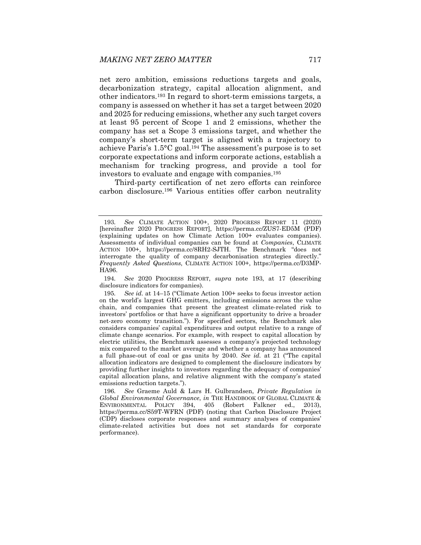net zero ambition, emissions reductions targets and goals, decarbonization strategy, capital allocation alignment, and other indicators.193 In regard to short-term emissions targets, a company is assessed on whether it has set a target between 2020 and 2025 for reducing emissions, whether any such target covers at least 95 percent of Scope 1 and 2 emissions, whether the company has set a Scope 3 emissions target, and whether the company's short-term target is aligned with a trajectory to achieve Paris's  $1.5^{\circ}$ C goal.<sup>194</sup> The assessment's purpose is to set corporate expectations and inform corporate actions, establish a mechanism for tracking progress, and provide a tool for investors to evaluate and engage with companies.195

Third-party certification of net zero efforts can reinforce carbon disclosure.196 Various entities offer carbon neutrality

194*. See* 2020 PROGRESS REPORT, *supra* note 193, at 17 (describing disclosure indicators for companies).

<sup>193</sup>*. See* CLIMATE ACTION 100+, 2020 PROGRESS REPORT 11 (2020) [hereinafter 2020 PROGRESS REPORT], https://perma.cc/ZUS7-ED5M (PDF) (explaining updates on how Climate Action 100+ evaluates companies). Assessments of individual companies can be found at *Companies*, CLIMATE ACTION 100+, https://perma.cc/8RH2-SJTH. The Benchmark "does not interrogate the quality of company decarbonisation strategies directly." *Frequently Asked Questions*, CLIMATE ACTION 100+, https://perma.cc/D3MP-HA96.

<sup>195</sup>*. See id.* at 14–15 ("Climate Action 100+ seeks to focus investor action on the world's largest GHG emitters, including emissions across the value chain, and companies that present the greatest climate-related risk to investors' portfolios or that have a significant opportunity to drive a broader net-zero economy transition."). For specified sectors, the Benchmark also considers companies' capital expenditures and output relative to a range of climate change scenarios. For example, with respect to capital allocation by electric utilities, the Benchmark assesses a company's projected technology mix compared to the market average and whether a company has announced a full phase-out of coal or gas units by 2040. *See id.* at 21 ("The capital allocation indicators are designed to complement the disclosure indicators by providing further insights to investors regarding the adequacy of companies' capital allocation plans, and relative alignment with the company's stated emissions reduction targets.").

<sup>196</sup>*. See* Graeme Auld & Lars H. Gulbrandsen, *Private Regulation in Global Environmental Governance*, *in* THE HANDBOOK OF GLOBAL CLIMATE & ENVIRONMENTAL POLICY 394, 405 (Robert Falkner ed., 2013), https://perma.cc/S59T-WFRN (PDF) (noting that Carbon Disclosure Project (CDP) discloses corporate responses and summary analyses of companies' climate-related activities but does not set standards for corporate performance).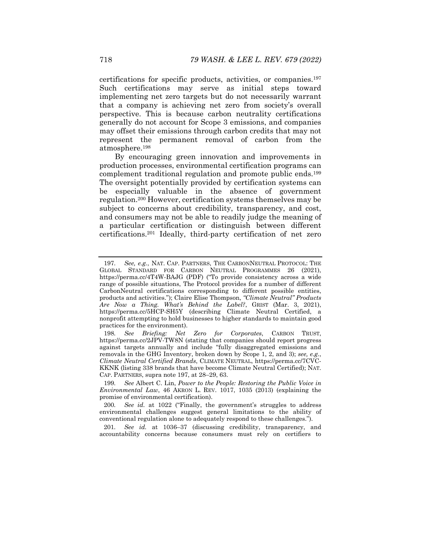certifications for specific products, activities, or companies.197 Such certifications may serve as initial steps toward implementing net zero targets but do not necessarily warrant that a company is achieving net zero from society's overall perspective. This is because carbon neutrality certifications generally do not account for Scope 3 emissions, and companies may offset their emissions through carbon credits that may not represent the permanent removal of carbon from the atmosphere.198

By encouraging green innovation and improvements in production processes, environmental certification programs can complement traditional regulation and promote public ends.199 The oversight potentially provided by certification systems can be especially valuable in the absence of government regulation.200 However, certification systems themselves may be subject to concerns about credibility, transparency, and cost, and consumers may not be able to readily judge the meaning of a particular certification or distinguish between different certifications.201 Ideally, third-party certification of net zero

201*. See id.* at 1036–37 (discussing credibility, transparency, and accountability concerns because consumers must rely on certifiers to

<sup>197</sup>*. See, e.g.*, NAT. CAP. PARTNERS, THE CARBONNEUTRAL PROTOCOL: THE GLOBAL STANDARD FOR CARBON NEUTRAL PROGRAMMES 26 (2021), https://perma.cc/4T4W-BAJG (PDF) ("To provide consistency across a wide range of possible situations, The Protocol provides for a number of different CarbonNeutral certifications corresponding to different possible entities, products and activities."); Claire Elise Thompson, *"Climate Neutral" Products Are Now a Thing. What's Behind the Label?*, GRIST (Mar. 3, 2021), https://perma.cc/5HCP-SH5Y (describing Climate Neutral Certified, a nonprofit attempting to hold businesses to higher standards to maintain good practices for the environment).

<sup>198</sup>*. See Briefing: Net Zero for Corporates*, CARBON TRUST, https://perma.cc/2JPV-TW8N (stating that companies should report progress against targets annually and include "fully disaggregated emissions and removals in the GHG Inventory, broken down by Scope 1, 2, and 3); *see, e.g.*, *Climate Neutral Certified Brands*, CLIMATE NEUTRAL, https://perma.cc/7CVC-KKNK (listing 338 brands that have become Climate Neutral Certified); NAT. CAP. PARTNERS, supra note 197, at 28–29, 63.

<sup>199</sup>*. See* Albert C. Lin, *Power to the People: Restoring the Public Voice in Environmental Law*, 46 AKRON L. REV. 1017, 1035 (2013) (explaining the promise of environmental certification).

<sup>200</sup>*. See id.* at 1022 ("Finally, the government's struggles to address environmental challenges suggest general limitations to the ability of conventional regulation alone to adequately respond to these challenges.").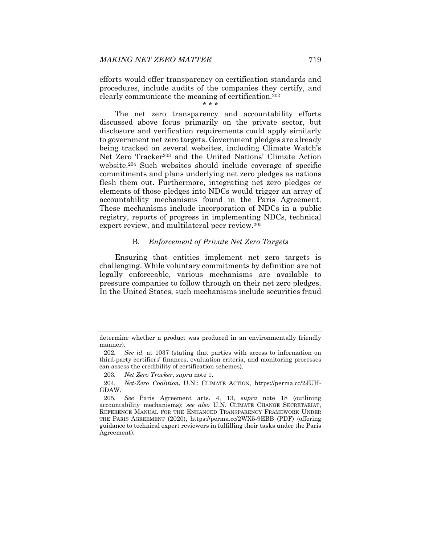efforts would offer transparency on certification standards and procedures, include audits of the companies they certify, and clearly communicate the meaning of certification.202

\* \* \*

The net zero transparency and accountability efforts discussed above focus primarily on the private sector, but disclosure and verification requirements could apply similarly to government net zero targets. Government pledges are already being tracked on several websites, including Climate Watch's Net Zero Tracker203 and the United Nations' Climate Action website.204 Such websites should include coverage of specific commitments and plans underlying net zero pledges as nations flesh them out. Furthermore, integrating net zero pledges or elements of those pledges into NDCs would trigger an array of accountability mechanisms found in the Paris Agreement. These mechanisms include incorporation of NDCs in a public registry, reports of progress in implementing NDCs, technical expert review, and multilateral peer review.205

### B. *Enforcement of Private Net Zero Targets*

Ensuring that entities implement net zero targets is challenging. While voluntary commitments by definition are not legally enforceable, various mechanisms are available to pressure companies to follow through on their net zero pledges. In the United States, such mechanisms include securities fraud

determine whether a product was produced in an environmentally friendly manner).

<sup>202</sup>*. See id.* at 1037 (stating that parties with access to information on third-party certifiers' finances, evaluation criteria, and monitoring processes can assess the credibility of certification schemes).

<sup>203</sup>*. Net Zero Tracker*, *supra* note 1.

<sup>204</sup>*. Net-Zero Coalition*, U.N.: CLIMATE ACTION, https://perma.cc/2JUH-GDAW.

<sup>205</sup>*. See* Paris Agreement arts. 4, 13, *supra* note 18 (outlining accountability mechanisms); *see also* U.N. CLIMATE CHANGE SECRETARIAT, REFERENCE MANUAL FOR THE ENHANCED TRANSPARENCY FRAMEWORK UNDER THE PARIS AGREEMENT (2020), https://perma.cc/2WX5-9EBB (PDF) (offering guidance to technical expert reviewers in fulfilling their tasks under the Paris Agreement).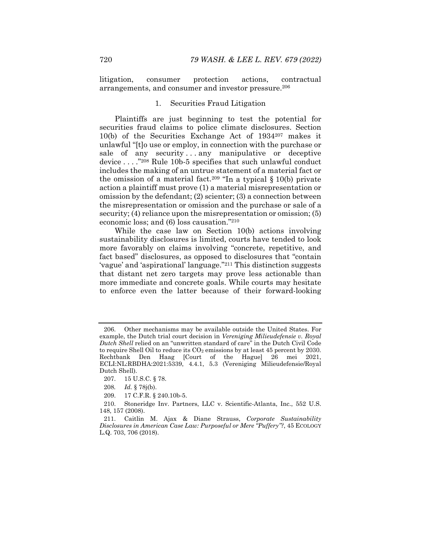litigation, consumer protection actions, contractual arrangements, and consumer and investor pressure.206

#### 1. Securities Fraud Litigation

Plaintiffs are just beginning to test the potential for securities fraud claims to police climate disclosures. Section 10(b) of the Securities Exchange Act of 1934207 makes it unlawful "[t]o use or employ, in connection with the purchase or sale of any security...any manipulative or deceptive device . . . ."208 Rule 10b-5 specifies that such unlawful conduct includes the making of an untrue statement of a material fact or the omission of a material fact.<sup>209</sup> "In a typical  $\S 10(b)$  private action a plaintiff must prove (1) a material misrepresentation or omission by the defendant; (2) scienter; (3) a connection between the misrepresentation or omission and the purchase or sale of a security; (4) reliance upon the misrepresentation or omission; (5) economic loss; and (6) loss causation."210

While the case law on Section 10(b) actions involving sustainability disclosures is limited, courts have tended to look more favorably on claims involving "concrete, repetitive, and fact based" disclosures, as opposed to disclosures that "contain 'vague' and 'aspirational' language."211 This distinction suggests that distant net zero targets may prove less actionable than more immediate and concrete goals. While courts may hesitate to enforce even the latter because of their forward-looking

 <sup>206.</sup> Other mechanisms may be available outside the United States. For example, the Dutch trial court decision in *Vereniging Milieudefensie v. Royal Dutch Shell* relied on an "unwritten standard of care" in the Dutch Civil Code to require Shell Oil to reduce its  $CO<sub>2</sub>$  emissions by at least 45 percent by 2030. Rechtbank Den Haag [Court of the Hague] 26 mei 2021, ECLI:NL:RBDHA:2021:5339, 4.4.1, 5.3 (Vereniging Milieudefensie/Royal Dutch Shell).

 <sup>207. 15</sup> U.S.C. § 78.

<sup>208</sup>*. Id.* § 78j(b).

 <sup>209. 17</sup> C.F.R. § 240.10b-5.

 <sup>210.</sup> Stoneridge Inv. Partners, LLC v. Scientific-Atlanta, Inc., 552 U.S. 148, 157 (2008).

 <sup>211.</sup> Caitlin M. Ajax & Diane Strauss, *Corporate Sustainability Disclosures in American Case Law: Purposeful or Mere "Puffery"?*, 45 ECOLOGY L.Q. 703, 706 (2018).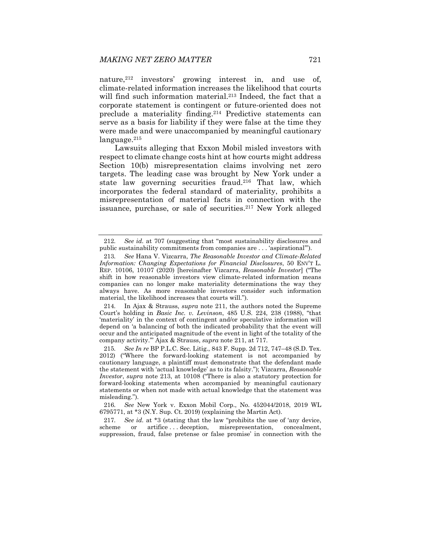nature,<sup>212</sup> investors' growing interest in, and use of, climate-related information increases the likelihood that courts will find such information material.<sup>213</sup> Indeed, the fact that a corporate statement is contingent or future-oriented does not preclude a materiality finding.214 Predictive statements can serve as a basis for liability if they were false at the time they were made and were unaccompanied by meaningful cautionary language.215

Lawsuits alleging that Exxon Mobil misled investors with respect to climate change costs hint at how courts might address Section 10(b) misrepresentation claims involving net zero targets. The leading case was brought by New York under a state law governing securities fraud.216 That law, which incorporates the federal standard of materiality, prohibits a misrepresentation of material facts in connection with the issuance, purchase, or sale of securities.217 New York alleged

<sup>212</sup>*. See id.* at 707 (suggesting that "most sustainability disclosures and public sustainability commitments from companies are . . . 'aspirational'").

<sup>213</sup>*. See* Hana V. Vizcarra, *The Reasonable Investor and Climate-Related Information: Changing Expectations for Financial Disclosures*, 50 ENV'T L. REP. 10106, 10107 (2020) [hereinafter Vizcarra, *Reasonable Investor*] ("The shift in how reasonable investors view climate-related information means companies can no longer make materiality determinations the way they always have. As more reasonable investors consider such information material, the likelihood increases that courts will.").

<sup>214</sup>*.* In Ajax & Strauss, *supra* note 211, the authors noted the Supreme Court's holding in *Basic Inc. v. Levinson*, 485 U.S. 224, 238 (1988), "that 'materiality' in the context of contingent and/or speculative information will depend on 'a balancing of both the indicated probability that the event will occur and the anticipated magnitude of the event in light of the totality of the company activity.'" Ajax & Strauss, *supra* note 211, at 717.

<sup>215</sup>*. See In re* BP P.L.C. Sec. Litig., 843 F. Supp. 2d 712, 747–48 (S.D. Tex. 2012) ("Where the forward-looking statement is not accompanied by cautionary language, a plaintiff must demonstrate that the defendant made the statement with 'actual knowledge' as to its falsity."); Vizcarra, *Reasonable Investor*, *supra* note 213, at 10108 ("There is also a statutory protection for forward-looking statements when accompanied by meaningful cautionary statements or when not made with actual knowledge that the statement was misleading.").

<sup>216</sup>*. See* New York v. Exxon Mobil Corp., No. 452044/2018, 2019 WL 6795771, at \*3 (N.Y. Sup. Ct. 2019) (explaining the Martin Act).

<sup>217</sup>*. See id.* at \*3 (stating that the law "prohibits the use of 'any device, scheme or artifice ... deception, misrepresentation, concealment, suppression, fraud, false pretense or false promise' in connection with the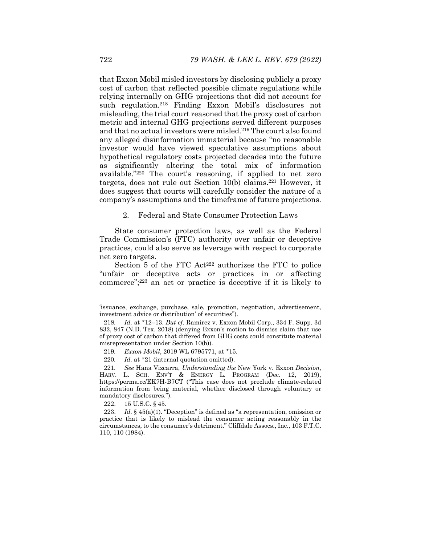that Exxon Mobil misled investors by disclosing publicly a proxy cost of carbon that reflected possible climate regulations while relying internally on GHG projections that did not account for such regulation.218 Finding Exxon Mobil's disclosures not misleading, the trial court reasoned that the proxy cost of carbon metric and internal GHG projections served different purposes and that no actual investors were misled.<sup>219</sup> The court also found any alleged disinformation immaterial because "no reasonable investor would have viewed speculative assumptions about hypothetical regulatory costs projected decades into the future as significantly altering the total mix of information available."220 The court's reasoning, if applied to net zero targets, does not rule out Section 10(b) claims.221 However, it does suggest that courts will carefully consider the nature of a company's assumptions and the timeframe of future projections.

2. Federal and State Consumer Protection Laws

State consumer protection laws, as well as the Federal Trade Commission's (FTC) authority over unfair or deceptive practices, could also serve as leverage with respect to corporate net zero targets.

Section 5 of the FTC Act<sup>222</sup> authorizes the FTC to police "unfair or deceptive acts or practices in or affecting commerce";223 an act or practice is deceptive if it is likely to

222. 15 U.S.C. § 45.

 223. *Id.* § 45(a)(1). "Deception" is defined as "a representation, omission or practice that is likely to mislead the consumer acting reasonably in the circumstances, to the consumer's detriment." Cliffdale Assocs., Inc., 103 F.T.C. 110, 110 (1984).

<sup>&#</sup>x27;issuance, exchange, purchase, sale, promotion, negotiation, advertisement, investment advice or distribution' of securities").

<sup>218</sup>*. Id.* at \*12–13. *But cf.* Ramirez v. Exxon Mobil Corp., 334 F. Supp. 3d 832, 847 (N.D. Tex. 2018) (denying Exxon's motion to dismiss claim that use of proxy cost of carbon that differed from GHG costs could constitute material misrepresentation under Section 10(b)).

<sup>219</sup>*. Exxon Mobil*, 2019 WL 6795771, at \*15.

<sup>220</sup>*. Id.* at \*21 (internal quotation omitted).

<sup>221</sup>*. See* Hana Vizcarra, *Understanding the* New York v. Exxon *Decision*, HARV. L. SCH. ENV'T & ENERGY L. PROGRAM (Dec. 12, 2019), https://perma.cc/EK7H-B7CT ("This case does not preclude climate-related information from being material, whether disclosed through voluntary or mandatory disclosures.").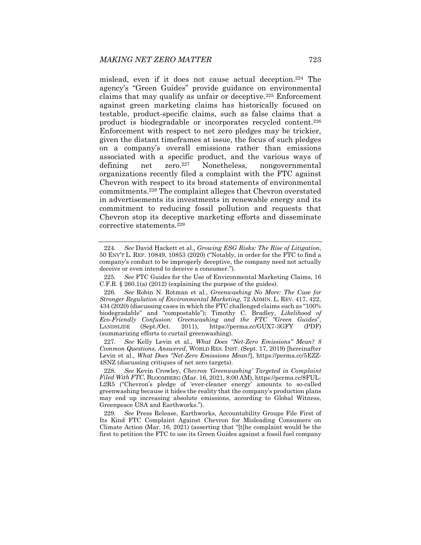mislead, even if it does not cause actual deception.224 The agency's "Green Guides" provide guidance on environmental claims that may qualify as unfair or deceptive.225 Enforcement against green marketing claims has historically focused on testable, product-specific claims, such as false claims that a product is biodegradable or incorporates recycled content.226 Enforcement with respect to net zero pledges may be trickier, given the distant timeframes at issue, the focus of such pledges on a company's overall emissions rather than emissions associated with a specific product, and the various ways of defining net zero.227 Nonetheless, nongovernmental organizations recently filed a complaint with the FTC against Chevron with respect to its broad statements of environmental commitments.228 The complaint alleges that Chevron overstated in advertisements its investments in renewable energy and its commitment to reducing fossil pollution and requests that Chevron stop its deceptive marketing efforts and disseminate corrective statements.229

227*. See* Kelly Levin et al., *What Does "Net-Zero Emissions" Mean? 8 Common Questions, Answered*, WORLD RES. INST. (Sept. 17, 2019) [hereinafter Levin et al., *What Does "Net-Zero Emissions Mean?*], https://perma.cc/5EZZ-4SNZ (discussing critiques of net zero targets).

<sup>224</sup>*. See* David Hackett et al., *Growing ESG Risks: The Rise of Litigation*, 50 ENV'T L. REP. 10849, 10853 (2020) ("Notably, in order for the FTC to find a company's conduct to be improperly deceptive, the company need not actually deceive or even intend to deceive a consumer.").

<sup>225</sup>*. See* FTC Guides for the Use of Environmental Marketing Claims, 16 C.F.R. § 260.1(a) (2012) (explaining the purpose of the guides).

<sup>226</sup>*. See* Robin N. Rotman et al., *Greenwashing No More: The Case for Stronger Regulation of Environmental Marketing*, 72 ADMIN. L. REV. 417, 422, 434 (2020) (discussing cases in which the FTC challenged claims such as "100% biodegradable" and "compostable"); Timothy C. Bradley, *Likelihood of Eco-Friendly Confusion: Greenwashing and the FTC "Green Guides*", LANDSLIDE (Sept./Oct. 2011), https://perma.cc/GUX7-3GFY (PDF) (summarizing efforts to curtail greenwashing).

<sup>228</sup>*. See* Kevin Crowley, *Chevron 'Greenwashing' Targeted in Complaint Filed With FTC*, BLOOMBERG (Mar. 16, 2021, 8:00 AM), https://perma.cc/8FUL-L2R5 ("Chevron's pledge of 'ever-cleaner energy' amounts to so-called greenwashing because it hides the reality that the company's production plans may end up increasing absolute emissions, according to Global Witness, Greenpeace USA and Earthworks.").

<sup>229</sup>*. See* Press Release, Earthworks, Accountability Groups File First of Its Kind FTC Complaint Against Chevron for Misleading Consumers on Climate Action (Mar. 16, 2021) (asserting that "[t]he complaint would be the first to petition the FTC to use its Green Guides against a fossil fuel company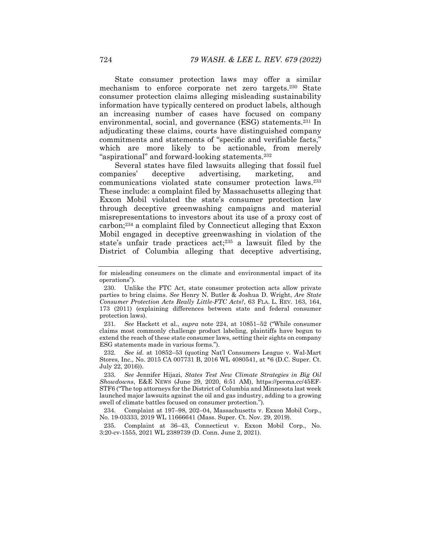State consumer protection laws may offer a similar mechanism to enforce corporate net zero targets.230 State consumer protection claims alleging misleading sustainability information have typically centered on product labels, although an increasing number of cases have focused on company environmental, social, and governance (ESG) statements.231 In adjudicating these claims, courts have distinguished company commitments and statements of "specific and verifiable facts," which are more likely to be actionable, from merely "aspirational" and forward-looking statements.232

Several states have filed lawsuits alleging that fossil fuel companies' deceptive advertising, marketing, and communications violated state consumer protection laws.233 These include: a complaint filed by Massachusetts alleging that Exxon Mobil violated the state's consumer protection law through deceptive greenwashing campaigns and material misrepresentations to investors about its use of a proxy cost of carbon;234 a complaint filed by Connecticut alleging that Exxon Mobil engaged in deceptive greenwashing in violation of the state's unfair trade practices act;235 a lawsuit filed by the District of Columbia alleging that deceptive advertising,

231*. See* Hackett et al., *supra* note 224, at 10851–52 ("While consumer claims most commonly challenge product labeling, plaintiffs have begun to extend the reach of these state consumer laws, setting their sights on company ESG statements made in various forms.").

232*. See id.* at 10852–53 (quoting Nat'l Consumers League v. Wal-Mart Stores, Inc., No. 2015 CA 007731 B, 2016 WL 4080541, at \*6 (D.C. Super. Ct. July 22, 2016)).

233*. See* Jennifer Hijazi, *States Test New Climate Strategies in Big Oil Showdowns*, E&E NEWS (June 29, 2020, 6:51 AM), https://perma.cc/45EF-STF6 ("The top attorneys for the District of Columbia and Minnesota last week launched major lawsuits against the oil and gas industry, adding to a growing swell of climate battles focused on consumer protection.").

 234. Complaint at 197–98, 202–04, Massachusetts v. Exxon Mobil Corp., No. 19-03333, 2019 WL 11666641 (Mass. Super. Ct. Nov. 29, 2019).

 235. Complaint at 36–43, Connecticut v. Exxon Mobil Corp., No. 3:20-cv-1555, 2021 WL 2389739 (D. Conn. June 2, 2021).

for misleading consumers on the climate and environmental impact of its operations").

 <sup>230.</sup> Unlike the FTC Act, state consumer protection acts allow private parties to bring claims. *See* Henry N. Butler & Joshua D. Wright, *Are State Consumer Protection Acts Really Little-FTC Acts?*, 63 FLA. L. REV. 163, 164, 173 (2011) (explaining differences between state and federal consumer protection laws).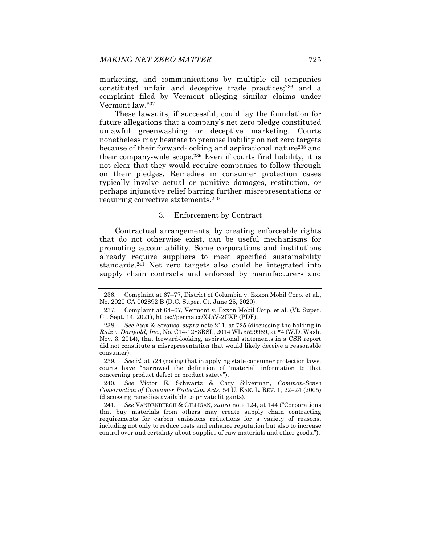marketing, and communications by multiple oil companies constituted unfair and deceptive trade practices;236 and a complaint filed by Vermont alleging similar claims under Vermont law.237

These lawsuits, if successful, could lay the foundation for future allegations that a company's net zero pledge constituted unlawful greenwashing or deceptive marketing. Courts nonetheless may hesitate to premise liability on net zero targets because of their forward-looking and aspirational nature<sup>238</sup> and their company-wide scope.239 Even if courts find liability, it is not clear that they would require companies to follow through on their pledges. Remedies in consumer protection cases typically involve actual or punitive damages, restitution, or perhaps injunctive relief barring further misrepresentations or requiring corrective statements.240

# 3. Enforcement by Contract

Contractual arrangements, by creating enforceable rights that do not otherwise exist, can be useful mechanisms for promoting accountability. Some corporations and institutions already require suppliers to meet specified sustainability standards.241 Net zero targets also could be integrated into supply chain contracts and enforced by manufacturers and

 <sup>236.</sup> Complaint at 67–77, District of Columbia v. Exxon Mobil Corp. et al., No. 2020 CA 002892 B (D.C. Super. Ct. June 25, 2020).

 <sup>237.</sup> Complaint at 64–67, Vermont v. Exxon Mobil Corp. et al. (Vt. Super. Ct. Sept. 14, 2021), https://perma.cc/XJ5V-2CXP (PDF).

<sup>238</sup>*. See* Ajax & Strauss, *supra* note 211, at 725 (discussing the holding in *Ruiz v. Darigold, Inc.*, No. C14-1283RSL, 2014 WL 5599989, at \*4 (W.D. Wash. Nov. 3, 2014), that forward-looking, aspirational statements in a CSR report did not constitute a misrepresentation that would likely deceive a reasonable consumer).

<sup>239</sup>*. See id.* at 724 (noting that in applying state consumer protection laws, courts have "narrowed the definition of 'material' information to that concerning product defect or product safety").

<sup>240</sup>*. See* Victor E. Schwartz & Cary Silverman, *Common-Sense Construction of Consumer Protection Acts*, 54 U. KAN. L. REV. 1, 22–24 (2005) (discussing remedies available to private litigants).

<sup>241</sup>*. See* VANDENBERGH & GILLIGAN, *supra* note 124, at 144 ("Corporations that buy materials from others may create supply chain contracting requirements for carbon emissions reductions for a variety of reasons, including not only to reduce costs and enhance reputation but also to increase control over and certainty about supplies of raw materials and other goods.").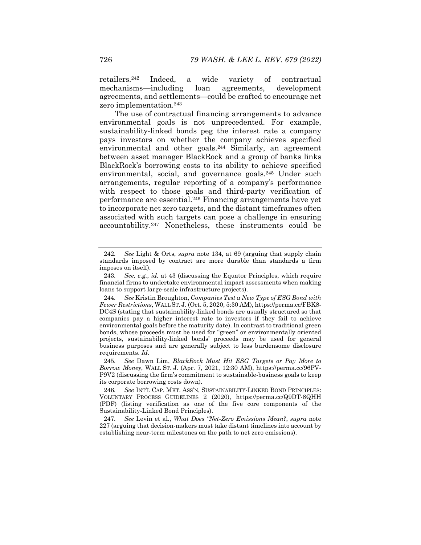retailers.242 Indeed, a wide variety of contractual mechanisms—including loan agreements, development agreements, and settlements—could be crafted to encourage net zero implementation.243

The use of contractual financing arrangements to advance environmental goals is not unprecedented. For example, sustainability-linked bonds peg the interest rate a company pays investors on whether the company achieves specified environmental and other goals.<sup>244</sup> Similarly, an agreement between asset manager BlackRock and a group of banks links BlackRock's borrowing costs to its ability to achieve specified environmental, social, and governance goals.<sup>245</sup> Under such arrangements, regular reporting of a company's performance with respect to those goals and third-party verification of performance are essential.246 Financing arrangements have yet to incorporate net zero targets, and the distant timeframes often associated with such targets can pose a challenge in ensuring accountability.247 Nonetheless, these instruments could be

245*. See* Dawn Lim, *BlackRock Must Hit ESG Targets or Pay More to Borrow Money*, WALL ST. J. (Apr. 7, 2021, 12:30 AM), https://perma.cc/96PV-P9V2 (discussing the firm's commitment to sustainable-business goals to keep its corporate borrowing costs down).

<sup>242</sup>*. See* Light & Orts, *supra* note 134, at 69 (arguing that supply chain standards imposed by contract are more durable than standards a firm imposes on itself).

<sup>243</sup>*. See, e.g.*, *id.* at 43 (discussing the Equator Principles, which require financial firms to undertake environmental impact assessments when making loans to support large-scale infrastructure projects).

<sup>244</sup>*. See* Kristin Broughton, *Companies Test a New Type of ESG Bond with Fewer Restrictions*, WALL ST. J. (Oct. 5, 2020, 5:30 AM), https://perma.cc/FBK8- DC4S (stating that sustainability-linked bonds are usually structured so that companies pay a higher interest rate to investors if they fail to achieve environmental goals before the maturity date). In contrast to traditional green bonds, whose proceeds must be used for "green" or environmentally oriented projects, sustainability-linked bonds' proceeds may be used for general business purposes and are generally subject to less burdensome disclosure requirements. *Id.*

<sup>246</sup>*. See* INT'L CAP. MKT. ASS'N, SUSTAINABILITY-LINKED BOND PRINCIPLES: VOLUNTARY PROCESS GUIDELINES 2 (2020), https://perma.cc/Q9DT-8QHH (PDF) (listing verification as one of the five core components of the Sustainability-Linked Bond Principles).

<sup>247</sup>*. See* Levin et al., *What Does "Net-Zero Emissions Mean?*, *supra* note 227 (arguing that decision-makers must take distant timelines into account by establishing near-term milestones on the path to net zero emissions).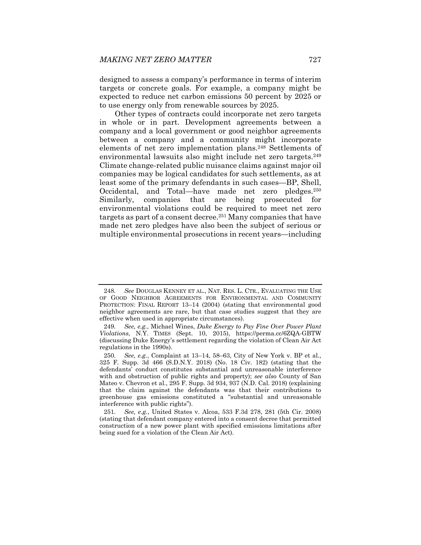designed to assess a company's performance in terms of interim targets or concrete goals. For example, a company might be expected to reduce net carbon emissions 50 percent by 2025 or to use energy only from renewable sources by 2025.

Other types of contracts could incorporate net zero targets in whole or in part. Development agreements between a company and a local government or good neighbor agreements between a company and a community might incorporate elements of net zero implementation plans.248 Settlements of environmental lawsuits also might include net zero targets.<sup>249</sup> Climate change-related public nuisance claims against major oil companies may be logical candidates for such settlements, as at least some of the primary defendants in such cases—BP, Shell, Occidental, and Total—have made net zero pledges.250 Similarly, companies that are being prosecuted for environmental violations could be required to meet net zero targets as part of a consent decree.<sup>251</sup> Many companies that have made net zero pledges have also been the subject of serious or multiple environmental prosecutions in recent years—including

<sup>248</sup>*. See* DOUGLAS KENNEY ET AL., NAT. RES. L. CTR., EVALUATING THE USE OF GOOD NEIGHBOR AGREEMENTS FOR ENVIRONMENTAL AND COMMUNITY PROTECTION: FINAL REPORT 13–14 (2004) (stating that environmental good neighbor agreements are rare, but that case studies suggest that they are effective when used in appropriate circumstances).

<sup>249</sup>*. See, e.g.*, Michael Wines, *Duke Energy to Pay Fine Over Power Plant Violations*, N.Y. TIMES (Sept. 10, 2015), https://perma.cc/6ZQA-GBTW (discussing Duke Energy's settlement regarding the violation of Clean Air Act regulations in the 1990s).

<sup>250</sup>*. See, e.g.*, Complaint at 13–14, 58–63, City of New York v. BP et al., 325 F. Supp. 3d 466 (S.D.N.Y. 2018) (No. 18 Civ. 182) (stating that the defendants' conduct constitutes substantial and unreasonable interference with and obstruction of public rights and property); *see also* County of San Mateo v. Chevron et al., 295 F. Supp. 3d 934, 937 (N.D. Cal. 2018) (explaining that the claim against the defendants was that their contributions to greenhouse gas emissions constituted a "substantial and unreasonable interference with public rights").

<sup>251</sup>*. See, e.g.*, United States v. Alcoa, 533 F.3d 278, 281 (5th Cir. 2008) (stating that defendant company entered into a consent decree that permitted construction of a new power plant with specified emissions limitations after being sued for a violation of the Clean Air Act).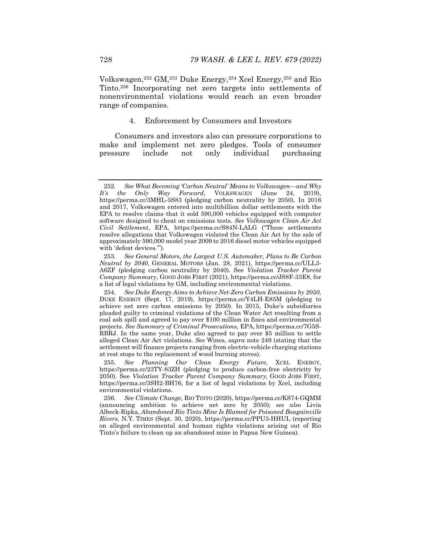Volkswagen,252 GM,253 Duke Energy,254 Xcel Energy,255 and Rio Tinto.256 Incorporating net zero targets into settlements of nonenvironmental violations would reach an even broader range of companies.

# 4. Enforcement by Consumers and Investors

Consumers and investors also can pressure corporations to make and implement net zero pledges. Tools of consumer pressure include not only individual purchasing

<sup>252</sup>*. See What Becoming 'Carbon Neutral' Means to Volkswagen—and Why Way Forward*, VOLKSWAGEN https://perma.cc/3MHL-5S83 (pledging carbon neutrality by 2050). In 2016 and 2017, Volkswagen entered into multibillion dollar settlements with the EPA to resolve claims that it sold 590,000 vehicles equipped with computer software designed to cheat on emissions tests. *See Volkswagen Clean Air Act Civil Settlement*, EPA, https://perma.cc/S84N-LALG ("These settlements resolve allegations that Volkswagen violated the Clean Air Act by the sale of approximately 590,000 model year 2009 to 2016 diesel motor vehicles equipped with 'defeat devices.'").

<sup>253</sup>*. See General Motors, the Largest U.S. Automaker, Plans to Be Carbon Neutral by 2040*, GENERAL MOTORS (Jan. 28, 2021), https://perma.cc/ULL3- A6ZF (pledging carbon neutrality by 2040). See *Violation Tracker Parent Company Summary*, GOOD JOBS FIRST (2021), https://perma.cc/JS8F-33E8, for a list of legal violations by GM, including environmental violations.

<sup>254</sup>*. See Duke Energy Aims to Achieve Net-Zero Carbon Emissions by 2050,*  DUKE ENERGY (Sept. 17, 2019), https://perma.cc/Y4LH-E85M (pledging to achieve net zero carbon emissions by 2050). In 2015, Duke's subsidiaries pleaded guilty to criminal violations of the Clean Water Act resulting from a coal ash spill and agreed to pay over \$100 million in fines and environmental projects. *See Summary of Criminal Prosecutions*, EPA, https://perma.cc/7G5S-RBRJ. In the same year, Duke also agreed to pay over \$5 million to settle alleged Clean Air Act violations. *See* Wines, *supra* note 249 (stating that the settlement will finance projects ranging from electric-vehicle charging stations at rest stops to the replacement of wood burning stoves).

 <sup>255.</sup> *See Planning Our Clean Energy Future*, XCEL ENERGY, https://perma.cc/23TY-83ZH (pledging to produce carbon-free electricity by 2050). See *Violation Tracker Parent Company Summary*, GOOD JOBS FIRST, https://perma.cc/3SH2-BH76, for a list of legal violations by Xcel, including environmental violations.

<sup>256</sup>*. See Climate Change*, RIO TINTO (2020), https://perma.cc/KS74-GQMM (announcing ambition to achieve net zero by 2050); *see also* Livia Albeck-Ripka, *Abandoned Rio Tinto Mine Is Blamed for Poisoned Bougainville Rivers*, N.Y. TIMES (Sept. 30, 2020), https://perma.cc/PPU3-HHUL (reporting on alleged environmental and human rights violations arising out of Rio Tinto's failure to clean up an abandoned mine in Papua New Guinea).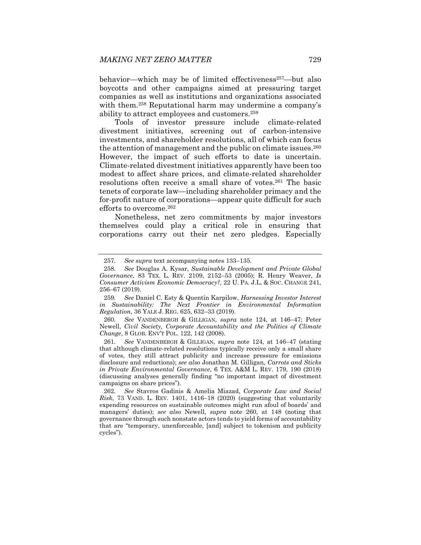behavior—which may be of limited effectiveness<sup>257</sup>—but also boycotts and other campaigns aimed at pressuring target companies as well as institutions and organizations associated with them.<sup>258</sup> Reputational harm may undermine a company's ability to attract employees and customers.259

Tools of investor pressure include climate-related divestment initiatives, screening out of carbon-intensive investments, and shareholder resolutions, all of which can focus the attention of management and the public on climate issues.<sup>260</sup> However, the impact of such efforts to date is uncertain. Climate-related divestment initiatives apparently have been too modest to affect share prices, and climate-related shareholder resolutions often receive a small share of votes.261 The basic tenets of corporate law—including shareholder primacy and the for-profit nature of corporations—appear quite difficult for such efforts to overcome.262

Nonetheless, net zero commitments by major investors themselves could play a critical role in ensuring that corporations carry out their net zero pledges. Especially

260*. See* VANDENBERGH & GILLIGAN, *supra* note 124, at 146–47; Peter Newell, *Civil Society, Corporate Accountability and the Politics of Climate Change*, 8 GLOB. ENV'T POL. 122, 142 (2008).

261*. See* VANDENBERGH & GILLIGAN, *supra* note 124, at 146–47 (stating that although climate-related resolutions typically receive only a small share of votes, they still attract publicity and increase pressure for emissions disclosure and reductions); *see also* Jonathan M. Gilligan, *Carrots and Sticks in Private Environmental Governance*, 6 TEX. A&M L. REV. 179, 190 (2018) (discussing analyses generally finding "no important impact of divestment campaigns on share prices").

<sup>257</sup>*. See supra* text accompanying notes 133–135.

<sup>258</sup>*. See* Douglas A. Kysar, *Sustainable Development and Private Global Governance*, 83 TEX. L. REV. 2109, 2152–53 (2005); R. Henry Weaver, *Is Consumer Activism Economic Democracy?*, 22 U. PA. J.L. & SOC. CHANGE 241, 256–67 (2019).

<sup>259</sup>*. See* Daniel C. Esty & Quentin Karpilow, *Harnessing Investor Interest in Sustainability: The Next Frontier in Environmental Information Regulation*, 36 YALE J. REG. 625, 632–33 (2019).

<sup>262</sup>*. See* Stavros Gadinis & Amelia Miazad, *Corporate Law and Social Risk*, 73 VAND. L. REV. 1401, 1416–18 (2020) (suggesting that voluntarily expending resources on sustainable outcomes might run afoul of boards' and managers' duties); *see also* Newell, *supra* note 260, at 148 (noting that governance through such nonstate actors tends to yield forms of accountability that are "temporary, unenforceable, [and] subject to tokenism and publicity cycles").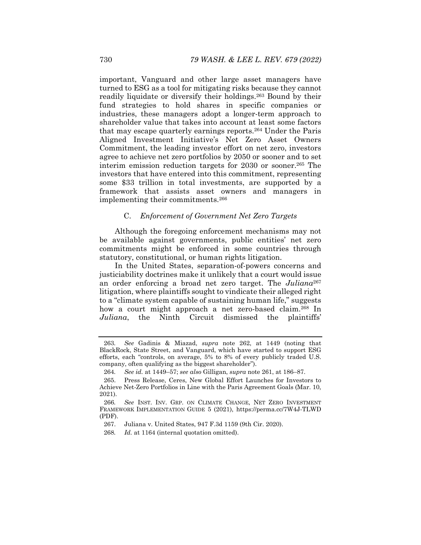important, Vanguard and other large asset managers have turned to ESG as a tool for mitigating risks because they cannot readily liquidate or diversify their holdings.263 Bound by their fund strategies to hold shares in specific companies or industries, these managers adopt a longer-term approach to shareholder value that takes into account at least some factors that may escape quarterly earnings reports.264 Under the Paris Aligned Investment Initiative's Net Zero Asset Owners Commitment, the leading investor effort on net zero, investors agree to achieve net zero portfolios by 2050 or sooner and to set interim emission reduction targets for 2030 or sooner.265 The investors that have entered into this commitment, representing some \$33 trillion in total investments, are supported by a framework that assists asset owners and managers in implementing their commitments.266

### C. *Enforcement of Government Net Zero Targets*

Although the foregoing enforcement mechanisms may not be available against governments, public entities' net zero commitments might be enforced in some countries through statutory, constitutional, or human rights litigation.

In the United States, separation-of-powers concerns and justiciability doctrines make it unlikely that a court would issue an order enforcing a broad net zero target. The *Juliana*<sup>267</sup> litigation, where plaintiffs sought to vindicate their alleged right to a "climate system capable of sustaining human life," suggests how a court might approach a net zero-based claim.268 In *Juliana*, the Ninth Circuit dismissed the plaintiffs'

<sup>263</sup>*. See* Gadinis & Miazad, *supra* note 262, at 1449 (noting that BlackRock, State Street, and Vanguard, which have started to support ESG efforts, each "controls, on average, 5% to 8% of every publicly traded U.S. company, often qualifying as the biggest shareholder").

<sup>264</sup>*. See id.* at 1449–57; *see also* Gilligan, *supra* note 261, at 186–87.

 <sup>265.</sup> Press Release, Ceres, New Global Effort Launches for Investors to Achieve Net-Zero Portfolios in Line with the Paris Agreement Goals (Mar. 10, 2021).

<sup>266</sup>*. See* INST. INV. GRP. ON CLIMATE CHANGE, NET ZERO INVESTMENT FRAMEWORK IMPLEMENTATION GUIDE 5 (2021), https://perma.cc/7W4J-TLWD (PDF).

 <sup>267.</sup> Juliana v. United States, 947 F.3d 1159 (9th Cir. 2020).

<sup>268</sup>*. Id.* at 1164 (internal quotation omitted).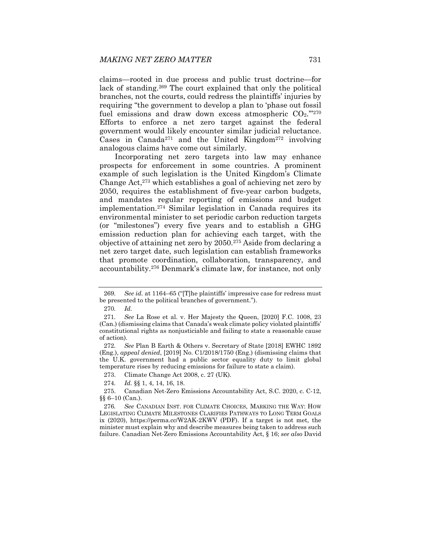claims—rooted in due process and public trust doctrine—for lack of standing.<sup>269</sup> The court explained that only the political branches, not the courts, could redress the plaintiffs' injuries by requiring "the government to develop a plan to 'phase out fossil fuel emissions and draw down excess atmospheric  $CO<sub>2</sub>$ ."270 Efforts to enforce a net zero target against the federal government would likely encounter similar judicial reluctance. Cases in Canada<sup>271</sup> and the United Kingdom<sup>272</sup> involving analogous claims have come out similarly.

Incorporating net zero targets into law may enhance prospects for enforcement in some countries. A prominent example of such legislation is the United Kingdom's Climate Change Act,273 which establishes a goal of achieving net zero by 2050, requires the establishment of five-year carbon budgets, and mandates regular reporting of emissions and budget implementation.274 Similar legislation in Canada requires its environmental minister to set periodic carbon reduction targets (or "milestones") every five years and to establish a GHG emission reduction plan for achieving each target, with the objective of attaining net zero by 2050.275 Aside from declaring a net zero target date, such legislation can establish frameworks that promote coordination, collaboration, transparency, and accountability.276 Denmark's climate law, for instance, not only

<sup>269</sup>*. See id.* at 1164–65 ("[T]he plaintiffs' impressive case for redress must be presented to the political branches of government.").

<sup>270</sup>*. Id.*

<sup>271</sup>*. See* La Rose et al. v. Her Majesty the Queen, [2020] F.C. 1008, 23 (Can.) (dismissing claims that Canada's weak climate policy violated plaintiffs' constitutional rights as nonjusticiable and failing to state a reasonable cause of action).

<sup>272</sup>*. See* Plan B Earth & Others v. Secretary of State [2018] EWHC 1892 (Eng.), *appeal denied*, [2019] No. C1/2018/1750 (Eng.) (dismissing claims that the U.K. government had a public sector equality duty to limit global temperature rises by reducing emissions for failure to state a claim).

 <sup>273.</sup> Climate Change Act 2008, c. 27 (UK).

<sup>274</sup>*. Id.* §§ 1, 4, 14, 16, 18.

 <sup>275.</sup> Canadian Net-Zero Emissions Accountability Act, S.C. 2020, c. C-12, §§ 6–10 (Can.).

<sup>276</sup>*. See* CANADIAN INST. FOR CLIMATE CHOICES, MARKING THE WAY: HOW LEGISLATING CLIMATE MILESTONES CLARIFIES PATHWAYS TO LONG TERM GOALS ix (2020), https://perma.cc/W2AK-2KWV (PDF). If a target is not met, the minister must explain why and describe measures being taken to address such failure. Canadian Net-Zero Emissions Accountability Act, § 16; *see also* David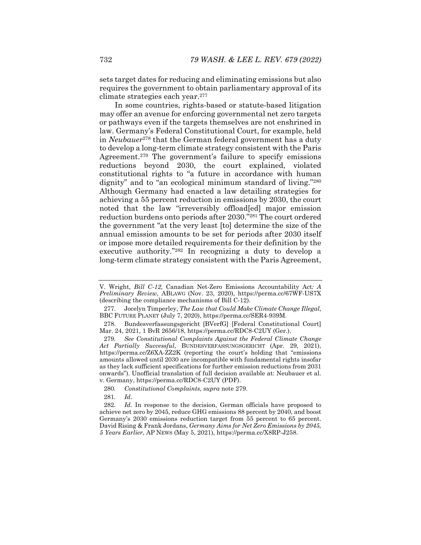sets target dates for reducing and eliminating emissions but also requires the government to obtain parliamentary approval of its climate strategies each year.277

In some countries, rights-based or statute-based litigation may offer an avenue for enforcing governmental net zero targets or pathways even if the targets themselves are not enshrined in law. Germany's Federal Constitutional Court, for example, held in *Neubauer*<sup>278</sup> that the German federal government has a duty to develop a long-term climate strategy consistent with the Paris Agreement.279 The government's failure to specify emissions reductions beyond 2030, the court explained, violated constitutional rights to "a future in accordance with human dignity" and to "an ecological minimum standard of living."280 Although Germany had enacted a law detailing strategies for achieving a 55 percent reduction in emissions by 2030, the court noted that the law "irreversibly offload[ed] major emission reduction burdens onto periods after 2030."281 The court ordered the government "at the very least [to] determine the size of the annual emission amounts to be set for periods after 2030 itself or impose more detailed requirements for their definition by the executive authority."282 In recognizing a duty to develop a long-term climate strategy consistent with the Paris Agreement,

281*. Id*.

V. Wright, *Bill C-12,* Canadian Net-Zero Emissions Accountability Act*: A Preliminary Review*, ABLAWG (Nov. 23, 2020), https://perma.cc/67WF-US7X (describing the compliance mechanisms of Bill C-12).

 <sup>277.</sup> Jocelyn Timperley, *The Law that Could Make Climate Change Illegal*, BBC FUTURE PLANET (July 7, 2020), https://perma.cc/SER4-939M.

 <sup>278.</sup> Bundesverfassungsgericht [BVerfG] [Federal Constitutional Court] Mar. 24, 2021, 1 BvR 2656/18, https://perma.cc/RDC8-C2UY (Ger.).

<sup>279</sup>*. See Constitutional Complaints Against the Federal Climate Change Act Partially Successful*, BUNDESVERFASSUNGSGERICHT (Apr. 29, 2021), https://perma.cc/Z6XA-ZZ2K (reporting the court's holding that "emissions amounts allowed until 2030 are incompatible with fundamental rights insofar as they lack sufficient specifications for further emission reductions from 2031 onwards"). Unofficial translation of full decision available at: Neubauer et al. v. Germany, https://perma.cc/RDC8-C2UY (PDF).

<sup>280</sup>*. Constitutional Complaints*, *supra* note 279.

<sup>282</sup>*. Id.* In response to the decision, German officials have proposed to achieve net zero by 2045, reduce GHG emissions 88 percent by 2040, and boost Germany's 2030 emissions reduction target from 55 percent to 65 percent. David Rising & Frank Jordans, *Germany Aims for Net Zero Emissions by 2045, 5 Years Earlier*, AP NEWS (May 5, 2021), https://perma.cc/X8RP-J258.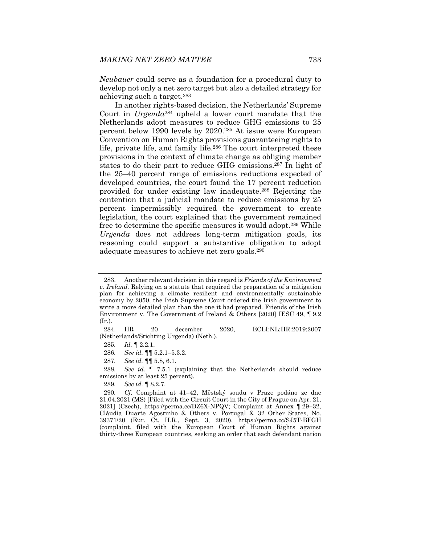*Neubauer* could serve as a foundation for a procedural duty to develop not only a net zero target but also a detailed strategy for achieving such a target.283

In another rights-based decision, the Netherlands' Supreme Court in *Urgenda*284 upheld a lower court mandate that the Netherlands adopt measures to reduce GHG emissions to 25 percent below 1990 levels by 2020.285 At issue were European Convention on Human Rights provisions guaranteeing rights to life, private life, and family life.286 The court interpreted these provisions in the context of climate change as obliging member states to do their part to reduce GHG emissions.287 In light of the 25–40 percent range of emissions reductions expected of developed countries, the court found the 17 percent reduction provided for under existing law inadequate.288 Rejecting the contention that a judicial mandate to reduce emissions by 25 percent impermissibly required the government to create legislation, the court explained that the government remained free to determine the specific measures it would adopt.289 While *Urgenda* does not address long-term mitigation goals, its reasoning could support a substantive obligation to adopt adequate measures to achieve net zero goals.290

 284. HR 20 december 2020, ECLI:NL:HR:2019:2007 (Netherlands/Stichting Urgenda) (Neth.).

- 285*. Id.* ¶ 2.2.1.
- 286*. See id.* ¶¶ 5.2.1–5.3.2.
- 287*. See id.* ¶¶ 5.8, 6.1.

288*. See id.* ¶ 7.5.1 (explaining that the Netherlands should reduce emissions by at least 25 percent).

289*. See id.* ¶ 8.2.7.

 <sup>283.</sup> Another relevant decision in this regard is *Friends of the Environment v. Ireland.* Relying on a statute that required the preparation of a mitigation plan for achieving a climate resilient and environmentally sustainable economy by 2050, the Irish Supreme Court ordered the Irish government to write a more detailed plan than the one it had prepared. Friends of the Irish Environment v. The Government of Ireland & Others [2020] IESC 49, ¶ 9.2 (Ir.).

<sup>290</sup>*. Cf.* Complaint at 41–42, Městský soudu v Praze podáno ze dne 21.04.2021 (MS) [Filed with the Circuit Court in the City of Prague on Apr. 21, 2021] (Czech), https://perma.cc/DZ6X-NPQV; Complaint at Annex ¶ 29–32, Cláudia Duarte Agostinho & Others v. Portugal & 32 Other States, No. 39371/20 (Eur. Ct. H.R., Sept. 3, 2020), https://perma.cc/SJ5T-BFGH (complaint, filed with the European Court of Human Rights against thirty-three European countries, seeking an order that each defendant nation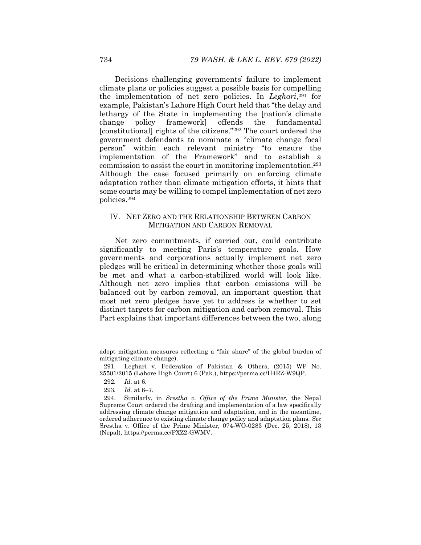Decisions challenging governments' failure to implement climate plans or policies suggest a possible basis for compelling the implementation of net zero policies. In *Leghari*,291 for example, Pakistan's Lahore High Court held that "the delay and lethargy of the State in implementing the [nation's climate change policy framework] offends the fundamental [constitutional] rights of the citizens."<sup>292</sup> The court ordered the government defendants to nominate a "climate change focal person" within each relevant ministry "to ensure the implementation of the Framework" and to establish a commission to assist the court in monitoring implementation.293 Although the case focused primarily on enforcing climate adaptation rather than climate mitigation efforts, it hints that some courts may be willing to compel implementation of net zero policies.294

# IV. NET ZERO AND THE RELATIONSHIP BETWEEN CARBON MITIGATION AND CARBON REMOVAL

Net zero commitments, if carried out, could contribute significantly to meeting Paris's temperature goals. How governments and corporations actually implement net zero pledges will be critical in determining whether those goals will be met and what a carbon-stabilized world will look like. Although net zero implies that carbon emissions will be balanced out by carbon removal, an important question that most net zero pledges have yet to address is whether to set distinct targets for carbon mitigation and carbon removal. This Part explains that important differences between the two, along

adopt mitigation measures reflecting a "fair share" of the global burden of mitigating climate change).

 <sup>291.</sup> Leghari v. Federation of Pakistan & Others, (2015) WP No. 25501/2015 (Lahore High Court) 6 (Pak.), https://perma.cc/H4RZ-W9QP.

<sup>292</sup>*. Id.* at 6.

<sup>293</sup>*. Id.* at 6–7.

 <sup>294.</sup> Similarly, in *Srestha v. Office of the Prime Minister*, the Nepal Supreme Court ordered the drafting and implementation of a law specifically addressing climate change mitigation and adaptation, and in the meantime, ordered adherence to existing climate change policy and adaptation plans. *See* Srestha v. Office of the Prime Minister, 074-WO-0283 (Dec. 25, 2018), 13 (Nepal), https://perma.cc/PXZ2-GWMV.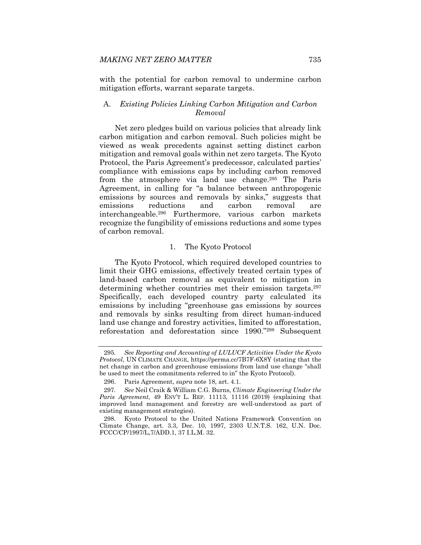with the potential for carbon removal to undermine carbon mitigation efforts, warrant separate targets.

### A. *Existing Policies Linking Carbon Mitigation and Carbon Removal*

Net zero pledges build on various policies that already link carbon mitigation and carbon removal. Such policies might be viewed as weak precedents against setting distinct carbon mitigation and removal goals within net zero targets. The Kyoto Protocol, the Paris Agreement's predecessor, calculated parties' compliance with emissions caps by including carbon removed from the atmosphere via land use change.295 The Paris Agreement, in calling for "a balance between anthropogenic emissions by sources and removals by sinks," suggests that emissions reductions and carbon removal are interchangeable.296 Furthermore, various carbon markets recognize the fungibility of emissions reductions and some types of carbon removal.

#### 1. The Kyoto Protocol

The Kyoto Protocol, which required developed countries to limit their GHG emissions, effectively treated certain types of land-based carbon removal as equivalent to mitigation in determining whether countries met their emission targets.297 Specifically, each developed country party calculated its emissions by including "greenhouse gas emissions by sources and removals by sinks resulting from direct human-induced land use change and forestry activities, limited to afforestation, reforestation and deforestation since 1990."298 Subsequent

<sup>295</sup>*. See Reporting and Accounting of LULUCF Activities Under the Kyoto Protocol*, UN CLIMATE CHANGE, https://perma.cc/7B7F-6X8Y (stating that the net change in carbon and greenhouse emissions from land use change "shall be used to meet the commitments referred to in" the Kyoto Protocol).

 <sup>296.</sup> Paris Agreement, *supra* note 18, art. 4.1.

<sup>297</sup>*. See* Neil Craik & William C.G. Burns, *Climate Engineering Under the Paris Agreement*, 49 ENV'T L. REP. 11113, 11116 (2019) (explaining that improved land management and forestry are well-understood as part of existing management strategies).

 <sup>298.</sup> Kyoto Protocol to the United Nations Framework Convention on Climate Change, art. 3.3, Dec. 10, 1997, 2303 U.N.T.S. 162, U.N. Doc. FCCC/CP/1997/L,7/ADD.1, 37 I.L.M. 32.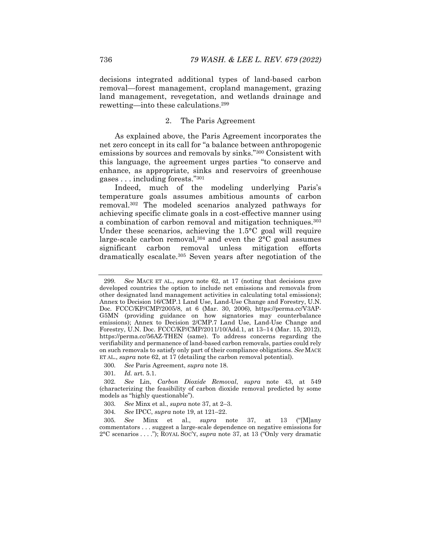decisions integrated additional types of land-based carbon removal—forest management, cropland management, grazing land management, revegetation, and wetlands drainage and rewetting—into these calculations.299

## 2. The Paris Agreement

As explained above, the Paris Agreement incorporates the net zero concept in its call for "a balance between anthropogenic emissions by sources and removals by sinks."300 Consistent with this language, the agreement urges parties "to conserve and enhance, as appropriate, sinks and reservoirs of greenhouse gases . . . including forests."301

Indeed, much of the modeling underlying Paris's temperature goals assumes ambitious amounts of carbon removal.302 The modeled scenarios analyzed pathways for achieving specific climate goals in a cost-effective manner using a combination of carbon removal and mitigation techniques.<sup>303</sup> Under these scenarios, achieving the 1.5°C goal will require large-scale carbon removal,  $304$  and even the  $2^{\circ}$ C goal assumes significant carbon removal unless mitigation efforts dramatically escalate.305 Seven years after negotiation of the

<sup>299</sup>*. See* MACE ET AL., *supra* note 62, at 17 (noting that decisions gave developed countries the option to include net emissions and removals from other designated land management activities in calculating total emissions); Annex to Decision 16/CMP.1 Land Use, Land-Use Change and Forestry, U.N. Doc. FCCC/KP/CMP/2005/8, at 6 (Mar. 30, 2006), https://perma.cc/V3AP-G5MN (providing guidance on how signatories may counterbalance emissions); Annex to Decision 2/CMP.7 Land Use, Land-Use Change and Forestry, U.N. Doc. FCCC/KP/CMP/2011/10/Add.1, at 13–14 (Mar. 15, 2012), https://perma.cc/56AZ-THEN (same). To address concerns regarding the verifiability and permanence of land-based carbon removals, parties could rely on such removals to satisfy only part of their compliance obligations. *See* MACE ET AL., *supra* note 62, at 17 (detailing the carbon removal potential).

<sup>300</sup>*. See* Paris Agreement, *supra* note 18.

<sup>301</sup>*. Id.* art. 5.1.

<sup>302</sup>*. See* Lin, *Carbon Dioxide Removal*, *supra* note 43, at 549 (characterizing the feasibility of carbon dioxide removal predicted by some models as "highly questionable").

<sup>303</sup>*. See* Minx et al., *supra* note 37, at 2–3.

<sup>304</sup>*. See* IPCC, *supra* note 19, at 121–22.

<sup>305</sup>*. See* Minx et al., *supra* note 37, at 13 ("[M]any commentators . . . suggest a large-scale dependence on negative emissions for 2°C scenarios . . . ."); ROYAL SOC'Y, *supra* note 37, at 13 ("Only very dramatic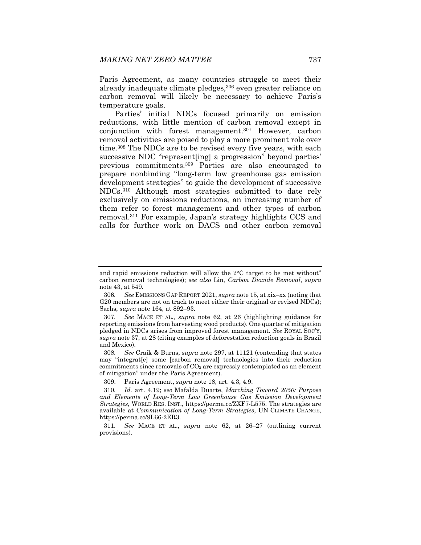Paris Agreement, as many countries struggle to meet their already inadequate climate pledges,306 even greater reliance on carbon removal will likely be necessary to achieve Paris's temperature goals.

Parties' initial NDCs focused primarily on emission reductions, with little mention of carbon removal except in conjunction with forest management.307 However, carbon removal activities are poised to play a more prominent role over time.308 The NDCs are to be revised every five years, with each successive NDC "represent[ing] a progression" beyond parties' previous commitments.309 Parties are also encouraged to prepare nonbinding "long-term low greenhouse gas emission development strategies" to guide the development of successive NDCs.310 Although most strategies submitted to date rely exclusively on emissions reductions, an increasing number of them refer to forest management and other types of carbon removal.311 For example, Japan's strategy highlights CCS and calls for further work on DACS and other carbon removal

308*. See* Craik & Burns, *supra* note 297, at 11121 (contending that states may "integrat[e] some [carbon removal] technologies into their reduction commitments since removals of  $CO<sub>2</sub>$  are expressly contemplated as an element of mitigation" under the Paris Agreement).

309. Paris Agreement, *supra* note 18, art. 4.3, 4.9.

311*. See* MACE ET AL., *supra* note 62, at 26–27 (outlining current provisions).

and rapid emissions reduction will allow the 2°C target to be met without" carbon removal technologies); *see also* Lin, *Carbon Dioxide Removal*, *supra*  note 43, at 549.

<sup>306</sup>*. See* EMISSIONS GAP REPORT 2021, *supra* note 15, at xix–xx (noting that G20 members are not on track to meet either their original or revised NDCs); Sachs, *supra* note 164, at 892–93.

<sup>307</sup>*. See* MACE ET AL., *supra* note 62, at 26 (highlighting guidance for reporting emissions from harvesting wood products). One quarter of mitigation pledged in NDCs arises from improved forest management. *See* ROYAL SOC'Y, *supra* note 37, at 28 (citing examples of deforestation reduction goals in Brazil and Mexico).

<sup>310</sup>*. Id.* art. 4.19; *see* Mafalda Duarte, *Marching Toward 2050: Purpose and Elements of Long-Term Low Greenhouse Gas Emission Development Strategies*, WORLD RES. INST., https://perma.cc/ZXF7-L575. The strategies are available at *Communication of Long-Term Strategies*, UN CLIMATE CHANGE, https://perma.cc/9L66-2ER3.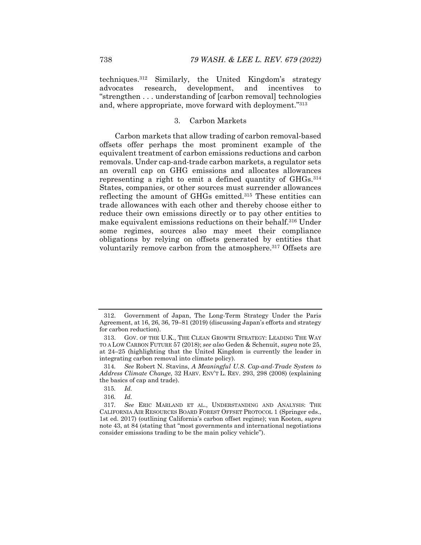techniques.312 Similarly, the United Kingdom's strategy advocates research, development, and incentives to "strengthen . . . understanding of [carbon removal] technologies and, where appropriate, move forward with deployment."313

# 3. Carbon Markets

Carbon markets that allow trading of carbon removal-based offsets offer perhaps the most prominent example of the equivalent treatment of carbon emissions reductions and carbon removals. Under cap-and-trade carbon markets, a regulator sets an overall cap on GHG emissions and allocates allowances representing a right to emit a defined quantity of GHGs.314 States, companies, or other sources must surrender allowances reflecting the amount of GHGs emitted.315 These entities can trade allowances with each other and thereby choose either to reduce their own emissions directly or to pay other entities to make equivalent emissions reductions on their behalf.316 Under some regimes, sources also may meet their compliance obligations by relying on offsets generated by entities that voluntarily remove carbon from the atmosphere.<sup>317</sup> Offsets are

 <sup>312.</sup> Government of Japan, The Long-Term Strategy Under the Paris Agreement, at 16, 26, 36, 79–81 (2019) (discussing Japan's efforts and strategy for carbon reduction).

 <sup>313.</sup> GOV. OF THE U.K., THE CLEAN GROWTH STRATEGY: LEADING THE WAY TO A LOW CARBON FUTURE 57 (2018); *see also* Geden & Schenuit, *supra* note 25, at 24–25 (highlighting that the United Kingdom is currently the leader in integrating carbon removal into climate policy).

<sup>314</sup>*. See* Robert N. Stavins, *A Meaningful U.S. Cap-and-Trade System to Address Climate Change*, 32 HARV. ENV'T L. REV. 293, 298 (2008) (explaining the basics of cap and trade).

<sup>315</sup>*. Id.*

<sup>316</sup>*. Id.*

<sup>317</sup>*. See* ERIC MARLAND ET AL., UNDERSTANDING AND ANALYSIS: THE CALIFORNIA AIR RESOURCES BOARD FOREST OFFSET PROTOCOL 1 (Springer eds., 1st ed. 2017) (outlining California's carbon offset regime); van Kooten, *supra* note 43, at 84 (stating that "most governments and international negotiations consider emissions trading to be the main policy vehicle").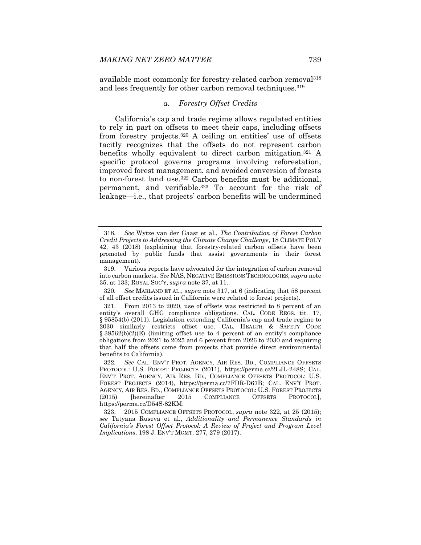available most commonly for forestry-related carbon removal318 and less frequently for other carbon removal techniques.<sup>319</sup>

# *a. Forestry Offset Credits*

California's cap and trade regime allows regulated entities to rely in part on offsets to meet their caps, including offsets from forestry projects.320 A ceiling on entities' use of offsets tacitly recognizes that the offsets do not represent carbon benefits wholly equivalent to direct carbon mitigation.321 A specific protocol governs programs involving reforestation, improved forest management, and avoided conversion of forests to non-forest land use.322 Carbon benefits must be additional, permanent, and verifiable.323 To account for the risk of leakage—i.e., that projects' carbon benefits will be undermined

320*. See* MARLAND ET AL., *supra* note 317, at 6 (indicating that 58 percent of all offset credits issued in California were related to forest projects).

<sup>318</sup>*. See* Wytze van der Gaast et al., *The Contribution of Forest Carbon Credit Projects to Addressing the Climate Change Challenge*, 18 CLIMATE POL'Y 42, 43 (2018) (explaining that forestry-related carbon offsets have been promoted by public funds that assist governments in their forest management).

 <sup>319.</sup> Various reports have advocated for the integration of carbon removal into carbon markets. *See* NAS, NEGATIVE EMISSIONS TECHNOLOGIES, *supra* note 35, at 133; ROYAL SOC'Y, *supra* note 37, at 11.

 <sup>321.</sup> From 2013 to 2020, use of offsets was restricted to 8 percent of an entity's overall GHG compliance obligations. CAL. CODE REGS. tit. 17, § 95854(b) (2011). Legislation extending California's cap and trade regime to 2030 similarly restricts offset use. CAL. HEALTH & SAFETY CODE  $\S 38562(b)(2)(E)$  (limiting offset use to 4 percent of an entity's compliance obligations from 2021 to 2025 and 6 percent from 2026 to 2030 and requiring that half the offsets come from projects that provide direct environmental benefits to California).

<sup>322</sup>*. See* CAL. ENV'T PROT. AGENCY, AIR RES. BD., COMPLIANCE OFFSETS PROTOCOL: U.S. FOREST PROJECTS (2011), https://perma.cc/2LJL-248S; CAL. ENV'T PROT. AGENCY, AIR RES. BD., COMPLIANCE OFFSETS PROTOCOL: U.S. FOREST PROJECTS (2014), https://perma.cc/7FDR-D67B; CAL. ENV'T PROT. AGENCY, AIR RES. BD., COMPLIANCE OFFSETS PROTOCOL: U.S. FOREST PROJECTS (2015) [hereinafter 2015 COMPLIANCE OFFSETS PROTOCOL], https://perma.cc/D54S-82KM.

 <sup>323. 2015</sup> COMPLIANCE OFFSETS PROTOCOL, *supra* note 322, at 25 (2015); *see* Tatyana Ruseva et al., *Additionality and Permanence Standards in California's Forest Offset Protocol: A Review of Project and Program Level Implications*, 198 J. ENV'T MGMT. 277, 279 (2017).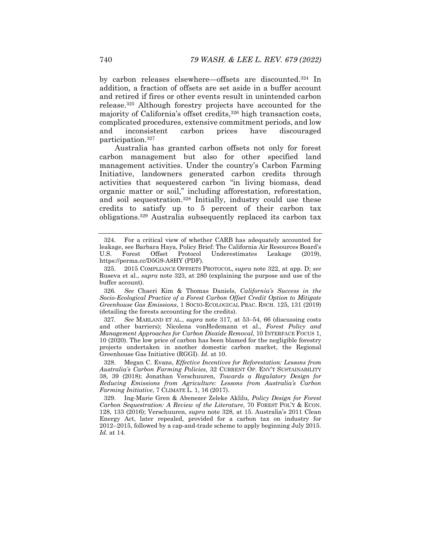by carbon releases elsewhere—offsets are discounted.324 In addition, a fraction of offsets are set aside in a buffer account and retired if fires or other events result in unintended carbon release.325 Although forestry projects have accounted for the majority of California's offset credits,<sup>326</sup> high transaction costs, complicated procedures, extensive commitment periods, and low and inconsistent carbon prices have discouraged participation.327

Australia has granted carbon offsets not only for forest carbon management but also for other specified land management activities. Under the country's Carbon Farming Initiative, landowners generated carbon credits through activities that sequestered carbon "in living biomass, dead organic matter or soil," including afforestation, reforestation, and soil sequestration.328 Initially, industry could use these credits to satisfy up to 5 percent of their carbon tax obligations.329 Australia subsequently replaced its carbon tax

326*. See* Chaeri Kim & Thomas Daniels, *California's Success in the Socio-Ecological Practice of a Forest Carbon Offset Credit Option to Mitigate Greenhouse Gas Emissions*, 1 SOCIO-ECOLOGICAL PRAC. RSCH. 125, 131 (2019) (detailing the forests accounting for the credits).

327*. See* MARLAND ET AL., *supra* note 317, at 53–54, 66 (discussing costs and other barriers); Nicolena vonHedemann et al., *Forest Policy and Management Approaches for Carbon Dioxide Removal*, 10 INTERFACE FOCUS 1, 10 (2020). The low price of carbon has been blamed for the negligible forestry projects undertaken in another domestic carbon market, the Regional Greenhouse Gas Initiative (RGGI). *Id.* at 10.

 328. Megan C. Evans, *Effective Incentives for Reforestation: Lessons from Australia's Carbon Farming Policies*, 32 CURRENT OP. ENV'T SUSTAINABILITY 38, 39 (2018); Jonathan Verschuuren, *Towards a Regulatory Design for Reducing Emissions from Agriculture: Lessons from Australia's Carbon Farming Initiative*, 7 CLIMATE L. 1, 16 (2017).

 329. Ing-Marie Gren & Abenezer Zeleke Aklilu, *Policy Design for Forest Carbon Sequestration: A Review of the Literature*, 70 FOREST POL'Y & ECON. 128, 133 (2016); Verschuuren, *supra* note 328, at 15. Australia's 2011 Clean Energy Act, later repealed, provided for a carbon tax on industry for 2012–2015, followed by a cap-and-trade scheme to apply beginning July 2015. *Id.* at 14.

 <sup>324.</sup> For a critical view of whether CARB has adequately accounted for leakage, see Barbara Haya, Policy Brief: The California Air Resources Board's U.S. Forest Offset Protocol Underestimates Leakage (2019), https://perma.cc/D5G9-A8HY (PDF).

 <sup>325. 2015</sup> COMPLIANCE OFFSETS PROTOCOL, *supra* note 322, at app. D; *see*  Ruseva et al., *supra* note 323, at 280 (explaining the purpose and use of the buffer account).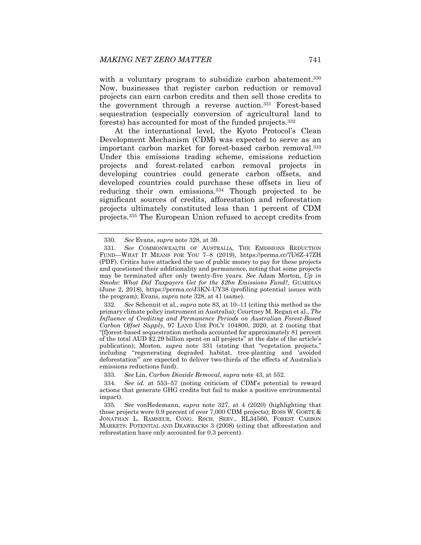with a voluntary program to subsidize carbon abatement.<sup>330</sup> Now, businesses that register carbon reduction or removal projects can earn carbon credits and then sell those credits to the government through a reverse auction.331 Forest-based sequestration (especially conversion of agricultural land to forests) has accounted for most of the funded projects.332

At the international level, the Kyoto Protocol's Clean Development Mechanism (CDM) was expected to serve as an important carbon market for forest-based carbon removal.333 Under this emissions trading scheme, emissions reduction projects and forest-related carbon removal projects in developing countries could generate carbon offsets, and developed countries could purchase these offsets in lieu of reducing their own emissions.334 Though projected to be significant sources of credits, afforestation and reforestation projects ultimately constituted less than 1 percent of CDM projects.335 The European Union refused to accept credits from

<sup>330</sup>*. See* Evans, *supra* note 328, at 39.

<sup>331</sup>*. See* COMMONWEALTH OF AUSTRALIA, THE EMISSIONS REDUCTION FUND—WHAT IT MEANS FOR YOU 7–8 (2019), https://perma.cc/7U6Z-47ZH (PDF). Critics have attacked the use of public money to pay for these projects and questioned their additionality and permanence, noting that some projects may be terminated after only twenty-five years. *See* Adam Morton, *Up in Smoke: What Did Taxpayers Get for the \$2bn Emissions Fund?*, GUARDIAN (June 2, 2018), https://perma.cc/J3KN-UY38 (profiling potential issues with the program); Evans, *supra* note 328, at 41 (same).

<sup>332</sup>*. See* Schenuit et al., *supra* note 83, at 10–11 (citing this method as the primary climate policy instrument in Australia); Courtney M. Regan et al., *The Influence of Crediting and Permanence Periods on Australian Forest-Based Carbon Offset Supply*, 97 LAND USE POL'Y 104800, 2020, at 2 (noting that "[f]orest-based sequestration methods accounted for approximately 81 percent of the total AUD \$2.29 billion spent on all projects" at the date of the article's publication); Morton, *supra* note 331 (stating that "vegetation projects," including "regenerating degraded habitat, tree-planting and 'avoided deforestation'" are expected to deliver two-thirds of the effects of Australia's emissions reductions fund).

<sup>333</sup>*. See* Lin, *Carbon Dioxide Removal*, *supra* note 43, at 552.

<sup>334</sup>*. See id.* at 553–57 (noting criticism of CDM's potential to reward actions that generate GHG credits but fail to make a positive environmental impact).

<sup>335</sup>*. See* vonHedemann, *supra* note 327, at 4 (2020) (highlighting that those projects were 0.9 percent of over 7,000 CDM projects); ROSS W. GORTE & JONATHAN L. RAMSEUR, CONG. RSCH. SERV., RL34560, FOREST CARBON MARKETS: POTENTIAL AND DRAWBACKS 3 (2008) (citing that afforestation and reforestation have only accounted for 0.3 percent).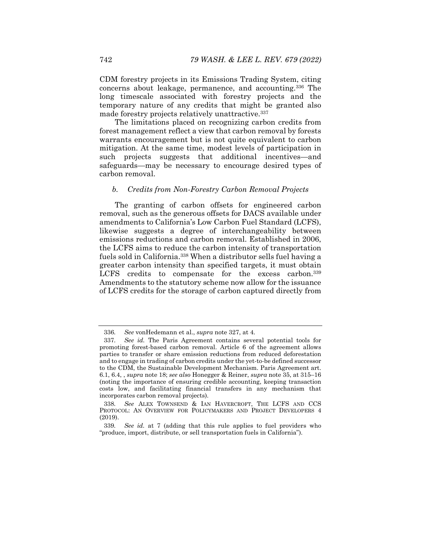CDM forestry projects in its Emissions Trading System, citing concerns about leakage, permanence, and accounting.336 The long timescale associated with forestry projects and the temporary nature of any credits that might be granted also made forestry projects relatively unattractive.337

The limitations placed on recognizing carbon credits from forest management reflect a view that carbon removal by forests warrants encouragement but is not quite equivalent to carbon mitigation. At the same time, modest levels of participation in such projects suggests that additional incentives—and safeguards—may be necessary to encourage desired types of carbon removal.

# *b. Credits from Non-Forestry Carbon Removal Projects*

The granting of carbon offsets for engineered carbon removal, such as the generous offsets for DACS available under amendments to California's Low Carbon Fuel Standard (LCFS), likewise suggests a degree of interchangeability between emissions reductions and carbon removal. Established in 2006, the LCFS aims to reduce the carbon intensity of transportation fuels sold in California.338 When a distributor sells fuel having a greater carbon intensity than specified targets, it must obtain LCFS credits to compensate for the excess carbon.<sup>339</sup> Amendments to the statutory scheme now allow for the issuance of LCFS credits for the storage of carbon captured directly from

<sup>336</sup>*. See* vonHedemann et al., *supra* note 327, at 4.

<sup>337</sup>*. See id.* The Paris Agreement contains several potential tools for promoting forest-based carbon removal. Article 6 of the agreement allows parties to transfer or share emission reductions from reduced deforestation and to engage in trading of carbon credits under the yet-to-be defined successor to the CDM, the Sustainable Development Mechanism. Paris Agreement art. 6.1, 6.4, , *supra* note 18; *see also* Honegger & Reiner, *supra* note 35, at 315–16 (noting the importance of ensuring credible accounting, keeping transaction costs low, and facilitating financial transfers in any mechanism that incorporates carbon removal projects).

<sup>338</sup>*. See* ALEX TOWNSEND & IAN HAVERCROFT, THE LCFS AND CCS PROTOCOL: AN OVERVIEW FOR POLICYMAKERS AND PROJECT DEVELOPERS 4 (2019).

<sup>339</sup>*. See id.* at 7 (adding that this rule applies to fuel providers who "produce, import, distribute, or sell transportation fuels in California").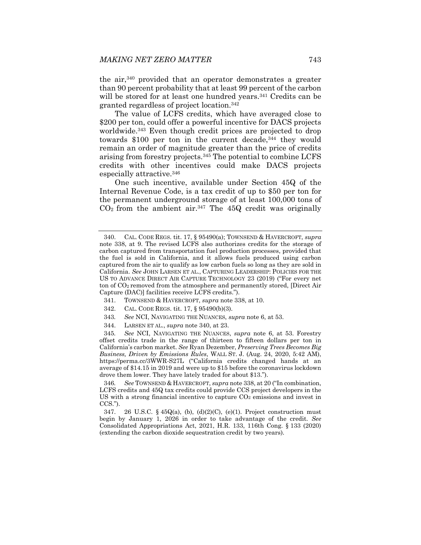the air,340 provided that an operator demonstrates a greater than 90 percent probability that at least 99 percent of the carbon will be stored for at least one hundred years.<sup>341</sup> Credits can be granted regardless of project location.342

The value of LCFS credits, which have averaged close to \$200 per ton, could offer a powerful incentive for DACS projects worldwide.343 Even though credit prices are projected to drop towards \$100 per ton in the current decade,<sup>344</sup> they would remain an order of magnitude greater than the price of credits arising from forestry projects.345 The potential to combine LCFS credits with other incentives could make DACS projects especially attractive.346

One such incentive, available under Section 45Q of the Internal Revenue Code, is a tax credit of up to \$50 per ton for the permanent underground storage of at least 100,000 tons of  $CO<sub>2</sub>$  from the ambient air.<sup>347</sup> The 45Q credit was originally

- 342. CAL. CODE REGS. tit. 17, § 95490(b)(3).
- 343*. See* NCI, NAVIGATING THE NUANCES, *supra* note 6, at 53.
- 344. LARSEN ET AL., *supra* note 340, at 23.

345*. See* NCI, NAVIGATING THE NUANCES, *supra* note 6, at 53. Forestry offset credits trade in the range of thirteen to fifteen dollars per ton in California's carbon market. *See* Ryan Dezember, *Preserving Trees Becomes Big Business, Driven by Emissions Rules*, WALL ST. J. (Aug. 24, 2020, 5:42 AM), https://perma.cc/3WWR-S27L ("California credits changed hands at an average of \$14.15 in 2019 and were up to \$15 before the coronavirus lockdown drove them lower. They have lately traded for about \$13.").

346*. See* TOWNSEND & HAVERCROFT, *supra* note 338, at 20 ("In combination, LCFS credits and 45Q tax credits could provide CCS project developers in the US with a strong financial incentive to capture  $CO<sub>2</sub>$  emissions and invest in CCS.").

347. 26 U.S.C. § 45 $Q(a)$ , (b), (d)(2)(C), (e)(1). Project construction must begin by January 1, 2026 in order to take advantage of the credit. *See*  Consolidated Appropriations Act, 2021, H.R. 133, 116th Cong. § 133 (2020) (extending the carbon dioxide sequestration credit by two years).

 <sup>340.</sup> CAL. CODE REGS. tit. 17, § 95490(a); TOWNSEND & HAVERCROFT, *supra*  note 338, at 9. The revised LCFS also authorizes credits for the storage of carbon captured from transportation fuel production processes, provided that the fuel is sold in California, and it allows fuels produced using carbon captured from the air to qualify as low carbon fuels so long as they are sold in California. *See* JOHN LARSEN ET AL., CAPTURING LEADERSHIP: POLICIES FOR THE US TO ADVANCE DIRECT AIR CAPTURE TECHNOLOGY 23 (2019) ("For every net ton of CO2 removed from the atmosphere and permanently stored, [Direct Air Capture (DAC)] facilities receive LCFS credits.").

 <sup>341.</sup> TOWNSEND & HAVERCROFT, *supra* note 338, at 10.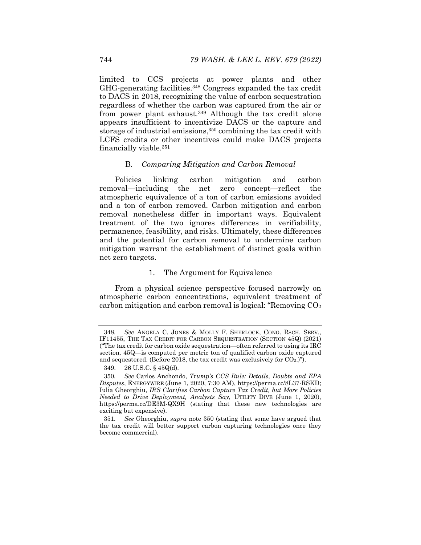limited to CCS projects at power plants and other GHG-generating facilities.348 Congress expanded the tax credit to DACS in 2018, recognizing the value of carbon sequestration regardless of whether the carbon was captured from the air or from power plant exhaust.349 Although the tax credit alone appears insufficient to incentivize DACS or the capture and storage of industrial emissions,<sup>350</sup> combining the tax credit with LCFS credits or other incentives could make DACS projects financially viable.351

## B. *Comparing Mitigation and Carbon Removal*

Policies linking carbon mitigation and carbon removal—including the net zero concept—reflect the atmospheric equivalence of a ton of carbon emissions avoided and a ton of carbon removed. Carbon mitigation and carbon removal nonetheless differ in important ways. Equivalent treatment of the two ignores differences in verifiability, permanence, feasibility, and risks. Ultimately, these differences and the potential for carbon removal to undermine carbon mitigation warrant the establishment of distinct goals within net zero targets.

#### 1. The Argument for Equivalence

From a physical science perspective focused narrowly on atmospheric carbon concentrations, equivalent treatment of carbon mitigation and carbon removal is logical: "Removing  $CO<sub>2</sub>$ 

<sup>348</sup>*. See* ANGELA C. JONES & MOLLY F. SHERLOCK, CONG. RSCH. SERV., IF11455, THE TAX CREDIT FOR CARBON SEQUESTRATION (SECTION 45Q) (2021) ("The tax credit for carbon oxide sequestration—often referred to using its IRC section, 45Q—is computed per metric ton of qualified carbon oxide captured and sequestered. (Before 2018, the tax credit was exclusively for  $CO<sub>2</sub>$ .)").

 <sup>349. 26</sup> U.S.C. § 45Q(d).

<sup>350</sup>*. See* Carlos Anchondo, *Trump's CCS Rule: Details, Doubts and EPA Disputes*, ENERGYWIRE (June 1, 2020, 7:30 AM), https://perma.cc/8L37-RSKD; Iulia Gheorghiu, *IRS Clarifies Carbon Capture Tax Credit, but More Policies Needed to Drive Deployment, Analysts Say*, UTILITY DIVE (June 1, 2020), https://perma.cc/DE3M-QX9H (stating that these new technologies are exciting but expensive).

<sup>351</sup>*. See* Gheorghiu, *supra* note 350 (stating that some have argued that the tax credit will better support carbon capturing technologies once they become commercial).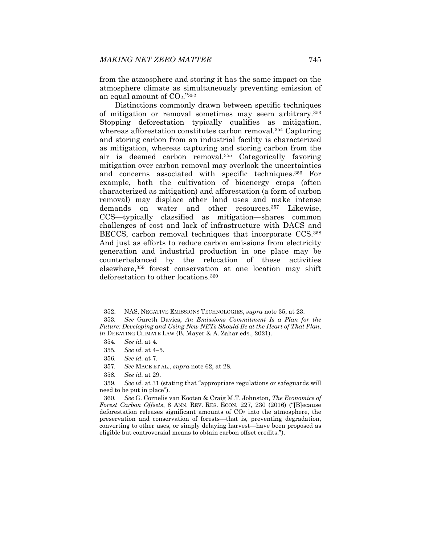from the atmosphere and storing it has the same impact on the atmosphere climate as simultaneously preventing emission of an equal amount of  $CO<sub>2</sub>$ ."352

Distinctions commonly drawn between specific techniques of mitigation or removal sometimes may seem arbitrary.353 Stopping deforestation typically qualifies as mitigation, whereas afforestation constitutes carbon removal.<sup>354</sup> Capturing and storing carbon from an industrial facility is characterized as mitigation, whereas capturing and storing carbon from the air is deemed carbon removal.355 Categorically favoring mitigation over carbon removal may overlook the uncertainties and concerns associated with specific techniques.356 For example, both the cultivation of bioenergy crops (often characterized as mitigation) and afforestation (a form of carbon removal) may displace other land uses and make intense demands on water and other resources.357 Likewise, CCS—typically classified as mitigation—shares common challenges of cost and lack of infrastructure with DACS and BECCS, carbon removal techniques that incorporate CCS.358 And just as efforts to reduce carbon emissions from electricity generation and industrial production in one place may be counterbalanced by the relocation of these activities elsewhere,359 forest conservation at one location may shift deforestation to other locations.360

 <sup>352.</sup> NAS, NEGATIVE EMISSIONS TECHNOLOGIES, *supra* note 35, at 23.

<sup>353</sup>*. See* Gareth Davies, *An Emissions Commitment Is a Plan for the Future: Developing and Using New NETs Should Be at the Heart of That Plan*, *in* DEBATING CLIMATE LAW (B. Mayer & A. Zahar eds., 2021).

<sup>354</sup>*. See id.* at 4.

<sup>355</sup>*. See id.* at 4–5.

<sup>356</sup>*. See id.* at 7.

<sup>357</sup>*. See* MACE ET AL., *supra* note 62, at 28.

<sup>358</sup>*. See id.* at 29.

<sup>359</sup>*. See id.* at 31 (stating that "appropriate regulations or safeguards will need to be put in place").

<sup>360</sup>*. See* G. Cornelis van Kooten & Craig M.T. Johnston, *The Economics of Forest Carbon Offsets*, 8 ANN. REV. RES. ECON. 227, 230 (2016) ("[B]ecause deforestation releases significant amounts of  $CO<sub>2</sub>$  into the atmosphere, the preservation and conservation of forests—that is, preventing degradation, converting to other uses, or simply delaying harvest—have been proposed as eligible but controversial means to obtain carbon offset credits.").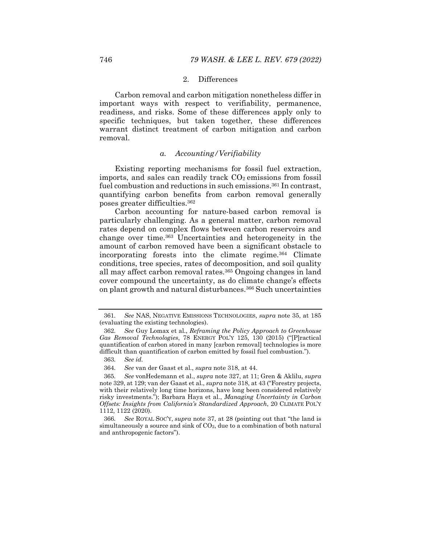### 2. Differences

Carbon removal and carbon mitigation nonetheless differ in important ways with respect to verifiability, permanence, readiness, and risks. Some of these differences apply only to specific techniques, but taken together, these differences warrant distinct treatment of carbon mitigation and carbon removal.

## *a. Accounting/Verifiability*

Existing reporting mechanisms for fossil fuel extraction, imports, and sales can readily track  $CO<sub>2</sub>$  emissions from fossil fuel combustion and reductions in such emissions.<sup>361</sup> In contrast, quantifying carbon benefits from carbon removal generally poses greater difficulties.362

Carbon accounting for nature-based carbon removal is particularly challenging. As a general matter, carbon removal rates depend on complex flows between carbon reservoirs and change over time.363 Uncertainties and heterogeneity in the amount of carbon removed have been a significant obstacle to incorporating forests into the climate regime.364 Climate conditions, tree species, rates of decomposition, and soil quality all may affect carbon removal rates.365 Ongoing changes in land cover compound the uncertainty, as do climate change's effects on plant growth and natural disturbances.366 Such uncertainties

<sup>361</sup>*. See* NAS, NEGATIVE EMISSIONS TECHNOLOGIES, *supra* note 35, at 185 (evaluating the existing technologies).

<sup>362</sup>*. See* Guy Lomax et al., *Reframing the Policy Approach to Greenhouse Gas Removal Technologies*, 78 ENERGY POL'Y 125, 130 (2015) ("[P]ractical quantification of carbon stored in many [carbon removal] technologies is more difficult than quantification of carbon emitted by fossil fuel combustion.").

<sup>363</sup>*. See id.*

<sup>364</sup>*. See* van der Gaast et al., *supra* note 318, at 44.

<sup>365</sup>*. See* vonHedemann et al., *supra* note 327, at 11; Gren & Aklilu, *supra* note 329, at 129; van der Gaast et al., *supra* note 318, at 43 ("Forestry projects, with their relatively long time horizons, have long been considered relatively risky investments."); Barbara Haya et al., *Managing Uncertainty in Carbon Offsets: Insights from California's Standardized Approach*, 20 CLIMATE POL'Y 1112, 1122 (2020).

<sup>366</sup>*. See* ROYAL SOC'Y, *supra* note 37, at 28 (pointing out that "the land is simultaneously a source and sink of  $CO<sub>2</sub>$ , due to a combination of both natural and anthropogenic factors").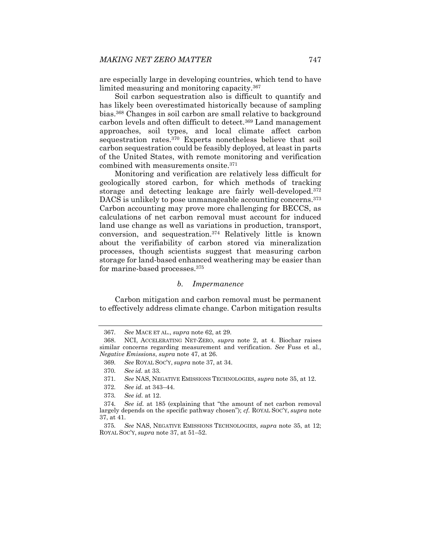are especially large in developing countries, which tend to have limited measuring and monitoring capacity.367

Soil carbon sequestration also is difficult to quantify and has likely been overestimated historically because of sampling bias.368 Changes in soil carbon are small relative to background carbon levels and often difficult to detect.369 Land management approaches, soil types, and local climate affect carbon sequestration rates.370 Experts nonetheless believe that soil carbon sequestration could be feasibly deployed, at least in parts of the United States, with remote monitoring and verification combined with measurements onsite.371

Monitoring and verification are relatively less difficult for geologically stored carbon, for which methods of tracking storage and detecting leakage are fairly well-developed.372 DACS is unlikely to pose unmanageable accounting concerns.<sup>373</sup> Carbon accounting may prove more challenging for BECCS, as calculations of net carbon removal must account for induced land use change as well as variations in production, transport, conversion, and sequestration.374 Relatively little is known about the verifiability of carbon stored via mineralization processes, though scientists suggest that measuring carbon storage for land-based enhanced weathering may be easier than for marine-based processes.375

### *b. Impermanence*

Carbon mitigation and carbon removal must be permanent to effectively address climate change. Carbon mitigation results

<sup>367</sup>*. See* MACE ET AL., *supra* note 62, at 29.

 <sup>368.</sup> NCI, ACCELERATING NET-ZERO, *supra* note 2, at 4. Biochar raises similar concerns regarding measurement and verification. *See* Fuss et al., *Negative Emissions*, *supra* note 47, at 26.

<sup>369</sup>*. See* ROYAL SOC'Y, *supra* note 37, at 34.

<sup>370</sup>*. See id.* at 33.

<sup>371</sup>*. See* NAS, NEGATIVE EMISSIONS TECHNOLOGIES, *supra* note 35, at 12.

<sup>372</sup>*. See id.* at 343–44.

<sup>373</sup>*. See id.* at 12.

<sup>374</sup>*. See id.* at 185 (explaining that "the amount of net carbon removal largely depends on the specific pathway chosen"); *cf.* ROYAL SOC'Y, *supra* note 37, at 41.

<sup>375</sup>*. See* NAS, NEGATIVE EMISSIONS TECHNOLOGIES, *supra* note 35, at 12; ROYAL SOC'Y, *supra* note 37, at 51–52.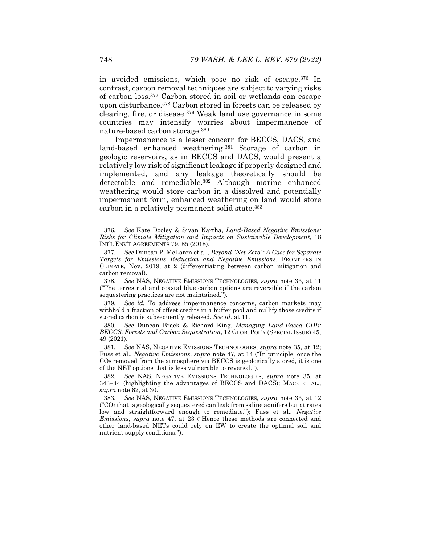in avoided emissions, which pose no risk of escape.376 In contrast, carbon removal techniques are subject to varying risks of carbon loss.377 Carbon stored in soil or wetlands can escape upon disturbance.378 Carbon stored in forests can be released by clearing, fire, or disease.379 Weak land use governance in some countries may intensify worries about impermanence of nature-based carbon storage.380

Impermanence is a lesser concern for BECCS, DACS, and land-based enhanced weathering.381 Storage of carbon in geologic reservoirs, as in BECCS and DACS, would present a relatively low risk of significant leakage if properly designed and implemented, and any leakage theoretically should be detectable and remediable.382 Although marine enhanced weathering would store carbon in a dissolved and potentially impermanent form, enhanced weathering on land would store carbon in a relatively permanent solid state.383

378*. See* NAS, NEGATIVE EMISSIONS TECHNOLOGIES, *supra* note 35, at 11 ("The terrestrial and coastal blue carbon options are reversible if the carbon sequestering practices are not maintained.").

379*. See id.* To address impermanence concerns, carbon markets may withhold a fraction of offset credits in a buffer pool and nullify those credits if stored carbon is subsequently released. *See id.* at 11.

380*. See* Duncan Brack & Richard King, *Managing Land-Based CDR: BECCS, Forests and Carbon Sequestration*, 12 GLOB. POL'Y (SPECIAL ISSUE) 45, 49 (2021).

381*. See* NAS, NEGATIVE EMISSIONS TECHNOLOGIES, *supra* note 35, at 12; Fuss et al., *Negative Emissions*, *supra* note 47, at 14 ("In principle, once the  $CO<sub>2</sub>$  removed from the atmosphere via BECCS is geologically stored, it is one of the NET options that is less vulnerable to reversal.").

382*. See* NAS, NEGATIVE EMISSIONS TECHNOLOGIES, *supra* note 35, at 343–44 (highlighting the advantages of BECCS and DACS); MACE ET AL., *supra* note 62, at 30.

383*. See* NAS, NEGATIVE EMISSIONS TECHNOLOGIES, *supra* note 35, at 12  $({}^{\circ}CO_2$  that is geologically sequestered can leak from saline aquifers but at rates low and straightforward enough to remediate."); Fuss et al., *Negative Emissions*, *supra* note 47, at 23 ("Hence these methods are connected and other land-based NETs could rely on EW to create the optimal soil and nutrient supply conditions.").

<sup>376</sup>*. See* Kate Dooley & Sivan Kartha, *Land-Based Negative Emissions: Risks for Climate Mitigation and Impacts on Sustainable Development*, 18 INT'L ENV'T AGREEMENTS 79, 85 (2018).

<sup>377</sup>*. See* Duncan P. McLaren et al., *Beyond "Net*-*Zero": A Case for Separate Targets for Emissions Reduction and Negative Emissions*, FRONTIERS IN CLIMATE, Nov. 2019, at 2 (differentiating between carbon mitigation and carbon removal).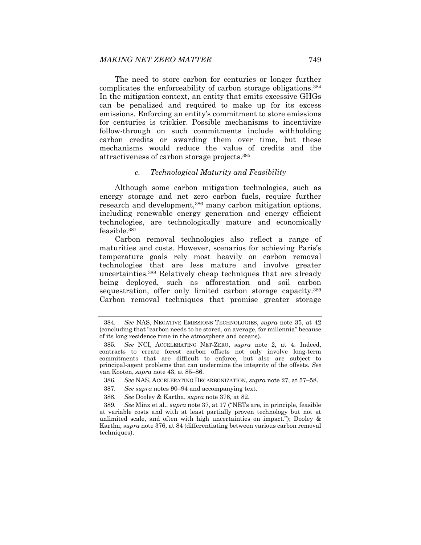The need to store carbon for centuries or longer further complicates the enforceability of carbon storage obligations.384 In the mitigation context, an entity that emits excessive GHGs can be penalized and required to make up for its excess emissions. Enforcing an entity's commitment to store emissions for centuries is trickier. Possible mechanisms to incentivize follow-through on such commitments include withholding carbon credits or awarding them over time, but these mechanisms would reduce the value of credits and the attractiveness of carbon storage projects.385

### *c. Technological Maturity and Feasibility*

Although some carbon mitigation technologies, such as energy storage and net zero carbon fuels, require further research and development,<sup>386</sup> many carbon mitigation options, including renewable energy generation and energy efficient technologies, are technologically mature and economically feasible.387

Carbon removal technologies also reflect a range of maturities and costs. However, scenarios for achieving Paris's temperature goals rely most heavily on carbon removal technologies that are less mature and involve greater uncertainties.388 Relatively cheap techniques that are already being deployed, such as afforestation and soil carbon sequestration, offer only limited carbon storage capacity.<sup>389</sup> Carbon removal techniques that promise greater storage

<sup>384</sup>*. See* NAS, NEGATIVE EMISSIONS TECHNOLOGIES, *supra* note 35, at 42 (concluding that "carbon needs to be stored, on average, for millennia" because of its long residence time in the atmosphere and oceans).

<sup>385</sup>*. See* NCI, ACCELERATING NET-ZERO, *supra* note 2, at 4. Indeed, contracts to create forest carbon offsets not only involve long-term commitments that are difficult to enforce, but also are subject to principal-agent problems that can undermine the integrity of the offsets. *See*  van Kooten, *supra* note 43, at 85–86.

<sup>386</sup>*. See* NAS, ACCELERATING DECARBONIZATION, *supra* note 27, at 57–58.

<sup>387</sup>*. See supra* notes 90–94 and accompanying text.

<sup>388</sup>*. See* Dooley & Kartha, *supra* note 376, at 82.

<sup>389</sup>*. See* Minx et al., *supra* note 37, at 17 ("NETs are, in principle, feasible at variable costs and with at least partially proven technology but not at unlimited scale, and often with high uncertainties on impact."); Dooley  $\&$ Kartha, *supra* note 376, at 84 (differentiating between various carbon removal techniques).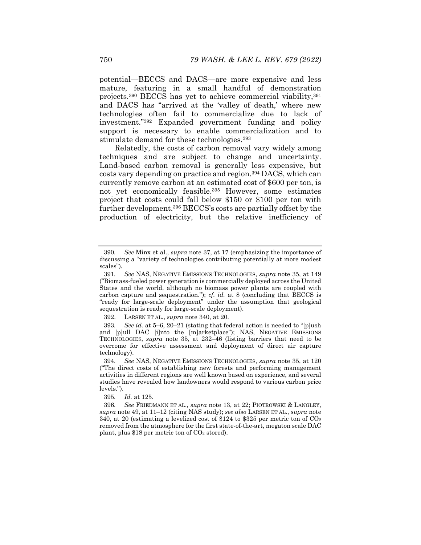potential—BECCS and DACS—are more expensive and less mature, featuring in a small handful of demonstration projects.390 BECCS has yet to achieve commercial viability,391 and DACS has "arrived at the 'valley of death,' where new technologies often fail to commercialize due to lack of investment."392 Expanded government funding and policy support is necessary to enable commercialization and to stimulate demand for these technologies.<sup>393</sup>

Relatedly, the costs of carbon removal vary widely among techniques and are subject to change and uncertainty. Land-based carbon removal is generally less expensive, but costs vary depending on practice and region.394 DACS, which can currently remove carbon at an estimated cost of \$600 per ton, is not yet economically feasible.395 However, some estimates project that costs could fall below \$150 or \$100 per ton with further development.396 BECCS's costs are partially offset by the production of electricity, but the relative inefficiency of

<sup>390</sup>*. See* Minx et al., *supra* note 37, at 17 (emphasizing the importance of discussing a "variety of technologies contributing potentially at more modest scales").

<sup>391</sup>*. See* NAS, NEGATIVE EMISSIONS TECHNOLOGIES, *supra* note 35, at 149 ("Biomass-fueled power generation is commercially deployed across the United States and the world, although no biomass power plants are coupled with carbon capture and sequestration.");  $cf.$  *id.* at 8 (concluding that BECCS is "ready for large-scale deployment" under the assumption that geological sequestration is ready for large-scale deployment).

 <sup>392.</sup> LARSEN ET AL., *supra* note 340, at 20.

<sup>393</sup>*. See id.* at 5–6, 20–21 (stating that federal action is needed to "[p]ush and [p]ull DAC [i]nto the [m]arketplace"); NAS, NEGATIVE EMISSIONS TECHNOLOGIES, *supra* note 35, at 232–46 (listing barriers that need to be overcome for effective assessment and deployment of direct air capture technology).

<sup>394</sup>*. See* NAS, NEGATIVE EMISSIONS TECHNOLOGIES, *supra* note 35, at 120 ("The direct costs of establishing new forests and performing management activities in different regions are well known based on experience, and several studies have revealed how landowners would respond to various carbon price levels.").

<sup>395</sup>*. Id.* at 125.

<sup>396</sup>*. See* FRIEDMANN ET AL., *supra* note 13, at 22; PIOTROWSKI & LANGLEY, *supra* note 49, at 11–12 (citing NAS study); *see also* LARSEN ET AL., *supra* note 340, at 20 (estimating a levelized cost of \$124 to \$325 per metric ton of  $CO<sub>2</sub>$ removed from the atmosphere for the first state-of-the-art, megaton scale DAC plant, plus \$18 per metric ton of  $CO<sub>2</sub>$  stored).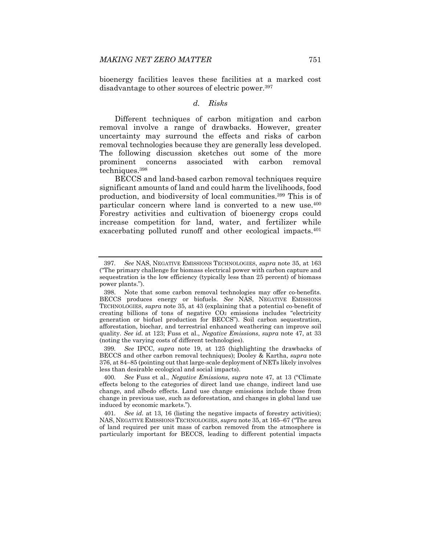bioenergy facilities leaves these facilities at a marked cost disadvantage to other sources of electric power.397

## *d. Risks*

Different techniques of carbon mitigation and carbon removal involve a range of drawbacks. However, greater uncertainty may surround the effects and risks of carbon removal technologies because they are generally less developed. The following discussion sketches out some of the more prominent concerns associated with carbon removal techniques.398

BECCS and land-based carbon removal techniques require significant amounts of land and could harm the livelihoods, food production, and biodiversity of local communities.399 This is of particular concern where land is converted to a new use.<sup>400</sup> Forestry activities and cultivation of bioenergy crops could increase competition for land, water, and fertilizer while exacerbating polluted runoff and other ecological impacts.<sup>401</sup>

399*. See* IPCC, *supra* note 19, at 125 (highlighting the drawbacks of BECCS and other carbon removal techniques); Dooley & Kartha, *supra* note 376, at 84–85 (pointing out that large-scale deployment of NETs likely involves less than desirable ecological and social impacts).

<sup>397</sup>*. See* NAS, NEGATIVE EMISSIONS TECHNOLOGIES, *supra* note 35, at 163 ("The primary challenge for biomass electrical power with carbon capture and sequestration is the low efficiency (typically less than 25 percent) of biomass power plants.").

 <sup>398.</sup> Note that some carbon removal technologies may offer co-benefits. BECCS produces energy or biofuels. *See* NAS, NEGATIVE EMISSIONS TECHNOLOGIES, *supra* note 35, at 43 (explaining that a potential co-benefit of creating billions of tons of negative  $CO<sub>2</sub>$  emissions includes "electricity" generation or biofuel production for BECCS"). Soil carbon sequestration, afforestation, biochar, and terrestrial enhanced weathering can improve soil quality. *See id.* at 123; Fuss et al., *Negative Emissions*, *supra* note 47, at 33 (noting the varying costs of different technologies).

<sup>400</sup>*. See* Fuss et al., *Negative Emissions*, *supra* note 47, at 13 ("Climate effects belong to the categories of direct land use change, indirect land use change, and albedo effects. Land use change emissions include those from change in previous use, such as deforestation, and changes in global land use induced by economic markets.").

<sup>401</sup>*. See id.* at 13, 16 (listing the negative impacts of forestry activities); NAS, NEGATIVE EMISSIONS TECHNOLOGIES, *supra* note 35, at 165–67 ("The area of land required per unit mass of carbon removed from the atmosphere is particularly important for BECCS, leading to different potential impacts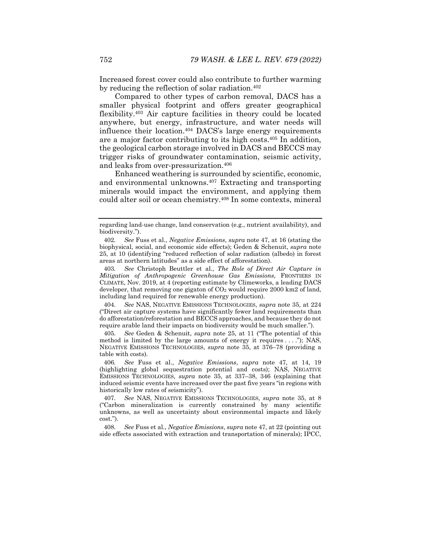Increased forest cover could also contribute to further warming by reducing the reflection of solar radiation.<sup>402</sup>

Compared to other types of carbon removal, DACS has a smaller physical footprint and offers greater geographical flexibility.403 Air capture facilities in theory could be located anywhere, but energy, infrastructure, and water needs will influence their location.404 DACS's large energy requirements are a major factor contributing to its high costs.405 In addition, the geological carbon storage involved in DACS and BECCS may trigger risks of groundwater contamination, seismic activity, and leaks from over-pressurization.406

Enhanced weathering is surrounded by scientific, economic, and environmental unknowns.407 Extracting and transporting minerals would impact the environment, and applying them could alter soil or ocean chemistry.408 In some contexts, mineral

403*. See* Christoph Beuttler et al., *The Role of Direct Air Capture in Mitigation of Anthropogenic Greenhouse Gas Emissions*, FRONTIERS IN CLIMATE, Nov. 2019, at 4 (reporting estimate by Climeworks, a leading DACS developer, that removing one gigaton of  $CO<sub>2</sub>$  would require 2000 km2 of land, including land required for renewable energy production).

404*. See* NAS, NEGATIVE EMISSIONS TECHNOLOGIES, *supra* note 35, at 224 ("Direct air capture systems have significantly fewer land requirements than do afforestation/reforestation and BECCS approaches, and because they do not require arable land their impacts on biodiversity would be much smaller.").

405*. See* Geden & Schenuit, *supra* note 25, at 11 ("The potential of this method is limited by the large amounts of energy it requires . . . ."); NAS, NEGATIVE EMISSIONS TECHNOLOGIES, *supra* note 35, at 376–78 (providing a table with costs).

406*. See* Fuss et al., *Negative Emissions*, *supra* note 47, at 14, 19 (highlighting global sequestration potential and costs); NAS, NEGATIVE EMISSIONS TECHNOLOGIES, *supra* note 35, at 337–38, 346 (explaining that induced seismic events have increased over the past five years "in regions with historically low rates of seismicity").

407*. See* NAS, NEGATIVE EMISSIONS TECHNOLOGIES, *supra* note 35, at 8 ("Carbon mineralization is currently constrained by many scientific unknowns, as well as uncertainty about environmental impacts and likely cost.").

408*. See* Fuss et al., *Negative Emissions*, *supra* note 47, at 22 (pointing out side effects associated with extraction and transportation of minerals); IPCC,

regarding land-use change, land conservation (e.g., nutrient availability), and biodiversity.").

<sup>402</sup>*. See* Fuss et al., *Negative Emissions*, *supra* note 47, at 16 (stating the biophysical, social, and economic side effects); Geden & Schenuit, *supra* note 25, at 10 (identifying "reduced reflection of solar radiation (albedo) in forest areas at northern latitudes" as a side effect of afforestation).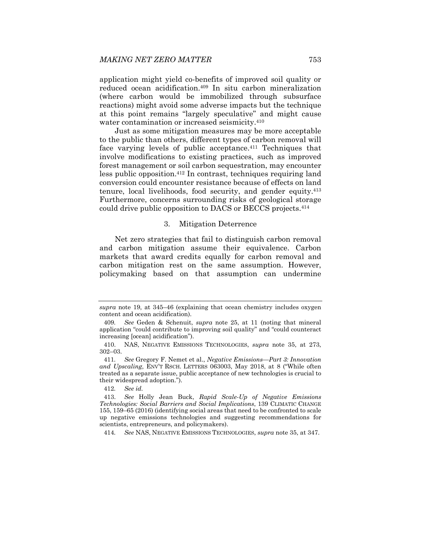application might yield co-benefits of improved soil quality or reduced ocean acidification.409 In situ carbon mineralization (where carbon would be immobilized through subsurface reactions) might avoid some adverse impacts but the technique at this point remains "largely speculative" and might cause water contamination or increased seismicity.410

Just as some mitigation measures may be more acceptable to the public than others, different types of carbon removal will face varying levels of public acceptance.<sup>411</sup> Techniques that involve modifications to existing practices, such as improved forest management or soil carbon sequestration, may encounter less public opposition.412 In contrast, techniques requiring land conversion could encounter resistance because of effects on land tenure, local livelihoods, food security, and gender equity.413 Furthermore, concerns surrounding risks of geological storage could drive public opposition to DACS or BECCS projects.414

#### 3. Mitigation Deterrence

Net zero strategies that fail to distinguish carbon removal and carbon mitigation assume their equivalence. Carbon markets that award credits equally for carbon removal and carbon mitigation rest on the same assumption. However, policymaking based on that assumption can undermine

414*. See* NAS, NEGATIVE EMISSIONS TECHNOLOGIES, *supra* note 35, at 347.

*supra* note 19, at 345–46 (explaining that ocean chemistry includes oxygen content and ocean acidification).

<sup>409</sup>*. See* Geden & Schenuit, *supra* note 25, at 11 (noting that mineral application "could contribute to improving soil quality" and "could counteract increasing [ocean] acidification").

 <sup>410.</sup> NAS, NEGATIVE EMISSIONS TECHNOLOGIES, *supra* note 35, at 273, 302–03.

<sup>411</sup>*. See* Gregory F. Nemet et al., *Negative Emissions—Part 3: Innovation and Upscaling*, ENV'T RSCH. LETTERS 063003, May 2018, at 8 ("While often treated as a separate issue, public acceptance of new technologies is crucial to their widespread adoption.").

<sup>412</sup>*. See id.*

 <sup>413.</sup> *See* Holly Jean Buck, *Rapid Scale-Up of Negative Emissions Technologies: Social Barriers and Social Implications*, 139 CLIMATIC CHANGE 155, 159–65 (2016) (identifying social areas that need to be confronted to scale up negative emissions technologies and suggesting recommendations for scientists, entrepreneurs, and policymakers).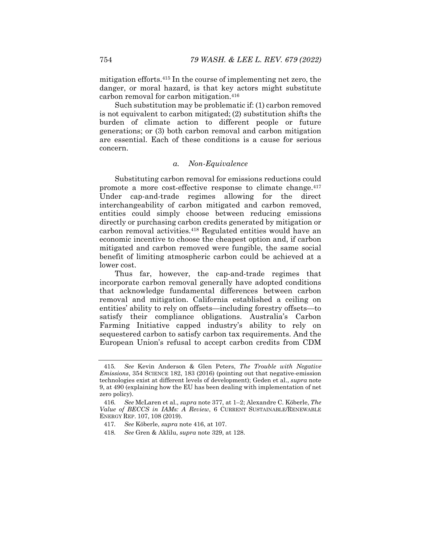mitigation efforts.415 In the course of implementing net zero, the danger, or moral hazard, is that key actors might substitute carbon removal for carbon mitigation.416

Such substitution may be problematic if: (1) carbon removed is not equivalent to carbon mitigated; (2) substitution shifts the burden of climate action to different people or future generations; or (3) both carbon removal and carbon mitigation are essential. Each of these conditions is a cause for serious concern.

## *a. Non-Equivalence*

Substituting carbon removal for emissions reductions could promote a more cost-effective response to climate change.417 Under cap-and-trade regimes allowing for the direct interchangeability of carbon mitigated and carbon removed, entities could simply choose between reducing emissions directly or purchasing carbon credits generated by mitigation or carbon removal activities.418 Regulated entities would have an economic incentive to choose the cheapest option and, if carbon mitigated and carbon removed were fungible, the same social benefit of limiting atmospheric carbon could be achieved at a lower cost.

Thus far, however, the cap-and-trade regimes that incorporate carbon removal generally have adopted conditions that acknowledge fundamental differences between carbon removal and mitigation. California established a ceiling on entities' ability to rely on offsets—including forestry offsets—to satisfy their compliance obligations. Australia's Carbon Farming Initiative capped industry's ability to rely on sequestered carbon to satisfy carbon tax requirements. And the European Union's refusal to accept carbon credits from CDM

<sup>415</sup>*. See* Kevin Anderson & Glen Peters, *The Trouble with Negative Emissions*, 354 SCIENCE 182, 183 (2016) (pointing out that negative-emission technologies exist at different levels of development); Geden et al., *supra* note 9, at 490 (explaining how the EU has been dealing with implementation of net zero policy).

<sup>416</sup>*. See* McLaren et al., *supra* note 377, at 1–2; Alexandre C. Köberle, *The Value of BECCS in IAMs: A Review*, 6 CURRENT SUSTAINABLE/RENEWABLE ENERGY REP. 107, 108 (2019).

<sup>417</sup>*. See* Köberle, *supra* note 416, at 107.

<sup>418</sup>*. See* Gren & Aklilu, *supra* note 329, at 128.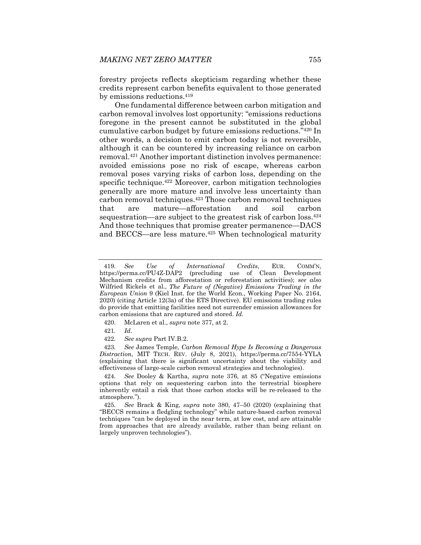forestry projects reflects skepticism regarding whether these credits represent carbon benefits equivalent to those generated by emissions reductions.419

One fundamental difference between carbon mitigation and carbon removal involves lost opportunity: "emissions reductions foregone in the present cannot be substituted in the global cumulative carbon budget by future emissions reductions."420 In other words, a decision to emit carbon today is not reversible, although it can be countered by increasing reliance on carbon removal.421 Another important distinction involves permanence: avoided emissions pose no risk of escape, whereas carbon removal poses varying risks of carbon loss, depending on the specific technique.<sup>422</sup> Moreover, carbon mitigation technologies generally are more mature and involve less uncertainty than carbon removal techniques.423 Those carbon removal techniques that are mature—afforestation and soil carbon sequestration—are subject to the greatest risk of carbon loss.<sup>424</sup> And those techniques that promise greater permanence—DACS and BECCS—are less mature.<sup>425</sup> When technological maturity

- 420. McLaren et al., *supra* note 377, at 2.
- 421*. Id*.
- 422*. See supra* Part IV.B.2.

423*. See* James Temple, *Carbon Removal Hype Is Becoming a Dangerous Distraction*, MIT TECH. REV. (July 8, 2021), https://perma.cc/7554-YYLA (explaining that there is significant uncertainty about the viability and effectiveness of large-scale carbon removal strategies and technologies).

424*. See* Dooley & Kartha, *supra* note 376, at 85 ("Negative emissions options that rely on sequestering carbon into the terrestrial biosphere inherently entail a risk that those carbon stocks will be re-released to the atmosphere.").

425*. See* Brack & King, *supra* note 380, 47–50 (2020) (explaining that "BECCS remains a fledgling technology" while nature-based carbon removal techniques "can be deployed in the near term, at low cost, and are attainable from approaches that are already available, rather than being reliant on largely unproven technologies").

<sup>419</sup>*. See Use of International Credits*, EUR. COMM'N, https://perma.cc/PU4Z-DAP2 (precluding use of Clean Development Mechanism credits from afforestation or reforestation activities); *see also* Wilfried Rickels et al., *The Future of (Negative) Emissions Trading in the European Union* 9 (Kiel Inst. for the World Econ., Working Paper No. 2164, 2020) (citing Article 12(3a) of the ETS Directive). EU emissions trading rules do provide that emitting facilities need not surrender emission allowances for carbon emissions that are captured and stored. *Id.*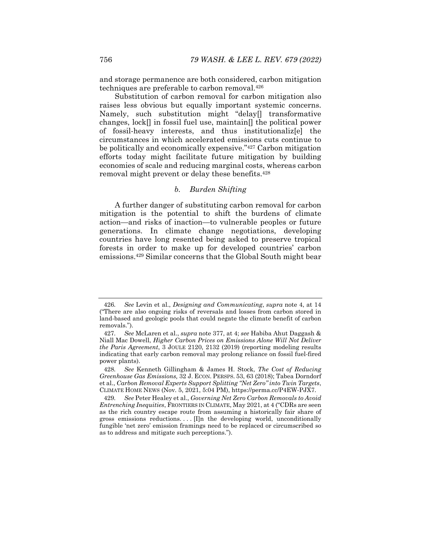and storage permanence are both considered, carbon mitigation techniques are preferable to carbon removal.426

Substitution of carbon removal for carbon mitigation also raises less obvious but equally important systemic concerns. Namely, such substitution might "delay[] transformative changes, lock[] in fossil fuel use, maintain[] the political power of fossil-heavy interests, and thus institutionaliz[e] the circumstances in which accelerated emissions cuts continue to be politically and economically expensive."427 Carbon mitigation efforts today might facilitate future mitigation by building economies of scale and reducing marginal costs, whereas carbon removal might prevent or delay these benefits.428

# *b. Burden Shifting*

A further danger of substituting carbon removal for carbon mitigation is the potential to shift the burdens of climate action—and risks of inaction—to vulnerable peoples or future generations. In climate change negotiations, developing countries have long resented being asked to preserve tropical forests in order to make up for developed countries' carbon emissions.429 Similar concerns that the Global South might bear

<sup>426</sup>*. See* Levin et al., *Designing and Communicating*, *supra* note 4, at 14 ("There are also ongoing risks of reversals and losses from carbon stored in land-based and geologic pools that could negate the climate benefit of carbon removals.").

<sup>427</sup>*. See* McLaren et al., *supra* note 377, at 4; *see* Habiba Ahut Daggash & Niall Mac Dowell, *Higher Carbon Prices on Emissions Alone Will Not Deliver the Paris Agreement*, 3 JOULE 2120, 2132 (2019) (reporting modeling results indicating that early carbon removal may prolong reliance on fossil fuel-fired power plants).

<sup>428</sup>*. See* Kenneth Gillingham & James H. Stock, *The Cost of Reducing Greenhouse Gas Emissions,* 32 J. ECON. PERSPS. 53, 63 (2018); Tabea Dorndorf et al., *Carbon Removal Experts Support Splitting "Net Zero" into Twin Targets*, CLIMATE HOME NEWS (Nov. 5, 2021, 5:04 PM), https://perma.cc/P4EW-PJX7.

<sup>429</sup>*. See* Peter Healey et al., *Governing Net Zero Carbon Removals to Avoid Entrenching Inequities*, FRONTIERS IN CLIMATE, May 2021, at 4 ("CDRs are seen as the rich country escape route from assuming a historically fair share of gross emissions reductions. . . . [I]n the developing world, unconditionally fungible 'net zero' emission framings need to be replaced or circumscribed so as to address and mitigate such perceptions.").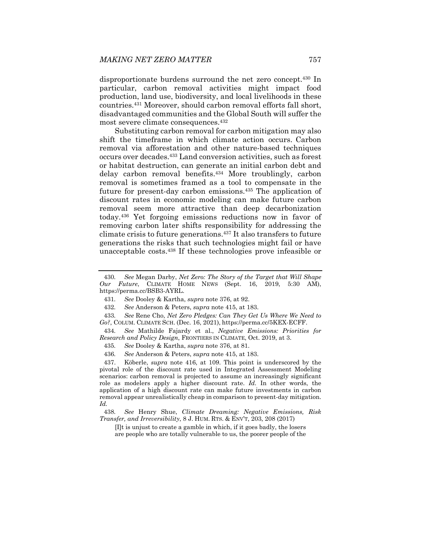disproportionate burdens surround the net zero concept.430 In particular, carbon removal activities might impact food production, land use, biodiversity, and local livelihoods in these countries.431 Moreover, should carbon removal efforts fall short, disadvantaged communities and the Global South will suffer the most severe climate consequences.432

Substituting carbon removal for carbon mitigation may also shift the timeframe in which climate action occurs. Carbon removal via afforestation and other nature-based techniques occurs over decades.433 Land conversion activities, such as forest or habitat destruction, can generate an initial carbon debt and delay carbon removal benefits.<sup>434</sup> More troublingly, carbon removal is sometimes framed as a tool to compensate in the future for present-day carbon emissions.<sup>435</sup> The application of discount rates in economic modeling can make future carbon removal seem more attractive than deep decarbonization today.436 Yet forgoing emissions reductions now in favor of removing carbon later shifts responsibility for addressing the climate crisis to future generations.437 It also transfers to future generations the risks that such technologies might fail or have unacceptable costs.438 If these technologies prove infeasible or

438*. See* Henry Shue, *Climate Dreaming: Negative Emissions, Risk Transfer, and Irreversibility*, 8 J. HUM. RTS. & ENV'T, 203, 208 (2017)

[I]t is unjust to create a gamble in which, if it goes badly, the losers are people who are totally vulnerable to us, the poorer people of the

<sup>430</sup>*. See* Megan Darby, *Net Zero: The Story of the Target that Will Shape Our Future*, CLIMATE HOME NEWS (Sept. 16, 2019, 5:30 AM), https://perma.cc/BSB3-AYRL.

<sup>431</sup>*. See* Dooley & Kartha, *supra* note 376, at 92.

<sup>432</sup>*. See* Anderson & Peters, *supra* note 415, at 183.

<sup>433</sup>*. See* Rene Cho, *Net Zero Pledges: Can They Get Us Where We Need to Go?*, COLUM. CLIMATE SCH. (Dec. 16, 2021), https://perma.cc/5KEX-ECFF.

<sup>434</sup>*. See* Mathilde Fajardy et al., *Negative Emissions: Priorities for Research and Policy Design*, FRONTIERS IN CLIMATE, Oct. 2019, at 3.

<sup>435</sup>*. See* Dooley & Kartha, *supra* note 376, at 81.

<sup>436</sup>*. See* Anderson & Peters, *supra* note 415, at 183.

 <sup>437.</sup> Köberle, *supra* note 416, at 109. This point is underscored by the pivotal role of the discount rate used in Integrated Assessment Modeling scenarios: carbon removal is projected to assume an increasingly significant role as modelers apply a higher discount rate. *Id.* In other words, the application of a high discount rate can make future investments in carbon removal appear unrealistically cheap in comparison to present-day mitigation. *Id.*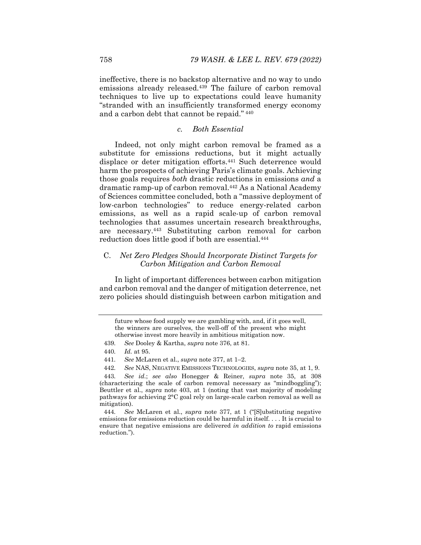ineffective, there is no backstop alternative and no way to undo emissions already released.<sup>439</sup> The failure of carbon removal techniques to live up to expectations could leave humanity "stranded with an insufficiently transformed energy economy and a carbon debt that cannot be repaid." 440

### *c. Both Essential*

Indeed, not only might carbon removal be framed as a substitute for emissions reductions, but it might actually displace or deter mitigation efforts.441 Such deterrence would harm the prospects of achieving Paris's climate goals. Achieving those goals requires *both* drastic reductions in emissions *and* a dramatic ramp-up of carbon removal.442 As a National Academy of Sciences committee concluded, both a "massive deployment of low-carbon technologies" to reduce energy-related carbon emissions, as well as a rapid scale-up of carbon removal technologies that assumes uncertain research breakthroughs, are necessary.443 Substituting carbon removal for carbon reduction does little good if both are essential.444

# C. *Net Zero Pledges Should Incorporate Distinct Targets for Carbon Mitigation and Carbon Removal*

In light of important differences between carbon mitigation and carbon removal and the danger of mitigation deterrence, net zero policies should distinguish between carbon mitigation and

444*. See* McLaren et al., *supra* note 377, at 1 ("[S]ubstituting negative emissions for emissions reduction could be harmful in itself. . . . It is crucial to ensure that negative emissions are delivered *in addition to* rapid emissions reduction.").

future whose food supply we are gambling with, and, if it goes well, the winners are ourselves, the well-off of the present who might otherwise invest more heavily in ambitious mitigation now.

<sup>439</sup>*. See* Dooley & Kartha, *supra* note 376, at 81.

<sup>440</sup>*. Id.* at 95.

<sup>441</sup>*. See* McLaren et al., *supra* note 377, at 1–2.

<sup>442</sup>*. See* NAS, NEGATIVE EMISSIONS TECHNOLOGIES, *supra* note 35, at 1, 9.

<sup>443</sup>*. See id.*; *see also* Honegger & Reiner, *supra* note 35, at 308 (characterizing the scale of carbon removal necessary as "mindboggling"); Beuttler et al., *supra* note 403, at 1 (noting that vast majority of modeling pathways for achieving 2°C goal rely on large-scale carbon removal as well as mitigation).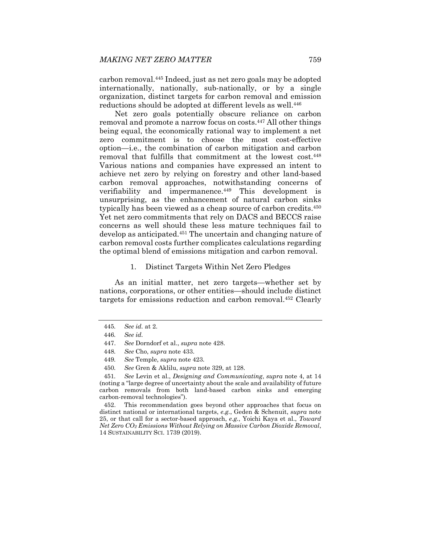carbon removal.445 Indeed, just as net zero goals may be adopted internationally, nationally, sub-nationally, or by a single organization, distinct targets for carbon removal and emission reductions should be adopted at different levels as well.<sup>446</sup>

Net zero goals potentially obscure reliance on carbon removal and promote a narrow focus on costs.447 All other things being equal, the economically rational way to implement a net zero commitment is to choose the most cost-effective option—i.e., the combination of carbon mitigation and carbon removal that fulfills that commitment at the lowest cost.448 Various nations and companies have expressed an intent to achieve net zero by relying on forestry and other land-based carbon removal approaches, notwithstanding concerns of verifiability and impermanence.449 This development is unsurprising, as the enhancement of natural carbon sinks typically has been viewed as a cheap source of carbon credits.<sup>450</sup> Yet net zero commitments that rely on DACS and BECCS raise concerns as well should these less mature techniques fail to develop as anticipated.451 The uncertain and changing nature of carbon removal costs further complicates calculations regarding the optimal blend of emissions mitigation and carbon removal.

### 1. Distinct Targets Within Net Zero Pledges

As an initial matter, net zero targets—whether set by nations, corporations, or other entities—should include distinct targets for emissions reduction and carbon removal.452 Clearly

 452. This recommendation goes beyond other approaches that focus on distinct national or international targets, *e.g.*, Geden & Schenuit, *supra* note 25, or that call for a sector-based approach, *e.g.*, Yoichi Kaya et al., *Toward Net Zero CO2 Emissions Without Relying on Massive Carbon Dioxide Removal*, 14 SUSTAINABILITY SCI. 1739 (2019).

<sup>445</sup>*. See id.* at 2.

<sup>446</sup>*. See id.*

 <sup>447.</sup> *See* Dorndorf et al., *supra* note 428.

<sup>448</sup>*. See* Cho, *supra* note 433.

<sup>449</sup>*. See* Temple, *supra* note 423.

<sup>450</sup>*. See* Gren & Aklilu, *supra* note 329, at 128.

<sup>451</sup>*. See* Levin et al., *Designing and Communicating*, *supra* note 4, at 14 (noting a "large degree of uncertainty about the scale and availability of future carbon removals from both land-based carbon sinks and emerging carbon-removal technologies").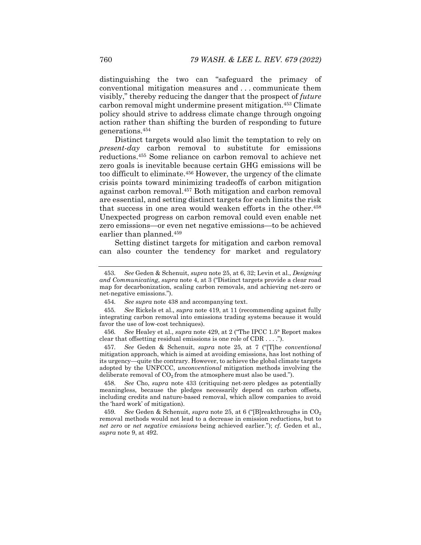distinguishing the two can "safeguard the primacy of conventional mitigation measures and . . . communicate them visibly," thereby reducing the danger that the prospect of *future* carbon removal might undermine present mitigation.453 Climate policy should strive to address climate change through ongoing action rather than shifting the burden of responding to future generations.454

Distinct targets would also limit the temptation to rely on *present-day* carbon removal to substitute for emissions reductions.455 Some reliance on carbon removal to achieve net zero goals is inevitable because certain GHG emissions will be too difficult to eliminate.456 However, the urgency of the climate crisis points toward minimizing tradeoffs of carbon mitigation against carbon removal.457 Both mitigation and carbon removal are essential, and setting distinct targets for each limits the risk that success in one area would weaken efforts in the other.<sup>458</sup> Unexpected progress on carbon removal could even enable net zero emissions—or even net negative emissions—to be achieved earlier than planned.459

Setting distinct targets for mitigation and carbon removal can also counter the tendency for market and regulatory

<sup>453</sup>*. See* Geden & Schenuit, *supra* note 25, at 6, 32; Levin et al., *Designing and Communicating*, *supra* note 4, at 3 ("Distinct targets provide a clear road map for decarbonization, scaling carbon removals, and achieving net-zero or net-negative emissions.").

<sup>454</sup>*. See supra* note 438 and accompanying text.

<sup>455</sup>*. See* Rickels et al., *supra* note 419, at 11 (recommending against fully integrating carbon removal into emissions trading systems because it would favor the use of low-cost techniques).

<sup>456</sup>*. See* Healey et al., *supra* note 429, at 2 ("The IPCC 1.5° Report makes clear that offsetting residual emissions is one role of CDR . . . .").

<sup>457</sup>*. See* Geden & Schenuit, *supra* note 25, at 7 ("[T]he *conventional*  mitigation approach, which is aimed at avoiding emissions, has lost nothing of its urgency—quite the contrary. However, to achieve the global climate targets adopted by the UNFCCC, *unconventional* mitigation methods involving the deliberate removal of  $CO<sub>2</sub>$  from the atmosphere must also be used.").

<sup>458</sup>*. See* Cho, *supra* note 433 (critiquing net-zero pledges as potentially meaningless, because the pledges necessarily depend on carbon offsets, including credits and nature-based removal, which allow companies to avoid the 'hard work' of mitigation).

<sup>459.</sup> See Geden & Schenuit, *supra* note 25, at 6 ("[B]reakthroughs in CO<sub>2</sub> removal methods would not lead to a decrease in emission reductions, but to *net zero* or *net negative emissions* being achieved earlier."); *cf.* Geden et al., *supra* note 9, at 492.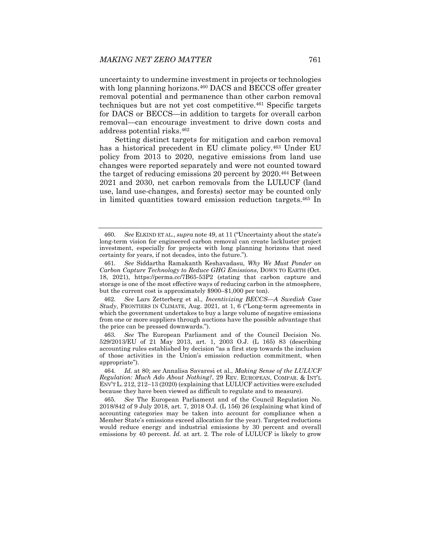uncertainty to undermine investment in projects or technologies with long planning horizons.<sup>460</sup> DACS and BECCS offer greater removal potential and permanence than other carbon removal techniques but are not yet cost competitive.461 Specific targets for DACS or BECCS—in addition to targets for overall carbon removal—can encourage investment to drive down costs and address potential risks.462

Setting distinct targets for mitigation and carbon removal has a historical precedent in EU climate policy.463 Under EU policy from 2013 to 2020, negative emissions from land use changes were reported separately and were not counted toward the target of reducing emissions 20 percent by 2020.464 Between 2021 and 2030, net carbon removals from the LULUCF (land use, land use-changes, and forests) sector may be counted only in limited quantities toward emission reduction targets.465 In

<sup>460</sup>*. See* ELKIND ET AL., *supra* note 49, at 11 ("Uncertainty about the state's long-term vision for engineered carbon removal can create lackluster project investment, especially for projects with long planning horizons that need certainty for years, if not decades, into the future.").

<sup>461</sup>*. See* Siddartha Ramakanth Keshavadasu, *Why We Must Ponder on Carbon Capture Technology to Reduce GHG Emissions*, DOWN TO EARTH (Oct. 18, 2021), https://perma.cc/7B65-53P2 (stating that carbon capture and storage is one of the most effective ways of reducing carbon in the atmosphere, but the current cost is approximately \$900–\$1,000 per ton).

<sup>462</sup>*. See* Lars Zetterberg et al., *Incentivizing BECCS—A Swedish Case Study*, FRONTIERS IN CLIMATE, Aug. 2021, at 1, 6 ("Long-term agreements in which the government undertakes to buy a large volume of negative emissions from one or more suppliers through auctions have the possible advantage that the price can be pressed downwards.").

<sup>463</sup>*. See* The European Parliament and of the Council Decision No. 529/2013/EU of 21 May 2013, art. 1, 2003 O.J. (L 165) 83 (describing accounting rules established by decision "as a first step towards the inclusion of those activities in the Union's emission reduction commitment, when appropriate").

<sup>464</sup>*. Id.* at 80; *see* Annalisa Savaresi et al., *Making Sense of the LULUCF Regulation: Much Ado About Nothing?*, 29 REV. EUROPEAN, COMPAR. & INT'L ENV'T L. 212, 212–13 (2020) (explaining that LULUCF activities were excluded because they have been viewed as difficult to regulate and to measure).

<sup>465</sup>*. See* The European Parliament and of the Council Regulation No. 2018/842 of 9 July 2018, art. 7, 2018 O.J. (L 156) 26 (explaining what kind of accounting categories may be taken into account for compliance when a Member State's emissions exceed allocation for the year). Targeted reductions would reduce energy and industrial emissions by 30 percent and overall emissions by 40 percent. *Id.* at art. 2*.* The role of LULUCF is likely to grow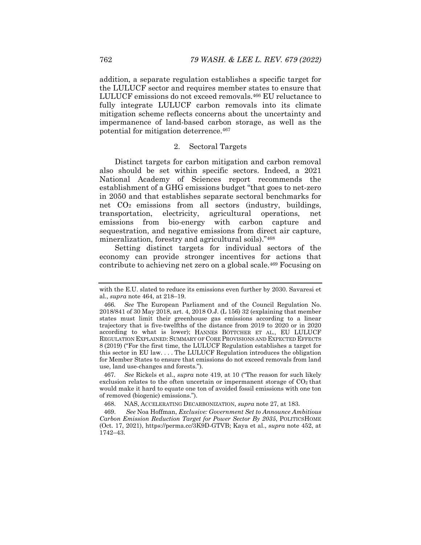addition, a separate regulation establishes a specific target for the LULUCF sector and requires member states to ensure that LULUCF emissions do not exceed removals.466 EU reluctance to fully integrate LULUCF carbon removals into its climate mitigation scheme reflects concerns about the uncertainty and impermanence of land-based carbon storage, as well as the potential for mitigation deterrence.467

### 2. Sectoral Targets

Distinct targets for carbon mitigation and carbon removal also should be set within specific sectors. Indeed, a 2021 National Academy of Sciences report recommends the establishment of a GHG emissions budget "that goes to net-zero in 2050 and that establishes separate sectoral benchmarks for net  $CO<sub>2</sub>$  emissions from all sectors (industry, buildings, transportation, electricity, agricultural operations, net emissions from bio-energy with carbon capture and sequestration, and negative emissions from direct air capture, mineralization, forestry and agricultural soils)."468

Setting distinct targets for individual sectors of the economy can provide stronger incentives for actions that contribute to achieving net zero on a global scale.469 Focusing on

467*. See* Rickels et al., *supra* note 419, at 10 ("The reason for such likely exclusion relates to the often uncertain or impermanent storage of  $CO<sub>2</sub>$  that would make it hard to equate one ton of avoided fossil emissions with one ton of removed (biogenic) emissions.").

468. NAS, ACCELERATING DECARBONIZATION, *supra* note 27, at 183.

 469. *See* Noa Hoffman, *Exclusive: Government Set to Announce Ambitious Carbon Emission Reduction Target for Power Sector By 2035*, POLITICSHOME (Oct. 17, 2021), https://perma.cc/3K9D-GTVB; Kaya et al., *supra* note 452, at 1742–43.

with the E.U. slated to reduce its emissions even further by 2030. Savaresi et al., *supra* note 464, at 218–19.

<sup>466</sup>*. See* The European Parliament and of the Council Regulation No. 2018/841 of 30 May 2018, art. 4, 2018 O.J. (L 156) 32 (explaining that member states must limit their greenhouse gas emissions according to a linear trajectory that is five-twelfths of the distance from 2019 to 2020 or in 2020 according to what is lower); HANNES BÖTTCHER ET AL., EU LULUCF REGULATION EXPLAINED: SUMMARY OF CORE PROVISIONS AND EXPECTED EFFECTS 8 (2019) ("For the first time, the LULUCF Regulation establishes a target for this sector in EU law. . . . The LULUCF Regulation introduces the obligation for Member States to ensure that emissions do not exceed removals from land use, land use-changes and forests.").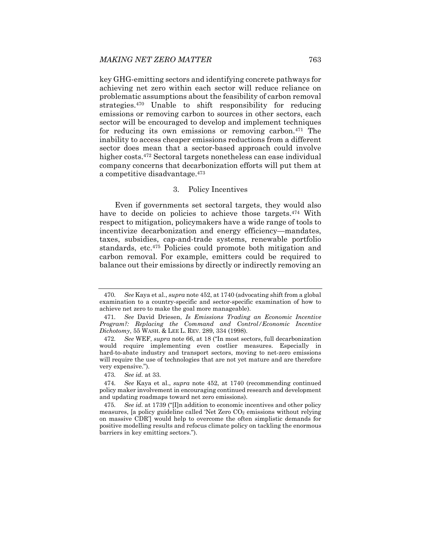key GHG-emitting sectors and identifying concrete pathways for achieving net zero within each sector will reduce reliance on problematic assumptions about the feasibility of carbon removal strategies.470 Unable to shift responsibility for reducing emissions or removing carbon to sources in other sectors, each sector will be encouraged to develop and implement techniques for reducing its own emissions or removing carbon.471 The inability to access cheaper emissions reductions from a different sector does mean that a sector-based approach could involve higher costs.472 Sectoral targets nonetheless can ease individual company concerns that decarbonization efforts will put them at a competitive disadvantage.473

## 3. Policy Incentives

Even if governments set sectoral targets, they would also have to decide on policies to achieve those targets.<sup>474</sup> With respect to mitigation, policymakers have a wide range of tools to incentivize decarbonization and energy efficiency—mandates, taxes, subsidies, cap-and-trade systems, renewable portfolio standards, etc.475 Policies could promote both mitigation and carbon removal. For example, emitters could be required to balance out their emissions by directly or indirectly removing an

<sup>470</sup>*. See* Kaya et al., *supra* note 452, at 1740 (advocating shift from a global examination to a country-specific and sector-specific examination of how to achieve net zero to make the goal more manageable).

<sup>471</sup>*. See* David Driesen, *Is Emissions Trading an Economic Incentive Program?: Replacing the Command and Control/Economic Incentive Dichotomy*, 55 WASH. & LEE L. REV. 289, 334 (1998).

<sup>472</sup>*. See* WEF, *supra* note 66, at 18 ("In most sectors, full decarbonization would require implementing even costlier measures. Especially in hard-to-abate industry and transport sectors, moving to net-zero emissions will require the use of technologies that are not yet mature and are therefore very expensive.").

<sup>473</sup>*. See id.* at 33.

<sup>474</sup>*. See* Kaya et al., *supra* note 452, at 1740 (recommending continued policy maker involvement in encouraging continued research and development and updating roadmaps toward net zero emissions).

<sup>475</sup>*. See id.* at 1739 ("[I]n addition to economic incentives and other policy measures, [a policy guideline called 'Net Zero  $CO<sub>2</sub>$  emissions without relying on massive CDR'] would help to overcome the often simplistic demands for positive modelling results and refocus climate policy on tackling the enormous barriers in key emitting sectors.").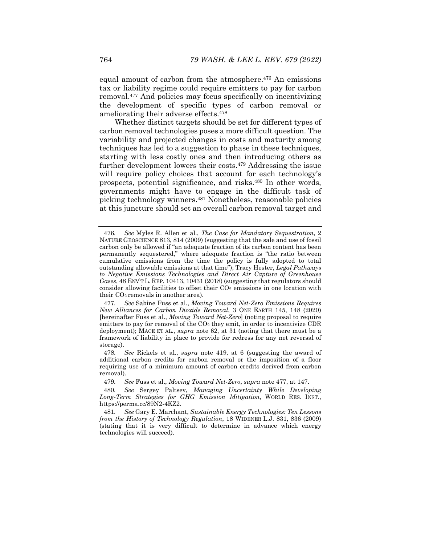equal amount of carbon from the atmosphere.476 An emissions tax or liability regime could require emitters to pay for carbon removal.477 And policies may focus specifically on incentivizing the development of specific types of carbon removal or ameliorating their adverse effects.478

Whether distinct targets should be set for different types of carbon removal technologies poses a more difficult question. The variability and projected changes in costs and maturity among techniques has led to a suggestion to phase in these techniques, starting with less costly ones and then introducing others as further development lowers their costs.<sup>479</sup> Addressing the issue will require policy choices that account for each technology's prospects, potential significance, and risks.480 In other words, governments might have to engage in the difficult task of picking technology winners.481 Nonetheless, reasonable policies at this juncture should set an overall carbon removal target and

<sup>476</sup>*. See* Myles R. Allen et al., *The Case for Mandatory Sequestration*, 2 NATURE GEOSCIENCE 813, 814 (2009) (suggesting that the sale and use of fossil carbon only be allowed if "an adequate fraction of its carbon content has been permanently sequestered," where adequate fraction is "the ratio between cumulative emissions from the time the policy is fully adopted to total outstanding allowable emissions at that time"); Tracy Hester, *Legal Pathways to Negative Emissions Technologies and Direct Air Capture of Greenhouse Gases*, 48 ENV'T L. REP. 10413, 10431 (2018) (suggesting that regulators should consider allowing facilities to offset their  $CO<sub>2</sub>$  emissions in one location with their CO2 removals in another area).

<sup>477</sup>*. See* Sabine Fuss et al., *Moving Toward Net-Zero Emissions Requires New Alliances for Carbon Dioxide Removal*, 3 ONE EARTH 145, 148 (2020) [hereinafter Fuss et al., *Moving Toward Net-Zero*] (noting proposal to require emitters to pay for removal of the  $CO<sub>2</sub>$  they emit, in order to incentivize CDR deployment); MACE ET AL., *supra* note 62, at 31 (noting that there must be a framework of liability in place to provide for redress for any net reversal of storage).

<sup>478</sup>*. See* Rickels et al., *supra* note 419, at 6 (suggesting the award of additional carbon credits for carbon removal or the imposition of a floor requiring use of a minimum amount of carbon credits derived from carbon removal).

<sup>479</sup>*. See* Fuss et al., *Moving Toward Net-Zero*, *supra* note 477, at 147.

<sup>480</sup>*. See* Sergey Paltsev, *Managing Uncertainty While Developing Long-Term Strategies for GHG Emission Mitigation*, WORLD RES. INST., https://perma.cc/89N2-4KZ2.

<sup>481</sup>*. See* Gary E. Marchant, *Sustainable Energy Technologies: Ten Lessons from the History of Technology Regulation*, 18 WIDENER L.J. 831, 836 (2009) (stating that it is very difficult to determine in advance which energy technologies will succeed).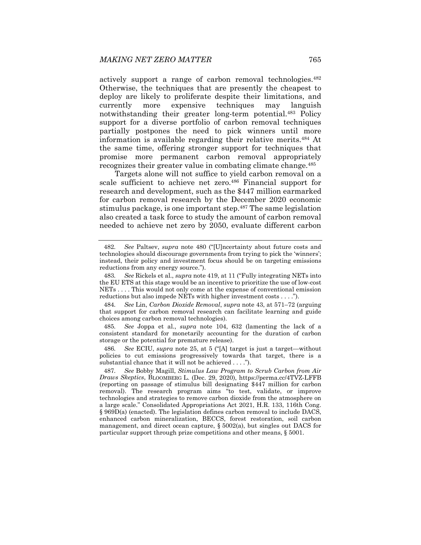actively support a range of carbon removal technologies.482 Otherwise, the techniques that are presently the cheapest to deploy are likely to proliferate despite their limitations, and currently more expensive techniques may languish notwithstanding their greater long-term potential.483 Policy support for a diverse portfolio of carbon removal techniques partially postpones the need to pick winners until more information is available regarding their relative merits.484 At the same time, offering stronger support for techniques that promise more permanent carbon removal appropriately recognizes their greater value in combating climate change.485

Targets alone will not suffice to yield carbon removal on a scale sufficient to achieve net zero.<sup>486</sup> Financial support for research and development, such as the \$447 million earmarked for carbon removal research by the December 2020 economic stimulus package, is one important step.<sup>487</sup> The same legislation also created a task force to study the amount of carbon removal needed to achieve net zero by 2050, evaluate different carbon

484*. See* Lin, *Carbon Dioxide Removal*, *supra* note 43, at 571–72 (arguing that support for carbon removal research can facilitate learning and guide choices among carbon removal technologies).

485*. See* Joppa et al., *supra* note 104, 632 (lamenting the lack of a consistent standard for monetarily accounting for the duration of carbon storage or the potential for premature release).

486*. See* ECIU, *supra* note 25, at 5 ("[A] target is just a target—without policies to cut emissions progressively towards that target, there is a substantial chance that it will not be achieved . . . .").

<sup>482</sup>*. See* Paltsev, *supra* note 480 ("[U]ncertainty about future costs and technologies should discourage governments from trying to pick the 'winners'; instead, their policy and investment focus should be on targeting emissions reductions from any energy source.").

<sup>483</sup>*. See* Rickels et al., *supra* note 419, at 11 ("Fully integrating NETs into the EU ETS at this stage would be an incentive to prioritize the use of low-cost NETs . . . . This would not only come at the expense of conventional emission reductions but also impede NETs with higher investment costs . . . .").

<sup>487</sup>*. See* Bobby Magill, *Stimulus Law Program to Scrub Carbon from Air Draws Skeptics*, BLOOMBERG L. (Dec. 29, 2020), https://perma.cc/4TVZ-LFFB (reporting on passage of stimulus bill designating \$447 million for carbon removal). The research program aims "to test, validate, or improve technologies and strategies to remove carbon dioxide from the atmosphere on a large scale." Consolidated Appropriations Act 2021, H.R. 133, 116th Cong. § 969D(a) (enacted). The legislation defines carbon removal to include DACS, enhanced carbon mineralization, BECCS, forest restoration, soil carbon management, and direct ocean capture, § 5002(a), but singles out DACS for particular support through prize competitions and other means, § 5001.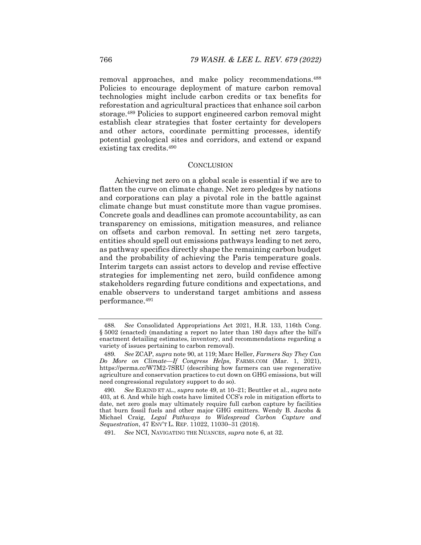removal approaches, and make policy recommendations.488 Policies to encourage deployment of mature carbon removal technologies might include carbon credits or tax benefits for reforestation and agricultural practices that enhance soil carbon storage.489 Policies to support engineered carbon removal might establish clear strategies that foster certainty for developers and other actors, coordinate permitting processes, identify potential geological sites and corridors, and extend or expand existing tax credits.490

#### **CONCLUSION**

Achieving net zero on a global scale is essential if we are to flatten the curve on climate change. Net zero pledges by nations and corporations can play a pivotal role in the battle against climate change but must constitute more than vague promises. Concrete goals and deadlines can promote accountability, as can transparency on emissions, mitigation measures, and reliance on offsets and carbon removal. In setting net zero targets, entities should spell out emissions pathways leading to net zero, as pathway specifics directly shape the remaining carbon budget and the probability of achieving the Paris temperature goals. Interim targets can assist actors to develop and revise effective strategies for implementing net zero, build confidence among stakeholders regarding future conditions and expectations, and enable observers to understand target ambitions and assess performance.491

<sup>488</sup>*. See* Consolidated Appropriations Act 2021, H.R. 133, 116th Cong. § 5002 (enacted) (mandating a report no later than 180 days after the bill's enactment detailing estimates, inventory, and recommendations regarding a variety of issues pertaining to carbon removal).

<sup>489</sup>*. See* ZCAP, *supra* note 90, at 119; Marc Heller, *Farmers Say They Can Do More on Climate—If Congress Helps*, FARMS.COM (Mar. 1, 2021), https://perma.cc/W7M2-7SRU (describing how farmers can use regenerative agriculture and conservation practices to cut down on GHG emissions, but will need congressional regulatory support to do so).

<sup>490</sup>*. See* ELKIND ET AL., *supra* note 49, at 10–21; Beuttler et al., *supra* note 403, at 6. And while high costs have limited CCS's role in mitigation efforts to date, net zero goals may ultimately require full carbon capture by facilities that burn fossil fuels and other major GHG emitters. Wendy B. Jacobs & Michael Craig, *Legal Pathways to Widespread Carbon Capture and Sequestration*, 47 ENV'T L. REP. 11022, 11030–31 (2018).

<sup>491</sup>*. See* NCI, NAVIGATING THE NUANCES, *supra* note 6, at 32.